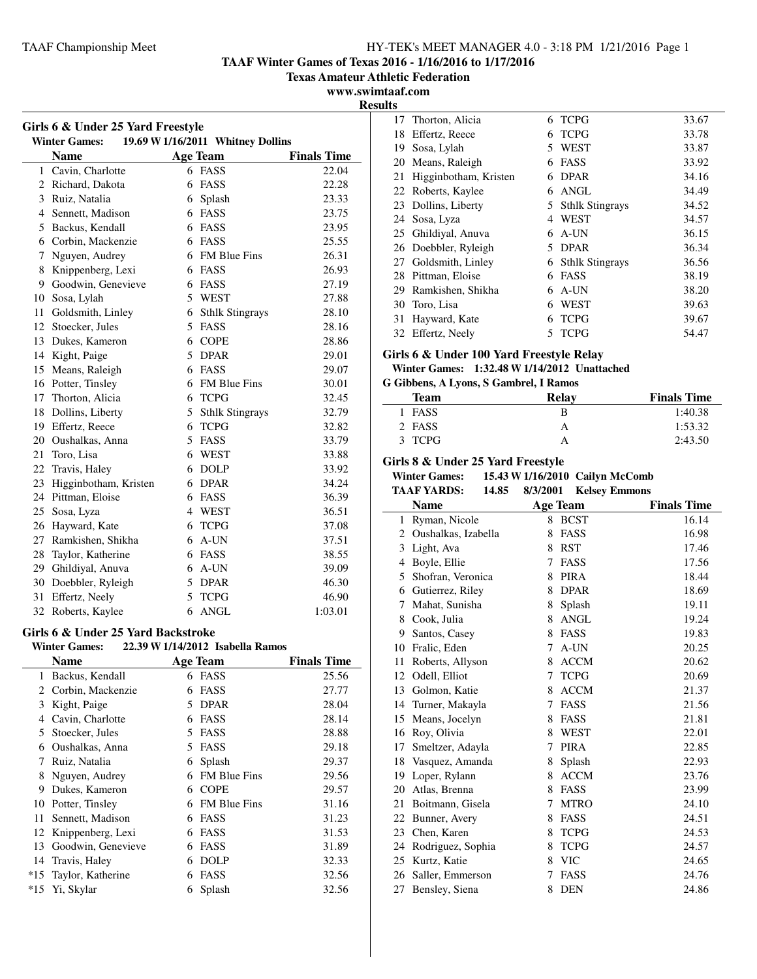**TAAF Winter Games of Texas 2016 - 1/16/2016 to 1/17/2016**

**Texas Amateur Athletic Federation**

**www.swimtaaf.com**

j.

 $\overline{\phantom{a}}$ 

|                | Girls 6 & Under 25 Yard Freestyle  |   |                                   |                    |
|----------------|------------------------------------|---|-----------------------------------|--------------------|
|                | <b>Winter Games:</b>               |   | 19.69 W 1/16/2011 Whitney Dollins |                    |
|                | Name                               |   | Age Team                          | <b>Finals Time</b> |
|                | 1 Cavin, Charlotte                 |   | 6 FASS                            | 22.04              |
|                | 2 Richard, Dakota                  |   | 6 FASS                            | 22.28              |
|                | 3 Ruiz, Natalia                    |   | 6 Splash                          | 23.33              |
|                | 4 Sennett, Madison                 |   | 6 FASS                            | 23.75              |
|                | 5 Backus, Kendall                  |   | 6 FASS                            | 23.95              |
|                | 6 Corbin, Mackenzie                |   | 6 FASS                            | 25.55              |
| 7              | Nguyen, Audrey                     |   | 6 FM Blue Fins                    | 26.31              |
| 8              | Knippenberg, Lexi                  |   | 6 FASS                            | 26.93              |
|                | 9 Goodwin, Genevieve               |   | 6 FASS                            | 27.19              |
|                | 10 Sosa, Lylah                     |   | 5 WEST                            | 27.88              |
| 11             | Goldsmith, Linley                  |   | 6 Sthlk Stingrays                 | 28.10              |
| 12             | Stoecker, Jules                    |   | 5 FASS                            | 28.16              |
|                | 13 Dukes, Kameron                  |   | 6 COPE                            | 28.86              |
|                | 14 Kight, Paige                    |   | 5 DPAR                            | 29.01              |
|                | 15 Means, Raleigh                  |   | 6 FASS                            | 29.07              |
|                | 16 Potter, Tinsley                 |   | 6 FM Blue Fins                    | 30.01              |
|                | 17 Thorton, Alicia                 |   | 6 TCPG                            | 32.45              |
| 18             | Dollins, Liberty                   |   | 5 Sthlk Stingrays                 | 32.79              |
|                | 19 Effertz, Reece                  |   | 6 TCPG                            | 32.82              |
| 20             | Oushalkas, Anna                    |   | 5 FASS                            | 33.79              |
| 21             | Toro, Lisa                         |   | 6 WEST                            | 33.88              |
| 22             | Travis, Haley                      |   | 6 DOLP                            | 33.92              |
| 23             | Higginbotham, Kristen              |   | 6 DPAR                            | 34.24              |
|                | 24 Pittman, Eloise                 |   | 6 FASS                            | 36.39              |
|                | 25 Sosa, Lyza                      |   | 4 WEST                            | 36.51              |
|                | 26 Hayward, Kate                   |   | 6 TCPG                            | 37.08              |
|                | 27 Ramkishen, Shikha               |   | 6 A-UN                            | 37.51              |
| 28             | Taylor, Katherine                  |   | 6 FASS                            | 38.55              |
|                | 29 Ghildiyal, Anuva                |   | $6$ A-UN                          | 39.09              |
|                | 30 Doebbler, Ryleigh               |   | 5 DPAR                            | 46.30              |
| 31             | Effertz, Neely                     |   | 5 TCPG                            | 46.90              |
|                | 32 Roberts, Kaylee                 |   | 6 ANGL                            | 1:03.01            |
|                | Girls 6 & Under 25 Yard Backstroke |   |                                   |                    |
|                | <b>Winter Games:</b>               |   | 22.39 W 1/14/2012 Isabella Ramos  |                    |
|                | <b>Name</b>                        |   | <b>Age Team</b>                   | <b>Finals Time</b> |
| 1              | Backus, Kendall                    | 6 | FASS                              | 25.56              |
| $\overline{c}$ | Corbin, Mackenzie                  | 6 | FASS                              | 27.77              |
| 3              | Kight, Paige                       |   | 5 DPAR                            | 28.04              |
|                | 4 Cavin, Charlotte                 |   | 6 FASS                            | 28.14              |
| 5              | Stoecker, Jules                    |   | 5 FASS                            | 28.88              |
|                | 6 Oushalkas, Anna                  |   | 5 FASS                            | 29.18              |
| 7              | Ruiz, Natalia                      |   | 6 Splash                          | 29.37              |
| 8              | Nguyen, Audrey                     |   | 6 FM Blue Fins                    | 29.56              |
| 9              | Dukes, Kameron                     |   | 6 COPE                            | 29.57              |
| 10             | Potter, Tinsley                    |   | 6 FM Blue Fins                    | 31.16              |
| 11             | Sennett, Madison                   |   | 6 FASS                            | 31.23              |
| 12             | Knippenberg, Lexi                  |   | 6 FASS                            | 31.53              |
| 13             | Goodwin, Genevieve                 |   | 6 FASS                            | 31.89              |
|                | 14 Travis, Haley                   |   | 6 DOLP                            | 32.33              |

\*15 Taylor, Katherine 6 FASS 32.56 \*15 Yi, Skylar 6 Splash 32.56

| <b>Results</b> |                       |   |                   |       |
|----------------|-----------------------|---|-------------------|-------|
| 17             | Thorton, Alicia       |   | 6 TCPG            | 33.67 |
| 18             | Effertz, Reece        | 6 | <b>TCPG</b>       | 33.78 |
| 19             | Sosa, Lylah           | 5 | <b>WEST</b>       | 33.87 |
| 20             | Means, Raleigh        | 6 | <b>FASS</b>       | 33.92 |
| 21             | Higginbotham, Kristen | 6 | <b>DPAR</b>       | 34.16 |
| 22             | Roberts, Kaylee       |   | 6 ANGL            | 34.49 |
| 23             | Dollins, Liberty      |   | 5 Sthlk Stingrays | 34.52 |
|                | 24 Sosa, Lyza         | 4 | WEST              | 34.57 |
|                | 25 Ghildiyal, Anuva   | 6 | $A$ -UN           | 36.15 |
|                | 26 Doebbler, Ryleigh  | 5 | <b>DPAR</b>       | 36.34 |
| 27             | Goldsmith, Linley     |   | 6 Sthlk Stingrays | 36.56 |
| 28             | Pittman, Eloise       | 6 | FASS              | 38.19 |
|                | 29 Ramkishen, Shikha  |   | $6$ A-UN          | 38.20 |
| 30             | Toro, Lisa            | 6 | <b>WEST</b>       | 39.63 |
| 31             | Hayward, Kate         | 6 | <b>TCPG</b>       | 39.67 |
| 32             | Effertz, Neely        | 5 | <b>TCPG</b>       | 54.47 |

#### **Girls 6 & Under 100 Yard Freestyle Relay**

# **Winter Games: 1:32.48 W1/14/2012 Unattached**

| G Gibbens, A Lyons, S Gambrel, I Ramos |              |     |  |  |
|----------------------------------------|--------------|-----|--|--|
| Team"                                  | <b>Relay</b> | Fiı |  |  |
| <b>EACC</b>                            |              |     |  |  |

| <b>Team</b> | <b>Relay</b> | <b>Finals Time</b> |
|-------------|--------------|--------------------|
| 1 FASS      | в            | 1:40.38            |
| 2 FASS      | А            | 1:53.32            |
| 3 TCPG      | А            | 2:43.50            |

# **Girls 8 & Under 25 Yard Freestyle**

**Winter Games: 15.43 W1/16/2010 Cailyn McComb**

|    | <b>TAAF YARDS:</b><br>14.85 | 8/3/2001 | <b>Kelsey Emmons</b> |                    |
|----|-----------------------------|----------|----------------------|--------------------|
|    | <b>Name</b>                 |          | <b>Age Team</b>      | <b>Finals Time</b> |
| 1  | Ryman, Nicole               | 8        | <b>BCST</b>          | 16.14              |
| 2  | Oushalkas, Izabella         | 8        | FASS                 | 16.98              |
| 3  | Light, Ava                  | 8        | <b>RST</b>           | 17.46              |
| 4  | Boyle, Ellie                | 7        | FASS                 | 17.56              |
| 5  | Shofran, Veronica           | 8        | <b>PIRA</b>          | 18.44              |
| 6  | Gutierrez, Riley            | 8        | <b>DPAR</b>          | 18.69              |
| 7  | Mahat, Sunisha              | 8        | Splash               | 19.11              |
| 8  | Cook, Julia                 | 8        | <b>ANGL</b>          | 19.24              |
| 9  | Santos, Casey               | 8        | FASS                 | 19.83              |
| 10 | Fralic, Eden                | 7        | A-UN                 | 20.25              |
| 11 | Roberts, Allyson            | 8        | <b>ACCM</b>          | 20.62              |
| 12 | Odell, Elliot               | 7        | <b>TCPG</b>          | 20.69              |
| 13 | Golmon, Katie               | 8        | <b>ACCM</b>          | 21.37              |
| 14 | Turner, Makayla             | 7        | FASS                 | 21.56              |
| 15 | Means, Jocelyn              | 8        | FASS                 | 21.81              |
| 16 | Roy, Olivia                 | 8        | <b>WEST</b>          | 22.01              |
| 17 | Smeltzer, Adayla            | 7        | <b>PIRA</b>          | 22.85              |
| 18 | Vasquez, Amanda             | 8        | Splash               | 22.93              |
| 19 | Loper, Rylann               | 8        | <b>ACCM</b>          | 23.76              |
| 20 | Atlas, Brenna               | 8        | FASS                 | 23.99              |
| 21 | Boitmann, Gisela            | 7        | <b>MTRO</b>          | 24.10              |
| 22 | Bunner, Avery               | 8        | FASS                 | 24.51              |
| 23 | Chen, Karen                 | 8        | <b>TCPG</b>          | 24.53              |
| 24 | Rodriguez, Sophia           | 8        | <b>TCPG</b>          | 24.57              |
| 25 | Kurtz, Katie                | 8        | <b>VIC</b>           | 24.65              |
| 26 | Saller, Emmerson            | 7        | FASS                 | 24.76              |
| 27 | Bensley, Siena              | 8        | <b>DEN</b>           | 24.86              |
|    |                             |          |                      |                    |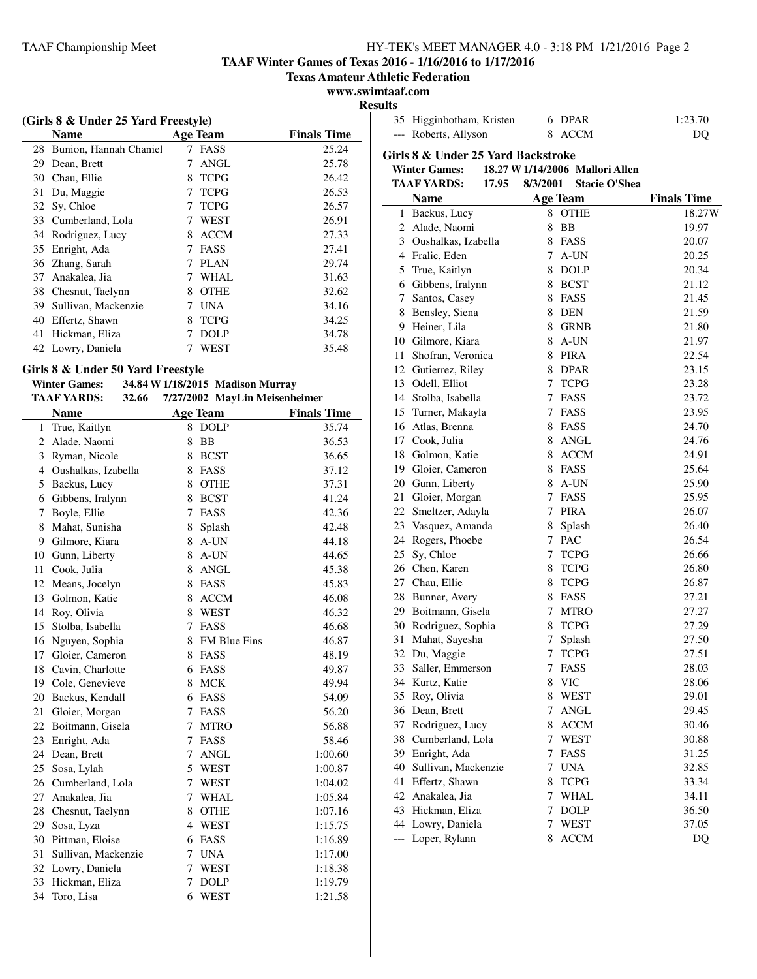**TAAF Winter Games of Texas 2016 - 1/16/2016 to 1/17/2016**

**Texas Amateur Athletic Federation**

# **www.swimtaaf.com**

|    |                                     |   |                 |                    | <b>Result</b> |
|----|-------------------------------------|---|-----------------|--------------------|---------------|
|    | (Girls 8 & Under 25 Yard Freestyle) |   |                 |                    |               |
|    | Name                                |   | <b>Age Team</b> | <b>Finals Time</b> |               |
| 28 | Bunion, Hannah Chaniel              | 7 | FASS            | 25.24              | G             |
| 29 | Dean, Brett                         | 7 | ANGL            | 25.78              |               |
| 30 | Chau, Ellie                         | 8 | <b>TCPG</b>     | 26.42              |               |
| 31 | Du, Maggie                          | 7 | <b>TCPG</b>     | 26.53              |               |
| 32 | Sy, Chloe                           | 7 | <b>TCPG</b>     | 26.57              |               |
| 33 | Cumberland, Lola                    | 7 | WEST            | 26.91              |               |
| 34 | Rodriguez, Lucy                     | 8 | <b>ACCM</b>     | 27.33              |               |
| 35 | Enright, Ada                        | 7 | FASS            | 27.41              |               |
| 36 | Zhang, Sarah                        | 7 | <b>PLAN</b>     | 29.74              |               |
| 37 | Anakalea, Jia                       | 7 | WHAL.           | 31.63              |               |
|    | 38 Chesnut, Taelynn                 | 8 | <b>OTHE</b>     | 32.62              |               |
| 39 | Sullivan, Mackenzie                 | 7 | <b>UNA</b>      | 34.16              |               |
| 40 | Effertz, Shawn                      | 8 | <b>TCPG</b>     | 34.25              |               |
| 41 | Hickman, Eliza                      |   | DOLP            | 34.78              |               |
|    | 42 Lowry, Daniela                   |   | WEST            | 35.48              |               |

# **Girls 8 & Under 50 Yard Freestyle**

| <b>Winter Games:</b> |       |                 | 34.84 W 1/18/2015 Madison Murray |
|----------------------|-------|-----------------|----------------------------------|
| <b>TAAF YARDS:</b>   | 32.66 |                 | 7/27/2002 MayLin Meisenheimer    |
| <b>Name</b>          |       | <b>Age Team</b> | <b>Finals</b>                    |

| <b>TAAF YARDS:</b><br>7/27/2002 MayLin Meisenheimer<br>32.66 |                       |        |                 |                    |
|--------------------------------------------------------------|-----------------------|--------|-----------------|--------------------|
|                                                              | <b>Name</b>           |        | <b>Age Team</b> | <b>Finals Time</b> |
| 1                                                            | True, Kaitlyn         |        | 8 DOLP          | 35.74              |
| $\overline{2}$                                               | Alade, Naomi          | 8      | <b>BB</b>       | 36.53              |
| 3                                                            | Ryman, Nicole         | 8      | <b>BCST</b>     | 36.65              |
|                                                              | 4 Oushalkas, Izabella | 8      | FASS            | 37.12              |
| 5                                                            | Backus, Lucy          | 8      | <b>OTHE</b>     | 37.31              |
| 6                                                            | Gibbens, Iralynn      | 8      | <b>BCST</b>     | 41.24              |
| 7                                                            | Boyle, Ellie          | 7      | <b>FASS</b>     | 42.36              |
| 8                                                            | Mahat, Sunisha        | 8      | Splash          | 42.48              |
| 9                                                            | Gilmore, Kiara        | 8      | $A$ -UN         | 44.18              |
| 10                                                           | Gunn, Liberty         | 8      | A-UN            | 44.65              |
| 11                                                           | Cook, Julia           | 8      | <b>ANGL</b>     | 45.38              |
| 12                                                           | Means, Jocelyn        | 8      | FASS            | 45.83              |
| 13                                                           | Golmon, Katie         | 8      | <b>ACCM</b>     | 46.08              |
| 14                                                           | Roy, Olivia           | 8      | <b>WEST</b>     | 46.32              |
| 15                                                           | Stolba, Isabella      | 7      | FASS            | 46.68              |
| 16                                                           | Nguyen, Sophia        | 8      | FM Blue Fins    | 46.87              |
| 17                                                           | Gloier, Cameron       | 8      | <b>FASS</b>     | 48.19              |
| 18                                                           | Cavin, Charlotte      | 6      | FASS            | 49.87              |
| 19                                                           | Cole, Genevieve       | 8      | <b>MCK</b>      | 49.94              |
| 20                                                           | Backus, Kendall       | 6      | FASS            | 54.09              |
| 21                                                           | Gloier, Morgan        | 7      | <b>FASS</b>     | 56.20              |
| 22                                                           | Boitmann, Gisela      | 7      | <b>MTRO</b>     | 56.88              |
| 23                                                           | Enright, Ada          | $\tau$ | FASS            | 58.46              |
| 24                                                           | Dean, Brett           | 7      | <b>ANGL</b>     | 1:00.60            |
| 25                                                           | Sosa, Lylah           | 5      | <b>WEST</b>     | 1:00.87            |
| 26                                                           | Cumberland, Lola      | 7      | <b>WEST</b>     | 1:04.02            |
| 27                                                           | Anakalea, Jia         | $\tau$ | <b>WHAL</b>     | 1:05.84            |
| 28                                                           | Chesnut, Taelynn      | 8      | <b>OTHE</b>     | 1:07.16            |
| 29                                                           | Sosa, Lyza            | 4      | WEST            | 1:15.75            |
| 30                                                           | Pittman, Eloise       | 6      | FASS            | 1:16.89            |
| 31                                                           | Sullivan, Mackenzie   | 7      | <b>UNA</b>      | 1:17.00            |
| 32                                                           | Lowry, Daniela        | $\tau$ | WEST            | 1:18.38            |
| 33                                                           | Hickman, Eliza        | 7      | <b>DOLP</b>     | 1:19.79            |
| 34                                                           | Toro, Lisa            | 6      | <b>WEST</b>     | 1:21.58            |

| 35<br>$---$    | Higginbotham, Kristen<br>Roberts, Allyson                  | 8               | 6 DPAR                          | 1:23.70            |
|----------------|------------------------------------------------------------|-----------------|---------------------------------|--------------------|
|                |                                                            |                 |                                 |                    |
|                |                                                            |                 | <b>ACCM</b>                     | DQ                 |
|                |                                                            |                 |                                 |                    |
|                | Girls 8 & Under 25 Yard Backstroke<br><b>Winter Games:</b> |                 | 18.27 W 1/14/2006 Mallori Allen |                    |
|                | <b>TAAF YARDS:</b><br>17.95                                | 8/3/2001        | <b>Stacie O'Shea</b>            |                    |
|                | <b>Name</b>                                                |                 | <b>Age Team</b>                 | <b>Finals Time</b> |
| 1              | Backus, Lucy                                               | 8               | OTHE                            | 18.27W             |
| 2              | Alade, Naomi                                               | 8               | BB                              | 19.97              |
|                | 3 Oushalkas, Izabella                                      |                 | 8 FASS                          | 20.07              |
|                | 4 Fralic, Eden                                             | $\tau$          | A-UN                            | 20.25              |
| 5              | True, Kaitlyn                                              |                 | 8 DOLP                          | 20.34              |
| 6              | Gibbens, Iralynn                                           | 8               | <b>BCST</b>                     | 21.12              |
| 7              | Santos, Casey                                              | 8               | FASS                            | 21.45              |
| 8              | Bensley, Siena                                             | 8               | <b>DEN</b>                      | 21.59              |
| 9              | Heiner, Lila                                               | 8               | GRNB                            | 21.80              |
| 10             | Gilmore, Kiara                                             |                 | 8 A-UN                          | 21.97              |
| 11             | Shofran, Veronica                                          |                 | 8 PIRA                          | 22.54              |
| 12             | Gutierrez, Riley                                           |                 | 8 DPAR                          | 23.15              |
| 13             | Odell, Elliot                                              |                 | 7 TCPG                          | 23.28              |
| 14             | Stolba, Isabella                                           |                 | 7 FASS                          | 23.72              |
| 15             | Turner, Makayla                                            | $7^{\circ}$     | FASS                            | 23.95              |
| 16             | Atlas, Brenna                                              |                 | 8 FASS                          | 24.70              |
| 17             | Cook, Julia                                                | 8               | <b>ANGL</b>                     | 24.76              |
| 18             | Golmon, Katie                                              | 8               | <b>ACCM</b>                     | 24.91              |
| 19             | Gloier, Cameron                                            | 8               | FASS                            | 25.64              |
| 20             | Gunn, Liberty                                              | 8               | A-UN                            | 25.90              |
| 21             | Gloier, Morgan                                             |                 | 7 FASS                          | 25.95              |
| 22             | Smeltzer, Adayla                                           |                 | 7 PIRA                          | 26.07              |
| 23             | Vasquez, Amanda                                            | 8               | Splash                          | 26.40              |
| 24             | Rogers, Phoebe                                             |                 | 7 PAC                           | 26.54              |
| 25             | Sy, Chloe                                                  |                 | 7 TCPG                          | 26.66              |
|                | 26 Chen, Karen                                             | 8               | <b>TCPG</b>                     | 26.80              |
| 27             | Chau, Ellie                                                | 8               | <b>TCPG</b>                     | 26.87              |
| 28             | Bunner, Avery                                              | 8               | FASS                            | 27.21              |
| 29             | Boitmann, Gisela                                           | $7\overline{ }$ | <b>MTRO</b>                     | 27.27              |
| 30             | Rodriguez, Sophia                                          | 8               | <b>TCPG</b>                     | 27.29              |
| 31             | Mahat, Sayesha                                             | 7               | Splash                          | 27.50              |
| 32             | Du, Maggie                                                 | $\overline{7}$  | <b>TCPG</b>                     | 27.51              |
| 33             | Saller, Emmerson                                           | 7               | FASS                            | 28.03              |
| 34             | Kurtz, Katie                                               | 8               | <b>VIC</b>                      | 28.06              |
| 35             | Roy, Olivia                                                | 8               | <b>WEST</b>                     | 29.01              |
| 36             | Dean, Brett                                                | 7               | ANGL                            | 29.45              |
| 37             | Rodriguez, Lucy                                            | 8               | <b>ACCM</b>                     | 30.46              |
| 38             | Cumberland, Lola                                           | $7\overline{ }$ | <b>WEST</b>                     | 30.88              |
| 39             | Enright, Ada                                               | 7               | FASS                            | 31.25              |
| 40             | Sullivan, Mackenzie                                        | 7               | <b>UNA</b>                      | 32.85              |
| 41             | Effertz, Shawn                                             | 8               | <b>TCPG</b>                     | 33.34              |
| 42             | Anakalea, Jia                                              | 7               | WHAL                            | 34.11              |
| 43             | Hickman, Eliza                                             | 7               | <b>DOLP</b>                     | 36.50              |
| 44             | Lowry, Daniela                                             | 7               | WEST                            | 37.05              |
| $\overline{a}$ | Loper, Rylann                                              | 8               | <b>ACCM</b>                     | DQ                 |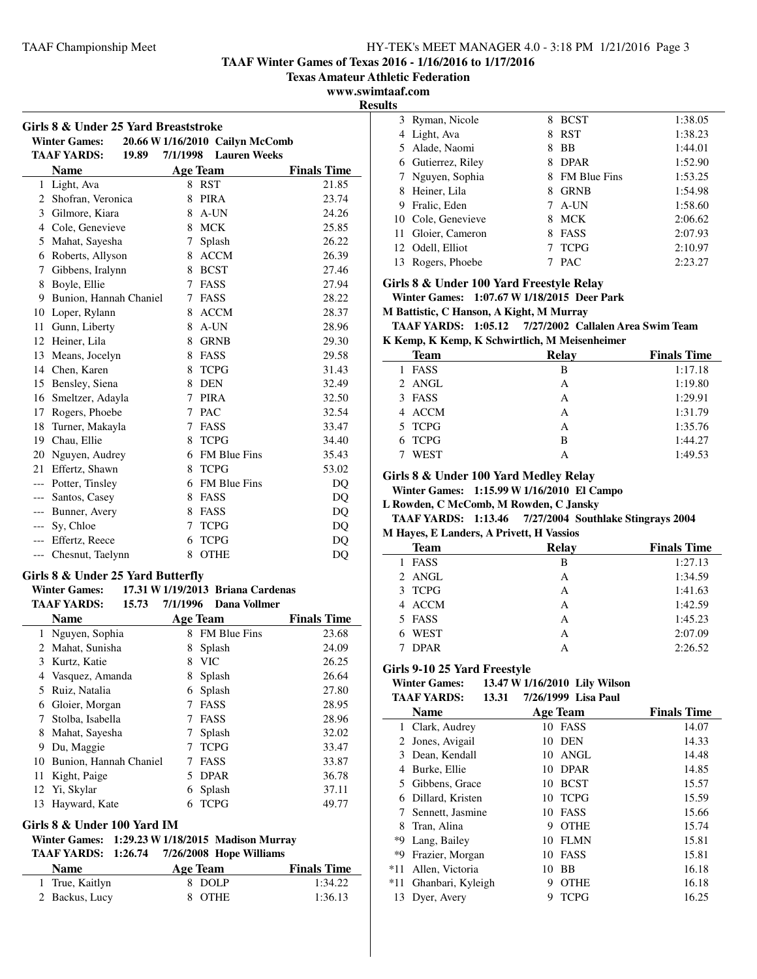**TAAF Winter Games of Texas 2016 - 1/16/2016 to 1/17/2016**

**Texas Amateur Athletic Federation**

**www.swimtaaf.com**

**Results**

| Girls 8 & Under 25 Yard Breaststroke |                             |          |                                 |                    |
|--------------------------------------|-----------------------------|----------|---------------------------------|--------------------|
|                                      | <b>Winter Games:</b>        |          | 20.66 W 1/16/2010 Cailyn McComb |                    |
|                                      | <b>TAAF YARDS:</b><br>19.89 | 7/1/1998 | <b>Lauren Weeks</b>             |                    |
|                                      | <b>Name</b>                 |          | <b>Age Team</b>                 | <b>Finals Time</b> |
| 1                                    | Light, Ava                  |          | 8 RST                           | 21.85              |
| 2                                    | Shofran, Veronica           | 8        | <b>PIRA</b>                     | 23.74              |
| 3                                    | Gilmore, Kiara              | 8        | A-UN                            | 24.26              |
| 4                                    | Cole, Genevieve             | 8        | <b>MCK</b>                      | 25.85              |
| 5                                    | Mahat, Sayesha              | 7        | Splash                          | 26.22              |
| 6                                    | Roberts, Allyson            | 8        | <b>ACCM</b>                     | 26.39              |
| 7                                    | Gibbens, Iralynn            | 8        | <b>BCST</b>                     | 27.46              |
| 8                                    | Boyle, Ellie                | 7        | <b>FASS</b>                     | 27.94              |
| 9                                    | Bunion, Hannah Chaniel      | 7        | FASS                            | 28.22              |
| 10                                   | Loper, Rylann               | 8        | <b>ACCM</b>                     | 28.37              |
| 11                                   | Gunn, Liberty               | 8        | A-UN                            | 28.96              |
| 12                                   | Heiner, Lila                | 8        | <b>GRNB</b>                     | 29.30              |
| 13                                   | Means, Jocelyn              | 8        | <b>FASS</b>                     | 29.58              |
| 14                                   | Chen, Karen                 | 8        | <b>TCPG</b>                     | 31.43              |
| 15                                   | Bensley, Siena              | 8        | <b>DEN</b>                      | 32.49              |
| 16                                   | Smeltzer, Adayla            | 7        | <b>PIRA</b>                     | 32.50              |
| 17                                   | Rogers, Phoebe              | 7        | <b>PAC</b>                      | 32.54              |
| 18                                   | Turner, Makayla             | 7        | <b>FASS</b>                     | 33.47              |
| 19                                   | Chau, Ellie                 | 8        | <b>TCPG</b>                     | 34.40              |
| 20                                   | Nguyen, Audrey              |          | 6 FM Blue Fins                  | 35.43              |
| 21                                   | Effertz, Shawn              | 8        | <b>TCPG</b>                     | 53.02              |
|                                      | --- Potter, Tinsley         |          | 6 FM Blue Fins                  | DO                 |
| $---$                                | Santos, Casey               | 8        | <b>FASS</b>                     | DQ                 |
| $---$                                | Bunner, Avery               | 8        | FASS                            | DQ                 |
| $---$                                | Sy, Chloe                   |          | 7 TCPG                          | D <sub>O</sub>     |
| ---                                  | Effertz, Reece              | 6        | <b>TCPG</b>                     | DQ                 |
| $---$                                | Chesnut, Taelynn            | 8        | <b>OTHE</b>                     | DQ                 |
|                                      |                             |          |                                 |                    |

# **Girls 8 & Under 25 Yard Butterfly**

**Winter Games: 17.31 W1/19/2013 Briana Cardenas TAAF YARDS: 15.73 Dana Vollmer 7/1/1996**

|    | 1/1/11 1/11110.<br>10.IV | ,,,,,,, | рана топпи          |                    |
|----|--------------------------|---------|---------------------|--------------------|
|    | <b>Name</b>              |         | <b>Age Team</b>     | <b>Finals Time</b> |
| 1  | Nguyen, Sophia           | 8       | <b>FM Blue Fins</b> | 23.68              |
| 2  | Mahat, Sunisha           | 8       | Splash              | 24.09              |
| 3  | Kurtz, Katie             | 8       | <b>VIC</b>          | 26.25              |
| 4  | Vasquez, Amanda          | 8       | Splash              | 26.64              |
| 5  | Ruiz, Natalia            | 6       | Splash              | 27.80              |
| 6  | Gloier, Morgan           |         | <b>FASS</b>         | 28.95              |
| 7  | Stolba, Isabella         |         | <b>FASS</b>         | 28.96              |
| 8  | Mahat, Sayesha           |         | Splash              | 32.02              |
| 9  | Du, Maggie               | 7       | <b>TCPG</b>         | 33.47              |
| 10 | Bunion, Hannah Chaniel   | 7       | <b>FASS</b>         | 33.87              |
| 11 | Kight, Paige             | 5       | <b>DPAR</b>         | 36.78              |
| 12 | Yi, Skylar               | 6       | Splash              | 37.11              |
| 13 | Hayward, Kate            | h       | <b>TCPG</b>         | 49.77              |
|    |                          |         |                     |                    |

#### **Girls 8 & Under 100 Yard IM**

#### **Winter Games: 1:29.23 W1/18/2015 Madison Murray TAAF YARDS:** 1:26.74 7/26/2008 Hope Williams

| <b>Name</b>     | Age Team | <b>Finals Time</b> |
|-----------------|----------|--------------------|
| 1 True, Kaitlyn | 8 DOLP   | 1:34.22            |
| 2 Backus, Lucy  | 8 OTHE   | 1:36.13            |

| 1 L.J |                    |   |                     |         |
|-------|--------------------|---|---------------------|---------|
|       | 3 Ryman, Nicole    | 8 | <b>BCST</b>         | 1:38.05 |
| 4     | Light, Ava         | 8 | <b>RST</b>          | 1:38.23 |
|       | 5 Alade, Naomi     |   | BB                  | 1:44.01 |
| 6     | Gutierrez, Riley   |   | <b>DPAR</b>         | 1:52.90 |
|       | 7 Nguyen, Sophia   | 8 | <b>FM Blue Fins</b> | 1:53.25 |
|       | 8 Heiner, Lila     |   | <b>GRNB</b>         | 1:54.98 |
| 9     | Fralic, Eden       |   | A-UN                | 1:58.60 |
|       | 10 Cole, Genevieve | 8 | MCK                 | 2:06.62 |
|       | 11 Gloier, Cameron |   | <b>FASS</b>         | 2:07.93 |
|       | 12 Odell, Elliot   |   | <b>TCPG</b>         | 2:10.97 |
|       | Rogers, Phoebe     |   | <b>PAC</b>          | 2:23.27 |

## **Girls 8 & Under 100 Yard Freestyle Relay**

**Winter Games: 1:07.67 W1/18/2015 Deer Park**

#### **M Battistic, C Hanson, A Kight, M Murray**

**TAAF YARDS: 1:05.12 Callalen Area Swim Team 7/27/2002**

**K Kemp, K Kemp, K Schwirtlich, M Meisenheimer**

| <b>Team</b> | Relay | <b>Finals Time</b> |
|-------------|-------|--------------------|
| 1 FASS      | в     | 1:17.18            |
| 2 ANGL      | A     | 1:19.80            |
| 3 FASS      | A     | 1:29.91            |
| 4 ACCM      | A     | 1:31.79            |
| 5 TCPG      | A     | 1:35.76            |
| 6 TCPG      | в     | 1:44.27            |
| <b>WEST</b> | А     | 1:49.53            |
|             |       |                    |

#### **Girls 8 & Under 100 Yard Medley Relay**

**Winter Games: 1:15.99 W1/16/2010 El Campo**

**L Rowden, C McComb, M Rowden, C Jansky**

#### **TAAF YARDS: 1:13.46 Southlake Stingrays 2004 7/27/2004 M Hayes, E Landers, A Privett, H Vassios**

| Team        | Relay | <b>Finals Time</b> |
|-------------|-------|--------------------|
| 1 FASS      | B     | 1:27.13            |
| 2 ANGL      | А     | 1:34.59            |
| 3 TCPG      | А     | 1:41.63            |
| 4 ACCM      | А     | 1:42.59            |
| 5 FASS      | А     | 1:45.23            |
| 6 WEST      | А     | 2:07.09            |
| <b>DPAR</b> | А     | 2:26.52            |

## **Girls 9-10 25 Yard Freestyle**

#### **Winter Games: 13.47 W1/16/2010 Lily Wilson TAAF YARDS:** 13.31 7/26/1999 Lisa Paul

|                | <b>Name</b>       |    | <b>Age Team</b> | <b>Finals Time</b> |
|----------------|-------------------|----|-----------------|--------------------|
|                | 1 Clark, Audrey   | 10 | FASS            | 14.07              |
| $\overline{2}$ | Jones, Avigail    | 10 | <b>DEN</b>      | 14.33              |
| 3              | Dean, Kendall     | 10 | ANGL            | 14.48              |
| 4              | Burke, Ellie      | 10 | <b>DPAR</b>     | 14.85              |
| 5.             | Gibbens, Grace    | 10 | <b>BCST</b>     | 15.57              |
| 6              | Dillard, Kristen  | 10 | <b>TCPG</b>     | 15.59              |
|                | Sennett, Jasmine  | 10 | <b>FASS</b>     | 15.66              |
| 8              | Tran, Alina       | 9  | <b>OTHE</b>     | 15.74              |
| *9             | Lang, Bailey      | 10 | <b>FLMN</b>     | 15.81              |
| *Q             | Frazier, Morgan   | 10 | <b>FASS</b>     | 15.81              |
| $*11$          | Allen, Victoria   | 10 | <b>BB</b>       | 16.18              |
| $*11$          | Ghanbari, Kyleigh | 9  | <b>OTHE</b>     | 16.18              |
| 13             | Dyer, Avery       | Q  | <b>TCPG</b>     | 16.25              |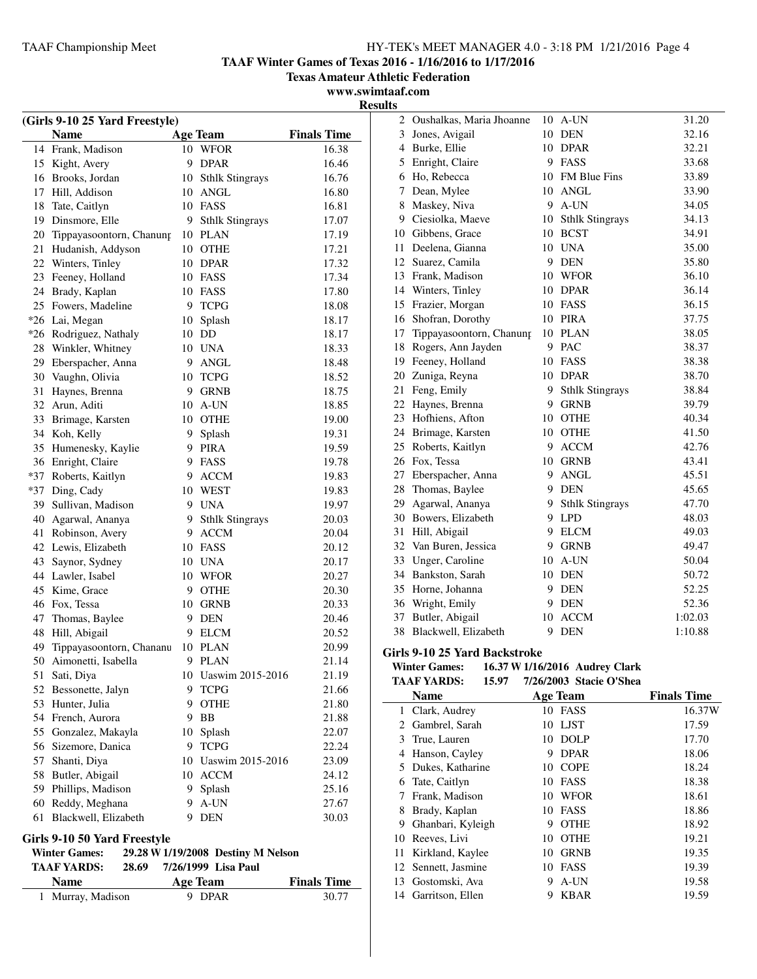Oushalkas, Maria Jhoanne 10 A-UN 31.20

**TAAF Winter Games of Texas 2016 - 1/16/2016 to 1/17/2016**

**Texas Amateur Athletic Federation**

**www.swimtaaf.com Results**

| (Girls 9-10 25 Yard Freestyle) |                              |    |                                    |                    |
|--------------------------------|------------------------------|----|------------------------------------|--------------------|
|                                | <b>Name</b>                  |    | <b>Age Team</b>                    | <b>Finals Time</b> |
| 14                             | Frank, Madison               |    | 10 WFOR                            | 16.38              |
|                                | 15 Kight, Avery              |    | 9 DPAR                             | 16.46              |
|                                | 16 Brooks, Jordan            |    | 10 Sthlk Stingrays                 | 16.76              |
| 17                             | Hill, Addison                | 10 | <b>ANGL</b>                        | 16.80              |
| 18                             | Tate, Caitlyn                |    | 10 FASS                            | 16.81              |
| 19                             | Dinsmore, Elle               | 9  | <b>Sthlk Stingrays</b>             | 17.07              |
| 20                             | Tippayasoontorn, Chanung     | 10 | <b>PLAN</b>                        | 17.19              |
| 21                             | Hudanish, Addyson            |    | 10 OTHE                            | 17.21              |
|                                | 22 Winters, Tinley           |    | 10 DPAR                            | 17.32              |
| 23                             | Feeney, Holland              |    | 10 FASS                            | 17.34              |
|                                | 24 Brady, Kaplan             |    | 10 FASS                            | 17.80              |
|                                | 25 Fowers, Madeline          |    | 9 TCPG                             | 18.08              |
|                                | *26 Lai, Megan               | 10 | Splash                             | 18.17              |
|                                | *26 Rodriguez, Nathaly       |    | 10 DD                              | 18.17              |
| 28                             | Winkler, Whitney             |    | 10 UNA                             | 18.33              |
| 29                             | Eberspacher, Anna            | 9. | ANGL                               | 18.48              |
| 30                             | Vaughn, Olivia               | 10 | <b>TCPG</b>                        | 18.52              |
| 31                             | Haynes, Brenna               | 9  | <b>GRNB</b>                        | 18.75              |
| 32                             | Arun, Aditi                  | 10 | A-UN                               | 18.85              |
| 33                             | Brimage, Karsten             |    | 10 OTHE                            | 19.00              |
|                                | 34 Koh, Kelly                | 9. | Splash                             | 19.31              |
|                                | 35 Humenesky, Kaylie         |    | 9 PIRA                             | 19.59              |
|                                | 36 Enright, Claire           |    | 9 FASS                             | 19.78              |
|                                | *37 Roberts, Kaitlyn         |    | 9 ACCM                             | 19.83              |
|                                | *37 Ding, Cady               |    | 10 WEST                            | 19.83              |
|                                | 39 Sullivan, Madison         |    | 9 UNA                              | 19.97              |
| 40                             | Agarwal, Ananya              | 9  | <b>Sthlk Stingrays</b>             | 20.03              |
| 41                             | Robinson, Avery              | 9. | <b>ACCM</b>                        | 20.04              |
|                                | 42 Lewis, Elizabeth          |    | 10 FASS                            | 20.12              |
| 43                             | Saynor, Sydney               |    | 10 UNA                             | 20.17              |
|                                | 44 Lawler, Isabel            |    | 10 WFOR                            | 20.27              |
|                                | 45 Kime, Grace               | 9  | <b>OTHE</b>                        | 20.30              |
|                                | 46 Fox, Tessa                | 10 | <b>GRNB</b>                        | 20.33              |
|                                | 47 Thomas, Baylee            |    | 9 DEN                              | 20.46              |
| 48                             | Hill, Abigail                | 9  | ELCM                               | 20.52              |
| 49                             | Tippayasoontorn, Chananu     |    | 10 PLAN                            | 20.99              |
| 50                             | Aimonetti, Isabella          | 9  | <b>PLAN</b>                        | 21.14              |
|                                | 51 Sati, Diya                |    | 10 Uaswim 2015-2016                | 21.19              |
| 52                             | Bessonette, Jalyn            | 9. | <b>TCPG</b>                        | 21.66              |
|                                | 53 Hunter, Julia             | 9. | <b>OTHE</b>                        | 21.80              |
|                                | 54 French, Aurora            | 9. | <b>BB</b>                          | 21.88              |
|                                | 55 Gonzalez, Makayla         | 10 | Splash                             | 22.07              |
|                                | 56 Sizemore, Danica          | 9. | <b>TCPG</b>                        | 22.24              |
|                                | 57 Shanti, Diya              | 10 | Uaswim 2015-2016                   | 23.09              |
|                                | 58 Butler, Abigail           | 10 | <b>ACCM</b>                        | 24.12              |
|                                | 59 Phillips, Madison         |    | 9 Splash                           | 25.16              |
|                                | 60 Reddy, Meghana            |    | 9 A-UN                             | 27.67              |
| 61                             | Blackwell, Elizabeth         |    | 9 DEN                              | 30.03              |
|                                |                              |    |                                    |                    |
|                                | Girls 9-10 50 Yard Freestyle |    |                                    |                    |
|                                | <b>Winter Games:</b>         |    | 29.28 W 1/19/2008 Destiny M Nelson |                    |
|                                | <b>TAAF YARDS:</b><br>28.69  |    | 7/26/1999 Lisa Paul                |                    |

| <b>Name</b>       | Age Team | <b>Finals Time</b> |
|-------------------|----------|--------------------|
| 1 Murray, Madison | 9 DPAR   | 30.77              |

| 3  | Jones, Avigail              | 10 | DEN                    | 32.16   |
|----|-----------------------------|----|------------------------|---------|
| 4  | Burke, Ellie                |    | 10 DPAR                | 32.21   |
| 5  | Enright, Claire             |    | 9 FASS                 | 33.68   |
| 6  | Ho, Rebecca                 |    | 10 FM Blue Fins        | 33.89   |
| 7  | Dean, Mylee                 | 10 | <b>ANGL</b>            | 33.90   |
| 8  | Maskey, Niva                |    | 9 A-UN                 | 34.05   |
| 9. | Ciesiolka, Maeve            | 10 | <b>Sthlk Stingrays</b> | 34.13   |
|    | 10 Gibbens, Grace           | 10 | <b>BCST</b>            | 34.91   |
| 11 | Deelena, Gianna             |    | 10 UNA                 | 35.00   |
| 12 | Suarez, Camila              | 9. | <b>DEN</b>             | 35.80   |
| 13 | Frank, Madison              | 10 | <b>WFOR</b>            | 36.10   |
|    | 14 Winters, Tinley          |    | 10 DPAR                | 36.14   |
| 15 | Frazier, Morgan             |    | 10 FASS                | 36.15   |
|    | 16 Shofran, Dorothy         |    | 10 PIRA                | 37.75   |
|    | 17 Tippayasoontorn, Chanung |    | 10 PLAN                | 38.05   |
| 18 | Rogers, Ann Jayden          |    | 9 PAC                  | 38.37   |
|    | 19 Feeney, Holland          | 10 | <b>FASS</b>            | 38.38   |
| 20 | Zuniga, Reyna               | 10 | <b>DPAR</b>            | 38.70   |
| 21 | Feng, Emily                 | 9  | <b>Sthlk Stingrays</b> | 38.84   |
| 22 | Haynes, Brenna              | 9  | <b>GRNB</b>            | 39.79   |
| 23 | Hofhiens, Afton             | 10 | <b>OTHE</b>            | 40.34   |
| 24 | Brimage, Karsten            | 10 | <b>OTHE</b>            | 41.50   |
| 25 | Roberts, Kaitlyn            | 9  | <b>ACCM</b>            | 42.76   |
| 26 | Fox, Tessa                  | 10 | <b>GRNB</b>            | 43.41   |
| 27 | Eberspacher, Anna           | 9  | $\operatorname{ANGL}$  | 45.51   |
| 28 | Thomas, Baylee              |    | 9 DEN                  | 45.65   |
| 29 | Agarwal, Ananya             | 9  | <b>Sthlk Stingrays</b> | 47.70   |
| 30 | Bowers, Elizabeth           | 9  | <b>LPD</b>             | 48.03   |
| 31 | Hill, Abigail               | 9  | <b>ELCM</b>            | 49.03   |
| 32 | Van Buren, Jessica          | 9  | <b>GRNB</b>            | 49.47   |
| 33 | Unger, Caroline             | 10 | A-UN                   | 50.04   |
| 34 | Bankston, Sarah             | 10 | <b>DEN</b>             | 50.72   |
| 35 | Horne, Johanna              | 9  | <b>DEN</b>             | 52.25   |
| 36 | Wright, Emily               | 9  | <b>DEN</b>             | 52.36   |
| 37 | Butler, Abigail             | 10 | <b>ACCM</b>            | 1:02.03 |
| 38 | Blackwell, Elizabeth        | 9  | <b>DEN</b>             | 1:10.88 |

#### **Girls 9-10 25 Yard Backstroke**

#### **Winter Games: 16.37 W1/16/2016 Audrey Clark** 15.97 7/26/2003 Stacie O'Sh

|    | IAAF YAKDS:<br>15.97 |    | 7/26/2003 - Stacie O'Shea |                    |
|----|----------------------|----|---------------------------|--------------------|
|    | <b>Name</b>          |    | <b>Age Team</b>           | <b>Finals Time</b> |
| 1  | Clark, Audrey        | 10 | FASS                      | 16.37W             |
| 2  | Gambrel, Sarah       |    | 10 LJST                   | 17.59              |
| 3  | True, Lauren         | 10 | <b>DOLP</b>               | 17.70              |
| 4  | Hanson, Cayley       | 9  | <b>DPAR</b>               | 18.06              |
| 5. | Dukes, Katharine     | 10 | <b>COPE</b>               | 18.24              |
| 6  | Tate, Caitlyn        | 10 | <b>FASS</b>               | 18.38              |
| 7  | Frank, Madison       | 10 | <b>WFOR</b>               | 18.61              |
| 8  | Brady, Kaplan        | 10 | FASS                      | 18.86              |
| 9  | Ghanbari, Kyleigh    | 9  | <b>OTHE</b>               | 18.92              |
| 10 | Reeves, Livi         | 10 | <b>OTHE</b>               | 19.21              |
| 11 | Kirkland, Kaylee     | 10 | <b>GRNB</b>               | 19.35              |
|    | 12 Sennett, Jasmine  | 10 | <b>FASS</b>               | 19.39              |
| 13 | Gostomski, Ava       | 9  | A-UN                      | 19.58              |
| 14 | Garritson, Ellen     | 9  | <b>KBAR</b>               | 19.59              |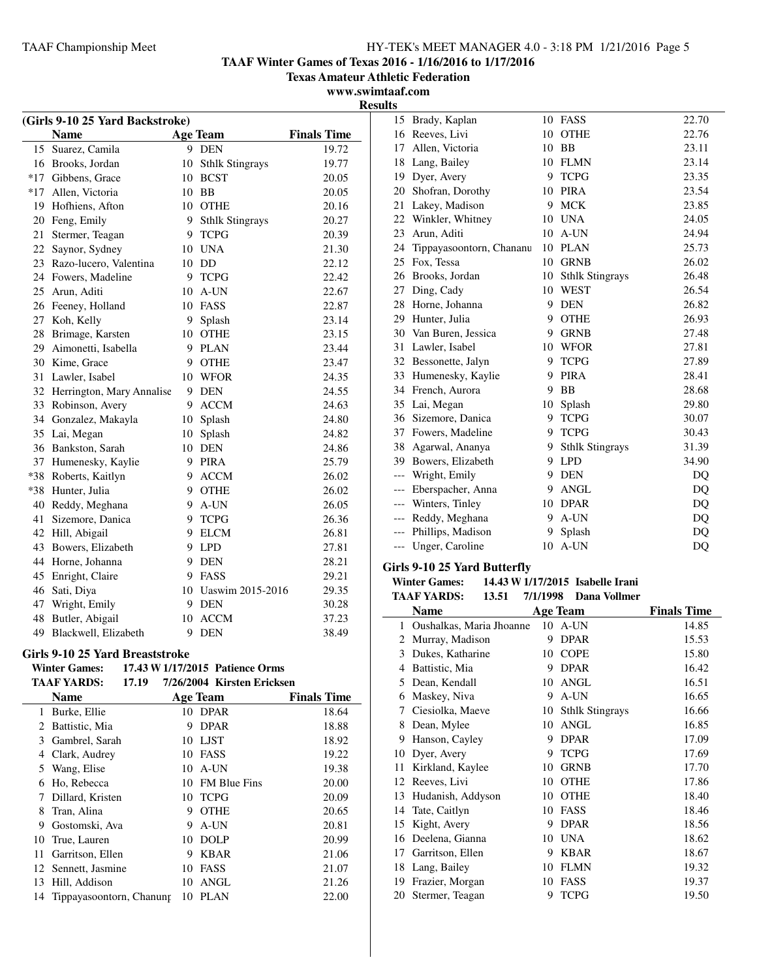**TAAF Winter Games of Texas 2016 - 1/16/2016 to 1/17/2016**

**Texas Amateur Athletic Federation**

**www.swimtaaf.com Results**

| (Girls 9-10 25 Yard Backstroke) |                           |    |                        |                    |
|---------------------------------|---------------------------|----|------------------------|--------------------|
|                                 | <b>Name</b>               |    | <b>Age Team</b>        | <b>Finals Time</b> |
| 15                              | Suarez, Camila            |    | 9 DEN                  | 19.72              |
| 16                              | Brooks, Jordan            | 10 | <b>Sthlk Stingrays</b> | 19.77              |
| $*17$                           | Gibbens, Grace            |    | 10 BCST                | 20.05              |
| $*17$                           | Allen, Victoria           |    | 10 BB                  | 20.05              |
| 19                              | Hofhiens, Afton           |    | 10 OTHE                | 20.16              |
| 20                              | Feng, Emily               | 9  | <b>Sthlk Stingrays</b> | 20.27              |
| 21                              | Stermer, Teagan           |    | 9 TCPG                 | 20.39              |
| 22                              | Saynor, Sydney            |    | 10 UNA                 | 21.30              |
| 23                              | Razo-lucero, Valentina    |    | 10 DD                  | 22.12              |
| 24                              | Fowers, Madeline          |    | 9 TCPG                 | 22.42              |
| 25                              | Arun, Aditi               | 10 | A-UN                   | 22.67              |
|                                 | 26 Feeney, Holland        | 10 | <b>FASS</b>            | 22.87              |
| 27                              | Koh, Kelly                | 9  | Splash                 | 23.14              |
| 28                              | Brimage, Karsten          |    | 10 OTHE                | 23.15              |
| 29                              | Aimonetti, Isabella       |    | 9 PLAN                 | 23.44              |
| 30                              | Kime, Grace               |    | 9 OTHE                 | 23.47              |
| 31                              | Lawler, Isabel            |    | 10 WFOR                | 24.35              |
| 32                              | Herrington, Mary Annalise |    | 9 DEN                  | 24.55              |
| 33                              | Robinson, Avery           | 9  | <b>ACCM</b>            | 24.63              |
| 34                              | Gonzalez, Makayla         |    | 10 Splash              | 24.80              |
| 35                              | Lai, Megan                | 10 | Splash                 | 24.82              |
| 36                              | Bankston, Sarah           |    | 10 DEN                 | 24.86              |
| 37                              | Humenesky, Kaylie         |    | 9 PIRA                 | 25.79              |
| $*38$                           | Roberts, Kaitlyn          |    | 9 ACCM                 | 26.02              |
| $*38$                           | Hunter, Julia             |    | 9 OTHE                 | 26.02              |
| 40                              | Reddy, Meghana            | 9  | A-UN                   | 26.05              |
| 41                              | Sizemore, Danica          | 9  | <b>TCPG</b>            | 26.36              |
| 42                              | Hill, Abigail             | 9  | <b>ELCM</b>            | 26.81              |
| 43                              | Bowers, Elizabeth         | 9  | <b>LPD</b>             | 27.81              |
| 44                              | Horne, Johanna            | 9  | <b>DEN</b>             | 28.21              |
| 45                              | Enright, Claire           |    | 9 FASS                 | 29.21              |
| 46                              | Sati, Diya                |    | 10 Uaswim 2015-2016    | 29.35              |
| 47                              | Wright, Emily             |    | 9 DEN                  | 30.28              |
| 48                              | Butler, Abigail           | 10 | <b>ACCM</b>            | 37.23              |
| 49                              | Blackwell, Elizabeth      | 9  | <b>DEN</b>             | 38.49              |
| . .                             | 0.40.977                  |    |                        |                    |

# **Girls 9-10 25 Yard Breaststroke**<br>Winter Games: 17.43 W 1/17/20

| TV TV THEM DECAY CHE THE |                          |          |      |                                 |                    |
|--------------------------|--------------------------|----------|------|---------------------------------|--------------------|
|                          | <b>Winter Games:</b>     |          |      | 17.43 W 1/17/2015 Patience Orms |                    |
|                          | TAAF YARDS:              | 17.19    |      | 7/26/2004 Kirsten Ericksen      |                    |
|                          | <b>Name</b>              | Age Team |      |                                 | <b>Finals Time</b> |
| 1                        | Burke, Ellie             |          |      | 10 DPAR                         | 18.64              |
| 2                        | Battistic, Mia           | 9        |      | <b>DPAR</b>                     | 18.88              |
| 3                        | Gambrel, Sarah           | 10       | LJST |                                 | 18.92              |
| 4                        | Clark, Audrey            | 10       |      | FASS                            | 19.22              |
| 5                        | Wang, Elise              | 10       |      | A-UN                            | 19.38              |
| 6                        | Ho, Rebecca              | 10       |      | <b>FM Blue Fins</b>             | 20.00              |
| 7                        | Dillard, Kristen         | 10       |      | <b>TCPG</b>                     | 20.09              |
| 8                        | Tran, Alina              | 9        |      | <b>OTHE</b>                     | 20.65              |
| 9                        | Gostomski, Ava           | 9        |      | A-UN                            | 20.81              |
| 10                       | True, Lauren             | 10       |      | <b>DOLP</b>                     | 20.99              |
| 11                       | Garritson, Ellen         | 9        |      | <b>KBAR</b>                     | 21.06              |
| 12                       | Sennett, Jasmine         | 10       |      | FASS                            | 21.07              |
| 13                       | Hill, Addison            | 10       |      | ANGL                            | 21.26              |
| 14                       | Tippayasoontorn, Chanung | 10       |      | PLAN                            | 22.00              |
|                          |                          |          |      |                                 |                    |

| 15    | Brady, Kaplan            |    | 10 FASS                | 22.70 |
|-------|--------------------------|----|------------------------|-------|
|       | 16 Reeves, Livi          | 10 | <b>OTHE</b>            | 22.76 |
| 17    | Allen, Victoria          | 10 | BB                     | 23.11 |
| 18    | Lang, Bailey             | 10 | <b>FLMN</b>            | 23.14 |
| 19    | Dyer, Avery              | 9  | <b>TCPG</b>            | 23.35 |
| 20    | Shofran, Dorothy         | 10 | <b>PIRA</b>            | 23.54 |
| 21    | Lakey, Madison           | 9  | <b>MCK</b>             | 23.85 |
| 22    | Winkler, Whitney         | 10 | <b>UNA</b>             | 24.05 |
| 23    | Arun, Aditi              | 10 | A-UN                   | 24.94 |
| 24    | Tippayasoontorn, Chananu | 10 | <b>PLAN</b>            | 25.73 |
| 25    | Fox, Tessa               | 10 | <b>GRNB</b>            | 26.02 |
| 26    | Brooks, Jordan           | 10 | <b>Sthlk Stingrays</b> | 26.48 |
| 27    | Ding, Cady               | 10 | <b>WEST</b>            | 26.54 |
| 28    | Horne, Johanna           | 9  | <b>DEN</b>             | 26.82 |
| 29    | Hunter, Julia            | 9  | <b>OTHE</b>            | 26.93 |
|       | 30 Van Buren, Jessica    | 9  | <b>GRNB</b>            | 27.48 |
| 31    | Lawler, Isabel           | 10 | <b>WFOR</b>            | 27.81 |
|       | 32 Bessonette, Jalyn     | 9  | <b>TCPG</b>            | 27.89 |
| 33    | Humenesky, Kaylie        | 9  | <b>PIRA</b>            | 28.41 |
| 34    | French, Aurora           | 9  | <b>BB</b>              | 28.68 |
| 35    | Lai, Megan               | 10 | Splash                 | 29.80 |
| 36    | Sizemore, Danica         | 9  | <b>TCPG</b>            | 30.07 |
| 37    | Fowers, Madeline         | 9  | <b>TCPG</b>            | 30.43 |
| 38    | Agarwal, Ananya          | 9  | <b>Sthlk Stingrays</b> | 31.39 |
| 39    | Bowers, Elizabeth        | 9  | <b>LPD</b>             | 34.90 |
| $---$ | Wright, Emily            | 9  | <b>DEN</b>             | DQ    |
| $---$ | Eberspacher, Anna        | 9  | <b>ANGL</b>            | DQ    |
| $---$ | Winters, Tinley          | 10 | <b>DPAR</b>            | DQ    |
| $---$ | Reddy, Meghana           | 9  | A-UN                   | DQ    |
| $---$ | Phillips, Madison        | 9  | Splash                 | DQ    |
| $---$ | Unger, Caroline          | 10 | A-UN                   | DQ    |
|       |                          |    |                        |       |

#### **Girls 9-10 25 Yard Butterfly**

#### **Winter Games:** 14.43 **W** 1/17/2015 Isabelle Irani<br>TAAE VARDS: 13.51 7/1/1998 Dana Vollmer **TAAF YARDS: 13.51 Dana Vollmer 7/1/1998**

|    | IAAF IAKDS:<br>19.91     | //1/1990 | рана уопшег            |                    |
|----|--------------------------|----------|------------------------|--------------------|
|    | Name                     |          | <b>Age Team</b>        | <b>Finals Time</b> |
| 1  | Oushalkas, Maria Jhoanne | 10       | A-UN                   | 14.85              |
| 2  | Murray, Madison          | 9        | <b>DPAR</b>            | 15.53              |
| 3  | Dukes, Katharine         | 10       | <b>COPE</b>            | 15.80              |
| 4  | Battistic, Mia           | 9        | <b>DPAR</b>            | 16.42              |
| 5  | Dean, Kendall            | 10       | <b>ANGL</b>            | 16.51              |
| 6  | Maskey, Niva             | 9        | A-UN                   | 16.65              |
| 7  | Ciesiolka, Maeve         | 10       | <b>Sthlk Stingrays</b> | 16.66              |
| 8  | Dean, Mylee              | 10       | <b>ANGL</b>            | 16.85              |
| 9  | Hanson, Cayley           | 9        | <b>DPAR</b>            | 17.09              |
| 10 | Dyer, Avery              | 9        | <b>TCPG</b>            | 17.69              |
| 11 | Kirkland, Kaylee         | 10       | <b>GRNB</b>            | 17.70              |
| 12 | Reeves, Livi             | 10       | <b>OTHE</b>            | 17.86              |
| 13 | Hudanish, Addyson        | 10       | <b>OTHE</b>            | 18.40              |
| 14 | Tate, Caitlyn            | 10       | FASS                   | 18.46              |
| 15 | Kight, Avery             | 9        | <b>DPAR</b>            | 18.56              |
| 16 | Deelena, Gianna          | 10       | <b>UNA</b>             | 18.62              |
| 17 | Garritson, Ellen         | 9        | <b>KBAR</b>            | 18.67              |
| 18 | Lang, Bailey             | 10       | <b>FLMN</b>            | 19.32              |
| 19 | Frazier, Morgan          | 10       | FASS                   | 19.37              |
| 20 | Stermer, Teagan          | 9        | <b>TCPG</b>            | 19.50              |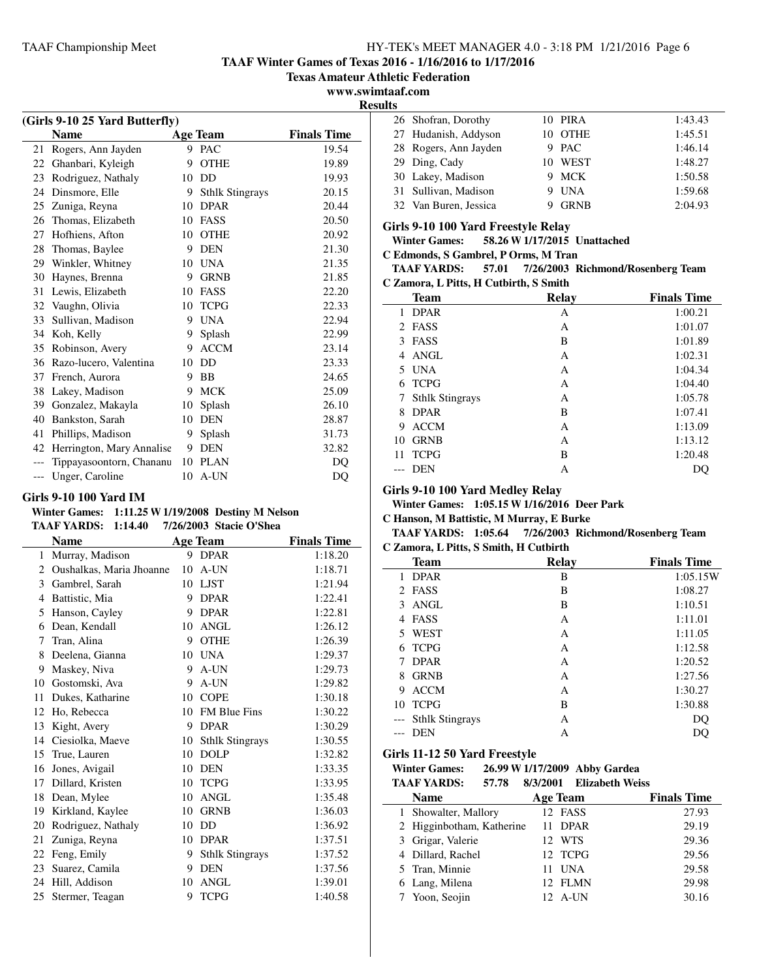**TAAF Winter Games of Texas 2016 - 1/16/2016 to 1/17/2016**

**Texas Amateur Athletic Federation**

**www.swimtaaf.com**

**Results**

|     | (Girls 9-10 25 Yard Butterfly) |    |                        |                    |  |  |
|-----|--------------------------------|----|------------------------|--------------------|--|--|
|     | <b>Name</b>                    |    | Age Team               | <b>Finals Time</b> |  |  |
| 21  | Rogers, Ann Jayden             | 9  | <b>PAC</b>             | 19.54              |  |  |
| 22  | Ghanbari, Kyleigh              | 9  | <b>OTHE</b>            | 19.89              |  |  |
| 23  | Rodriguez, Nathaly             | 10 | DD                     | 19.93              |  |  |
| 24  | Dinsmore, Elle                 | 9  | <b>Sthlk Stingrays</b> | 20.15              |  |  |
| 25  | Zuniga, Reyna                  | 10 | <b>DPAR</b>            | 20.44              |  |  |
| 26  | Thomas, Elizabeth              | 10 | FASS                   | 20.50              |  |  |
| 27  | Hofhiens, Afton                | 10 | <b>OTHE</b>            | 20.92              |  |  |
| 28  | Thomas, Baylee                 | 9  | <b>DEN</b>             | 21.30              |  |  |
| 29  | Winkler, Whitney               | 10 | <b>UNA</b>             | 21.35              |  |  |
| 30  | Haynes, Brenna                 | 9  | <b>GRNB</b>            | 21.85              |  |  |
| 31  | Lewis, Elizabeth               | 10 | <b>FASS</b>            | 22.20              |  |  |
| 32  | Vaughn, Olivia                 | 10 | <b>TCPG</b>            | 22.33              |  |  |
| 33  | Sullivan, Madison              | 9  | <b>UNA</b>             | 22.94              |  |  |
| 34  | Koh, Kelly                     | 9  | Splash                 | 22.99              |  |  |
| 35  | Robinson, Avery                | 9  | <b>ACCM</b>            | 23.14              |  |  |
| 36  | Razo-lucero, Valentina         | 10 | DD                     | 23.33              |  |  |
| 37  | French, Aurora                 | 9  | BB                     | 24.65              |  |  |
| 38  | Lakey, Madison                 | 9  | <b>MCK</b>             | 25.09              |  |  |
| 39  | Gonzalez, Makayla              | 10 | Splash                 | 26.10              |  |  |
| 40  | Bankston, Sarah                | 10 | <b>DEN</b>             | 28.87              |  |  |
| 41  | Phillips, Madison              | 9  | Splash                 | 31.73              |  |  |
| 42  | Herrington, Mary Annalise      | 9  | <b>DEN</b>             | 32.82              |  |  |
| --- | Tippayasoontorn, Chananu       | 10 | <b>PLAN</b>            | DO                 |  |  |
| --- | Unger, Caroline                | 10 | A-UN                   | DO                 |  |  |

# **Girls 9-10 100 Yard IM**

 $\overline{\phantom{0}}$ 

#### **Winter Games: 1:11.25 W1/19/2008 Destiny M Nelson TAAF YARDS: 1:14.40 7/26/2003 Stacie O'Shea**

|    | <b>Name</b>              |    | <b>Age Team</b>        | <b>Finals Time</b> |
|----|--------------------------|----|------------------------|--------------------|
| 1  | Murray, Madison          | 9  | <b>DPAR</b>            | 1:18.20            |
| 2  | Oushalkas, Maria Jhoanne | 10 | A-UN                   | 1:18.71            |
| 3  | Gambrel, Sarah           | 10 | <b>LJST</b>            | 1:21.94            |
| 4  | Battistic, Mia           | 9  | <b>DPAR</b>            | 1:22.41            |
| 5  | Hanson, Cayley           | 9  | <b>DPAR</b>            | 1:22.81            |
| 6  | Dean, Kendall            | 10 | <b>ANGL</b>            | 1:26.12            |
| 7  | Tran, Alina              | 9  | <b>OTHE</b>            | 1:26.39            |
| 8  | Deelena, Gianna          | 10 | <b>UNA</b>             | 1:29.37            |
| 9  | Maskey, Niva             | 9  | A-UN                   | 1:29.73            |
| 10 | Gostomski, Ava           | 9  | A-UN                   | 1:29.82            |
| 11 | Dukes, Katharine         | 10 | <b>COPE</b>            | 1:30.18            |
| 12 | Ho, Rebecca              | 10 | FM Blue Fins           | 1:30.22            |
| 13 | Kight, Avery             | 9  | <b>DPAR</b>            | 1:30.29            |
| 14 | Ciesiolka, Maeve         | 10 | <b>Sthlk Stingrays</b> | 1:30.55            |
| 15 | True, Lauren             | 10 | <b>DOLP</b>            | 1:32.82            |
| 16 | Jones, Avigail           | 10 | <b>DEN</b>             | 1:33.35            |
| 17 | Dillard, Kristen         | 10 | <b>TCPG</b>            | 1:33.95            |
| 18 | Dean, Mylee              | 10 | <b>ANGL</b>            | 1:35.48            |
| 19 | Kirkland, Kaylee         | 10 | <b>GRNB</b>            | 1:36.03            |
| 20 | Rodriguez, Nathaly       | 10 | DD                     | 1:36.92            |
| 21 | Zuniga, Reyna            | 10 | <b>DPAR</b>            | 1:37.51            |
| 22 | Feng, Emily              | 9  | <b>Sthlk Stingrays</b> | 1:37.52            |
| 23 | Suarez, Camila           | 9  | <b>DEN</b>             | 1:37.56            |
| 24 | Hill, Addison            | 10 | <b>ANGL</b>            | 1:39.01            |
| 25 | Stermer, Teagan          | 9  | <b>TCPG</b>            | 1:40.58            |
|    |                          |    |                        |                    |

| . |                       |             |         |
|---|-----------------------|-------------|---------|
|   | 26 Shofran, Dorothy   | 10 PIRA     | 1:43.43 |
|   | 27 Hudanish, Addyson  | 10 OTHE     | 1:45.51 |
|   | 28 Rogers, Ann Jayden | 9 PAC       | 1:46.14 |
|   | 29 Ding, Cady         | 10 WEST     | 1:48.27 |
|   | 30 Lakey, Madison     | 9 MCK       | 1:50.58 |
|   | 31 Sullivan, Madison  | 9 UNA       | 1:59.68 |
|   | 32 Van Buren, Jessica | <b>GRNB</b> | 2:04.93 |

#### **Girls 9-10 100 Yard Freestyle Relay**

**Winter Games: 58.26 W1/17/2015 Unattached**

#### **C Edmonds, S Gambrel, P Orms, M Tran**

#### TAAF YARDS: 57.01 7/26/2003 Richmond/Rosenberg Team **C Zamora, L Pitts, H Cutbirth, S Smith**

|    | <b>Team</b>            | <b>Relay</b> | <b>Finals Time</b> |
|----|------------------------|--------------|--------------------|
| 1  | <b>DPAR</b>            | А            | 1:00.21            |
|    | 2 FASS                 | А            | 1:01.07            |
| 3  | FASS                   | B            | 1:01.89            |
| 4  | ANGL                   | A            | 1:02.31            |
|    | 5 UNA                  | А            | 1:04.34            |
| 6  | <b>TCPG</b>            | А            | 1:04.40            |
| 7  | <b>Sthlk Stingrays</b> | А            | 1:05.78            |
| 8  | <b>DPAR</b>            | B            | 1:07.41            |
| 9  | <b>ACCM</b>            | A            | 1:13.09            |
| 10 | <b>GRNB</b>            | А            | 1:13.12            |
| 11 | <b>TCPG</b>            | B            | 1:20.48            |
|    | <b>DEN</b>             | А            |                    |
|    |                        |              |                    |

#### **Girls 9-10 100 Yard Medley Relay**

**Winter Games: 1:05.15 W1/16/2016 Deer Park**

**C Hanson, M Battistic, M Murray, E Burke**

#### TAAF YARDS: 1:05.64 7/26/2003 Richmond/Rosenberg Team **C Zamora, L Pitts, S Smith, H Cutbirth**

| <b>Team</b>         | <b>Relay</b> | <b>Finals Time</b> |
|---------------------|--------------|--------------------|
| <b>DPAR</b><br>1    | B            | 1:05.15W           |
| 2 FASS              | B            | 1:08.27            |
| 3 ANGL              | B            | 1:10.51            |
| <b>FASS</b><br>4    | A            | 1:11.01            |
| 5 WEST              | A            | 1:11.05            |
| <b>TCPG</b><br>6    | A            | 1:12.58            |
| <b>DPAR</b><br>7    | A            | 1:20.52            |
| <b>GRNB</b><br>8    | A            | 1:27.56            |
| <b>ACCM</b><br>9    | A            | 1:30.27            |
| <b>TCPG</b><br>10   | B            | 1:30.88            |
| --- Sthlk Stingrays | A            | DO                 |
| <b>DEN</b>          | А            |                    |

#### **Girls 11-12 50 Yard Freestyle**

**Winter Games:** 26.99 **W** 1/17/2009 Abby Gardea<br>TAAE VA PDS: 57.78 8/2/2001 Elizabeth Wei **TAAF YARDS: 57.78 Elizabeth Weiss 8/3/2001**

| IAAF IAKDƏ:<br>21.10      | 0/ <i>3/4</i> DUZADELII WEISS |                    |
|---------------------------|-------------------------------|--------------------|
| <b>Name</b>               | <b>Age Team</b>               | <b>Finals Time</b> |
| 1 Showalter, Mallory      | 12 FASS                       | 27.93              |
| 2 Higginbotham, Katherine | 11 DPAR                       | 29.19              |
| 3 Grigar, Valerie         | 12 WTS                        | 29.36              |
| 4 Dillard, Rachel         | 12 TCPG                       | 29.56              |
| 5 Tran, Minnie            | 11 UNA                        | 29.58              |
| 6 Lang, Milena            | 12 FLMN                       | 29.98              |
| 7 Yoon, Seojin            | 12 A-UN                       | 30.16              |
|                           |                               |                    |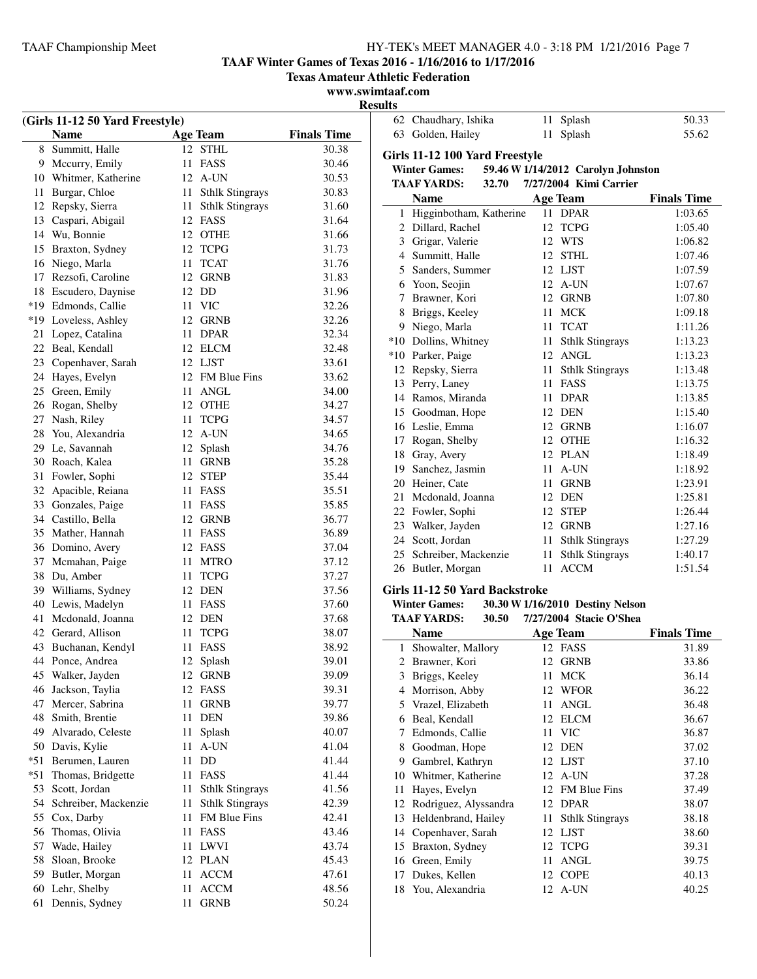Chaudhary, Ishika 11 Splash 50.33 Golden, Hailey 11 Splash 55.62

**TAAF Winter Games of Texas 2016 - 1/16/2016 to 1/17/2016**

**Texas Amateur Athletic Federation**

**www.swimtaaf.com Results**

| (Girls 11-12 50 Yard Freestyle) |                      |    |                        |                    |  |
|---------------------------------|----------------------|----|------------------------|--------------------|--|
|                                 | <b>Name</b>          |    | Age Team               | <b>Finals Time</b> |  |
| 8                               | Summitt, Halle       |    | 12 STHL                | 30.38              |  |
| 9                               | Mccurry, Emily       | 11 | FASS                   | 30.46              |  |
| 10                              | Whitmer, Katherine   |    | 12 A-UN                | 30.53              |  |
| 11                              | Burgar, Chloe        | 11 | <b>Sthlk Stingrays</b> | 30.83              |  |
| 12                              | Repsky, Sierra       | 11 | <b>Sthlk Stingrays</b> | 31.60              |  |
| 13                              | Caspari, Abigail     |    | 12 FASS                | 31.64              |  |
| 14                              | Wu, Bonnie           |    | 12 OTHE                | 31.66              |  |
| 15                              | Braxton, Sydney      | 12 | <b>TCPG</b>            | 31.73              |  |
| 16                              | Niego, Marla         | 11 | <b>TCAT</b>            | 31.76              |  |
| 17                              | Rezsofi, Caroline    | 12 | <b>GRNB</b>            | 31.83              |  |
| 18                              | Escudero, Daynise    | 12 | DD                     | 31.96              |  |
|                                 | *19 Edmonds, Callie  | 11 | <b>VIC</b>             | 32.26              |  |
|                                 | *19 Loveless, Ashley | 12 | GRNB                   | 32.26              |  |
| 21                              | Lopez, Catalina      | 11 | DPAR                   | 32.34              |  |
|                                 | 22 Beal, Kendall     |    | 12 ELCM                | 32.48              |  |
|                                 | 23 Copenhaver, Sarah |    | 12 LJST                | 33.61              |  |
| 24                              | Hayes, Evelyn        |    | 12 FM Blue Fins        | 33.62              |  |
| 25                              | Green, Emily         | 11 | <b>ANGL</b>            | 34.00              |  |
| 26                              | Rogan, Shelby        |    | 12 OTHE                | 34.27              |  |
| 27                              | Nash, Riley          | 11 | <b>TCPG</b>            | 34.57              |  |
| 28                              | You, Alexandria      | 12 | A-UN                   | 34.65              |  |
| 29                              | Le, Savannah         | 12 | Splash                 | 34.76              |  |
| 30                              | Roach, Kalea         | 11 | <b>GRNB</b>            | 35.28              |  |
| 31                              | Fowler, Sophi        | 12 | <b>STEP</b>            | 35.44              |  |
| 32                              | Apacible, Reiana     | 11 | FASS                   | 35.51              |  |
| 33                              | Gonzales, Paige      | 11 | FASS                   | 35.85              |  |
| 34                              | Castillo, Bella      |    | 12 GRNB                | 36.77              |  |
| 35                              | Mather, Hannah       | 11 | FASS                   | 36.89              |  |
| 36                              | Domino, Avery        |    | 12 FASS                | 37.04              |  |
| 37                              | Mcmahan, Paige       | 11 | <b>MTRO</b>            | 37.12              |  |
| 38                              | Du, Amber            | 11 | <b>TCPG</b>            | 37.27              |  |
| 39                              | Williams, Sydney     |    | 12 DEN                 | 37.56              |  |
| 40                              | Lewis, Madelyn       |    | 11 FASS                | 37.60              |  |
| 41                              | Mcdonald, Joanna     | 12 | DEN                    | 37.68              |  |
| 42                              | Gerard, Allison      | 11 | <b>TCPG</b>            | 38.07              |  |
| 43                              | Buchanan, Kendyl     | 11 | FASS                   | 38.92              |  |
| 44                              | Ponce, Andrea        | 12 | Splash                 | 39.01              |  |
| 45                              | Walker, Jayden       | 12 | <b>GRNB</b>            | 39.09              |  |
| 46                              | Jackson, Taylia      | 12 | FASS                   | 39.31              |  |
| 47                              | Mercer, Sabrina      | 11 | <b>GRNB</b>            | 39.77              |  |
| 48                              | Smith, Brentie       | 11 | <b>DEN</b>             | 39.86              |  |
| 49                              | Alvarado, Celeste    | 11 | Splash                 | 40.07              |  |
| 50                              | Davis, Kylie         | 11 | A-UN                   | 41.04              |  |
| $*51$                           | Berumen, Lauren      | 11 | DD                     | 41.44              |  |
| $*51$                           | Thomas, Bridgette    | 11 | FASS                   | 41.44              |  |
| 53                              | Scott, Jordan        | 11 | <b>Sthlk Stingrays</b> | 41.56              |  |
| 54                              | Schreiber, Mackenzie | 11 | <b>Sthlk Stingrays</b> | 42.39              |  |
| 55                              | Cox, Darby           | 11 | FM Blue Fins           | 42.41              |  |
| 56                              | Thomas, Olivia       | 11 | FASS                   | 43.46              |  |
| 57                              | Wade, Hailey         | 11 | LWVI                   | 43.74              |  |
| 58                              | Sloan, Brooke        | 12 | <b>PLAN</b>            | 45.43              |  |
| 59                              | Butler, Morgan       | 11 | <b>ACCM</b>            | 47.61              |  |
| 60                              | Lehr, Shelby         | 11 | <b>ACCM</b>            | 48.56              |  |
| 61                              | Dennis, Sydney       | 11 | <b>GRNB</b>            | 50.24              |  |
|                                 |                      |    |                        |                    |  |

| Girls 11-12 100 Yard Freestyle |                         |       |                 |             |                                    |                    |
|--------------------------------|-------------------------|-------|-----------------|-------------|------------------------------------|--------------------|
|                                | <b>Winter Games:</b>    |       |                 |             | 59.46 W 1/14/2012 Carolyn Johnston |                    |
|                                | <b>TAAF YARDS:</b>      | 32.70 |                 |             | 7/27/2004 Kimi Carrier             |                    |
|                                | <b>Name</b>             |       | <b>Age Team</b> |             |                                    | <b>Finals Time</b> |
| 1                              | Higginbotham, Katherine |       | 11              |             | <b>DPAR</b>                        | 1:03.65            |
| 2                              | Dillard, Rachel         |       | 12              |             | <b>TCPG</b>                        | 1:05.40            |
| 3                              | Grigar, Valerie         |       | 12              | <b>WTS</b>  |                                    | 1:06.82            |
| 4                              | Summitt, Halle          |       | 12              |             | <b>STHL</b>                        | 1:07.46            |
| 5                              | Sanders, Summer         |       | 12 LJST         |             |                                    | 1:07.59            |
|                                | 6 Yoon, Seojin          |       | 12              |             | A-UN                               | 1:07.67            |
| 7                              | Brawner, Kori           |       | 12              |             | <b>GRNB</b>                        | 1:07.80            |
| 8                              | Briggs, Keeley          |       | 11              | <b>MCK</b>  |                                    | 1:09.18            |
| 9                              | Niego, Marla            |       | 11              |             | <b>TCAT</b>                        | 1:11.26            |
| $*10$                          | Dollins, Whitney        |       | 11              |             | <b>Sthlk Stingrays</b>             | 1:13.23            |
| $*10$                          | Parker, Paige           |       |                 |             | 12 ANGL                            | 1:13.23            |
| 12                             | Repsky, Sierra          |       | 11              |             | <b>Sthlk Stingrays</b>             | 1:13.48            |
| 13                             | Perry, Laney            |       | 11              | FASS        |                                    | 1:13.75            |
| 14                             | Ramos, Miranda          |       | 11              |             | <b>DPAR</b>                        | 1:13.85            |
| 15                             | Goodman, Hope           |       | 12              | <b>DEN</b>  |                                    | 1:15.40            |
| 16                             | Leslie, Emma            |       | 12              |             | <b>GRNB</b>                        | 1:16.07            |
| 17                             | Rogan, Shelby           |       |                 |             | 12 OTHE                            | 1:16.32            |
| 18                             | Gray, Avery             |       | 12              |             | <b>PLAN</b>                        | 1:18.49            |
| 19                             | Sanchez, Jasmin         |       | 11              |             | A-UN                               | 1:18.92            |
| 20                             | Heiner, Cate            |       | 11              |             | <b>GRNB</b>                        | 1:23.91            |
| 21                             | Mcdonald, Joanna        |       | 12 DEN          |             |                                    | 1:25.81            |
| 22                             | Fowler, Sophi           |       | 12              | <b>STEP</b> |                                    | 1:26.44            |
| 23                             | Walker, Jayden          |       | 12              |             | <b>GRNB</b>                        | 1:27.16            |
| 24                             | Scott, Jordan           |       | 11              |             | <b>Sthlk Stingrays</b>             | 1:27.29            |
| 25                             | Schreiber, Mackenzie    |       | 11              |             | <b>Sthlk Stingrays</b>             | 1:40.17            |
| 26                             | Butler, Morgan          |       | 11              |             | <b>ACCM</b>                        | 1:51.54            |

# **Girls 11-12 50 Yard Backstroke**

**Winter Games:** 30.30 **W** 1/16/2010 Destiny Nelson<br>TAAE VARDS: 30.50 7/27/2004 Stacie O'Shea

|    | <b>TAAF YARDS:</b><br>30.50 | 7/27/2004 Stacie O'Shea      |                    |
|----|-----------------------------|------------------------------|--------------------|
|    | <b>Name</b>                 | Age Team                     | <b>Finals Time</b> |
| 1  | Showalter, Mallory          | 12 FASS                      | 31.89              |
| 2  | Brawner, Kori               | <b>GRNB</b><br>12            | 33.86              |
| 3  | Briggs, Keeley              | <b>MCK</b><br>11             | 36.14              |
| 4  | Morrison, Abby              | <b>WFOR</b><br>12            | 36.22              |
| 5. | Vrazel, Elizabeth           | ANGL<br>11                   | 36.48              |
| 6  | Beal, Kendall               | <b>ELCM</b><br>12            | 36.67              |
| 7  | Edmonds, Callie             | 11 VIC                       | 36.87              |
| 8  | Goodman, Hope               | 12 DEN                       | 37.02              |
| 9  | Gambrel, Kathryn            | 12 LJST                      | 37.10              |
| 10 | Whitmer, Katherine          | A-UN<br>12                   | 37.28              |
| 11 | Hayes, Evelyn               | FM Blue Fins<br>12           | 37.49              |
| 12 | Rodriguez, Alyssandra       | <b>DPAR</b><br>12            | 38.07              |
| 13 | Heldenbrand, Hailey         | <b>Sthlk Stingrays</b><br>11 | 38.18              |
| 14 | Copenhaver, Sarah           | <b>LJST</b><br>12            | 38.60              |
| 15 | Braxton, Sydney             | 12 TCPG                      | 39.31              |
| 16 | Green, Emily                | ANGL<br>11                   | 39.75              |
| 17 | Dukes, Kellen               | <b>COPE</b><br>12            | 40.13              |
| 18 | You, Alexandria             | A-UN<br>12                   | 40.25              |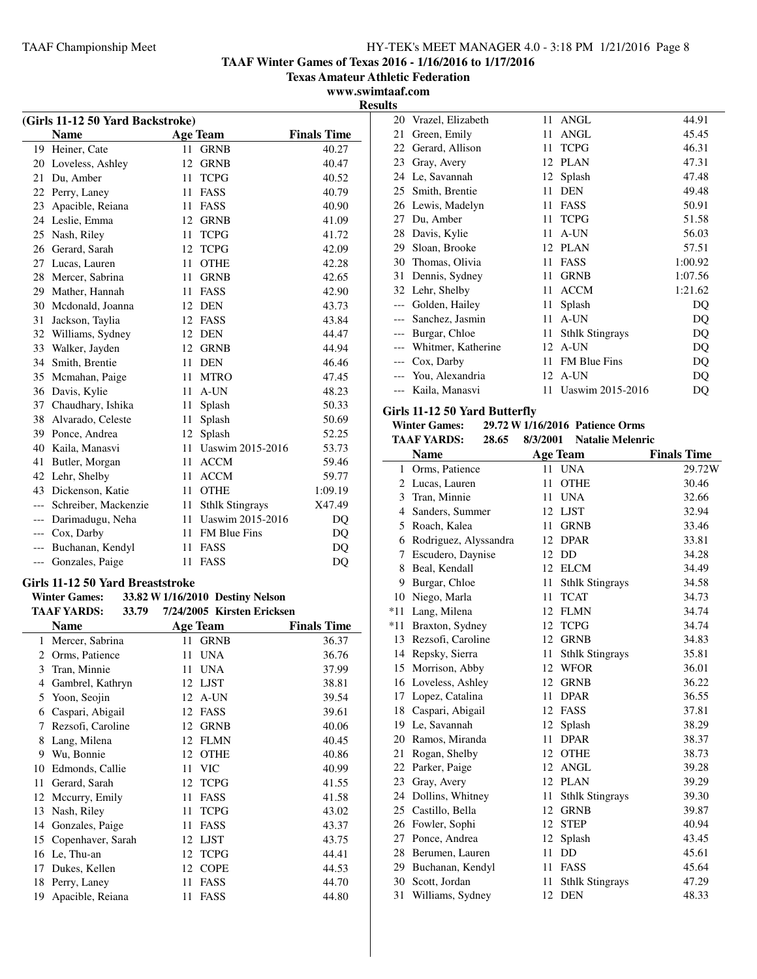**TAAF Winter Games of Texas 2016 - 1/16/2016 to 1/17/2016**

**Texas Amateur Athletic Federation**

**www.swimtaaf.com**

| (Girls 11-12 50 Yard Backstroke) |                                  |    |                                  |                    |
|----------------------------------|----------------------------------|----|----------------------------------|--------------------|
|                                  | <b>Name</b>                      |    | <b>Age Team</b>                  | <b>Finals Time</b> |
| 19                               | Heiner, Cate                     | 11 | <b>GRNB</b>                      | 40.27              |
| 20                               | Loveless, Ashley                 | 12 | <b>GRNB</b>                      | 40.47              |
| 21                               | Du. Amber                        | 11 | <b>TCPG</b>                      | 40.52              |
| 22                               | Perry, Laney                     | 11 | FASS                             | 40.79              |
| 23                               | Apacible, Reiana                 | 11 | FASS                             | 40.90              |
|                                  | 24 Leslie, Emma                  | 12 | GRNB                             | 41.09              |
| 25                               | Nash, Riley                      | 11 | <b>TCPG</b>                      | 41.72              |
| 26                               | Gerard, Sarah                    | 12 | <b>TCPG</b>                      | 42.09              |
| 27                               | Lucas, Lauren                    | 11 | <b>OTHE</b>                      | 42.28              |
| 28                               | Mercer, Sabrina                  | 11 | <b>GRNB</b>                      | 42.65              |
| 29                               | Mather, Hannah                   | 11 | FASS                             | 42.90              |
| 30                               | Mcdonald, Joanna                 | 12 | DEN                              | 43.73              |
| 31                               | Jackson, Taylia                  |    | 12 FASS                          | 43.84              |
| 32                               | Williams, Sydney                 |    | 12 DEN                           | 44.47              |
| 33                               | Walker, Jayden                   |    | 12 GRNB                          | 44.94              |
| 34                               | Smith, Brentie                   | 11 | <b>DEN</b>                       | 46.46              |
| 35                               | Mcmahan, Paige                   | 11 | <b>MTRO</b>                      | 47.45              |
| 36                               | Davis, Kylie                     | 11 | A-UN                             | 48.23              |
| 37                               | Chaudhary, Ishika                | 11 | Splash                           | 50.33              |
| 38                               | Alvarado, Celeste                | 11 | Splash                           | 50.69              |
| 39                               | Ponce, Andrea                    | 12 | Splash                           | 52.25              |
| 40                               | Kaila, Manasvi                   | 11 | Uaswim 2015-2016                 | 53.73              |
| 41                               | Butler, Morgan                   | 11 | <b>ACCM</b>                      | 59.46              |
| 42                               | Lehr, Shelby                     | 11 | <b>ACCM</b>                      | 59.77              |
| 43                               | Dickenson, Katie                 | 11 | <b>OTHE</b>                      | 1:09.19            |
|                                  | --- Schreiber, Mackenzie         | 11 | <b>Sthlk Stingrays</b>           | X47.49             |
| $---$                            | Darimadugu, Neha                 |    | 11 Uaswim 2015-2016              | DQ                 |
|                                  | --- Cox, Darby                   |    | 11 FM Blue Fins                  | DQ                 |
| $---$                            | Buchanan, Kendyl                 | 11 | <b>FASS</b>                      | DQ                 |
| ---                              | Gonzales, Paige                  | 11 | FASS                             | DQ                 |
|                                  | Girls 11-12 50 Yard Breaststroke |    |                                  |                    |
|                                  | <b>Winter Games:</b>             |    | 33.82 W 1/16/2010 Destiny Nelson |                    |
|                                  | <b>TAAF YARDS:</b><br>33.79      |    | 7/24/2005 Kirsten Ericksen       |                    |
|                                  | <b>Name</b>                      |    | <b>Age Team</b>                  | <b>Finals Time</b> |
| $\mathbf{1}$                     | Mercer, Sabrina                  | 11 | <b>GRNB</b>                      | 36.37              |
| $\overline{2}$                   | Orms, Patience                   | 11 | <b>UNA</b>                       | 36.76              |
| 3                                | Tran, Minnie                     | 11 | <b>UNA</b>                       | 37.99              |
| $\overline{4}$                   | Gambrel, Kathryn                 | 12 | LJST                             | 38.81              |

 Yoon, Seojin 12 A-UN 39.54 Caspari, Abigail 12 FASS 39.61 Rezsofi, Caroline 12 GRNB 40.06 Lang, Milena 12 FLMN 40.45 Wu, Bonnie 12 OTHE 40.86 10 Edmonds, Callie 11 VIC 40.99 Gerard, Sarah 12 TCPG 41.55 12 Mccurry, Emily 11 FASS 41.58 Nash, Riley 11 TCPG 43.02 Gonzales, Paige 11 FASS 43.37 15 Copenhaver, Sarah 12 LJST 43.75 Le, Thu-an 12 TCPG 44.41 Dukes, Kellen 12 COPE 44.53 Perry, Laney 11 FASS 44.70 Apacible, Reiana 11 FASS 44.80

| <b>Results</b> |                        |    |                        |         |
|----------------|------------------------|----|------------------------|---------|
| 20             | Vrazel, Elizabeth      |    | 11 ANGL                | 44.91   |
| 21             | Green, Emily           | 11 | <b>ANGL</b>            | 45.45   |
| 22             | Gerard, Allison        | 11 | <b>TCPG</b>            | 46.31   |
| 23             | Gray, Avery            | 12 | <b>PLAN</b>            | 47.31   |
|                | 24 Le, Savannah        |    | 12 Splash              | 47.48   |
|                | 25 Smith, Brentie      | 11 | <b>DEN</b>             | 49.48   |
|                | 26 Lewis, Madelyn      | 11 | FASS                   | 50.91   |
| 27             | Du, Amber              | 11 | <b>TCPG</b>            | 51.58   |
|                | 28 Davis, Kylie        | 11 | A-UN                   | 56.03   |
| 29             | Sloan, Brooke          |    | 12 PLAN                | 57.51   |
|                | 30 Thomas, Olivia      | 11 | FASS                   | 1:00.92 |
|                | 31 Dennis, Sydney      | 11 | <b>GRNB</b>            | 1:07.56 |
|                | 32 Lehr, Shelby        | 11 | <b>ACCM</b>            | 1:21.62 |
| $---$          | Golden, Hailey         | 11 | Splash                 | DQ      |
|                | Sanchez, Jasmin        | 11 | A-UN                   | DQ      |
|                | Burgar, Chloe          | 11 | <b>Sthlk Stingrays</b> | DQ      |
|                | --- Whitmer, Katherine |    | 12 A-UN                | DQ      |
|                | --- Cox, Darby         | 11 | <b>FM Blue Fins</b>    | DQ      |
|                | --- You, Alexandria    |    | 12 A-UN                | DQ      |

--- Kaila, Manasvi 11 Uaswim 2015-2016 DQ

#### **Girls 11-12 50 Yard Butterfly**

| <b>Winter Games:</b> |       |          | 29.72 W 1/16/2016 Patience Orms |
|----------------------|-------|----------|---------------------------------|
| <b>TAAF YARDS:</b>   | 28.65 | 8/3/2001 | <b>Natalie Melenric</b>         |

|              | <b>Name</b>           |    | <b>Age Team</b>        | <b>Finals Time</b> |
|--------------|-----------------------|----|------------------------|--------------------|
| $\mathbf{1}$ | Orms, Patience        | 11 | <b>UNA</b>             | 29.72W             |
| 2            | Lucas, Lauren         | 11 | <b>OTHE</b>            | 30.46              |
| 3            | Tran, Minnie          | 11 | <b>UNA</b>             | 32.66              |
| 4            | Sanders, Summer       | 12 | LJST                   | 32.94              |
| 5            | Roach, Kalea          | 11 | <b>GRNB</b>            | 33.46              |
| 6            | Rodriguez, Alyssandra | 12 | <b>DPAR</b>            | 33.81              |
| 7            | Escudero, Daynise     | 12 | DD                     | 34.28              |
| 8            | Beal, Kendall         | 12 | <b>ELCM</b>            | 34.49              |
| 9            | Burgar, Chloe         | 11 | <b>Sthlk Stingrays</b> | 34.58              |
| 10           | Niego, Marla          | 11 | <b>TCAT</b>            | 34.73              |
| *11          | Lang, Milena          | 12 | FLMN                   | 34.74              |
| $*11$        | Braxton, Sydney       | 12 | <b>TCPG</b>            | 34.74              |
|              | 13 Rezsofi, Caroline  |    | 12 GRNB                | 34.83              |
|              | 14 Repsky, Sierra     | 11 | <b>Sthlk Stingrays</b> | 35.81              |
| 15           | Morrison, Abby        | 12 | <b>WFOR</b>            | 36.01              |
| 16           | Loveless, Ashley      | 12 | <b>GRNB</b>            | 36.22              |
|              | 17 Lopez, Catalina    | 11 | <b>DPAR</b>            | 36.55              |
| 18           | Caspari, Abigail      | 12 | FASS                   | 37.81              |
|              | 19 Le, Savannah       | 12 | Splash                 | 38.29              |
|              | 20 Ramos, Miranda     | 11 | <b>DPAR</b>            | 38.37              |
| 21           | Rogan, Shelby         | 12 | <b>OTHE</b>            | 38.73              |
| 22           | Parker, Paige         | 12 | <b>ANGL</b>            | 39.28              |
|              | 23 Gray, Avery        |    | 12 PLAN                | 39.29              |
|              | 24 Dollins, Whitney   | 11 | <b>Sthlk Stingrays</b> | 39.30              |
| 25           | Castillo, Bella       | 12 | <b>GRNB</b>            | 39.87              |
|              | 26 Fowler, Sophi      | 12 | <b>STEP</b>            | 40.94              |
| 27           | Ponce, Andrea         | 12 | Splash                 | 43.45              |
| 28           | Berumen, Lauren       | 11 | DD                     | 45.61              |
|              | 29 Buchanan, Kendyl   | 11 | FASS                   | 45.64              |
|              | 30 Scott, Jordan      | 11 | <b>Sthlk Stingrays</b> | 47.29              |
| 31           | Williams, Sydney      | 12 | <b>DEN</b>             | 48.33              |
|              |                       |    |                        |                    |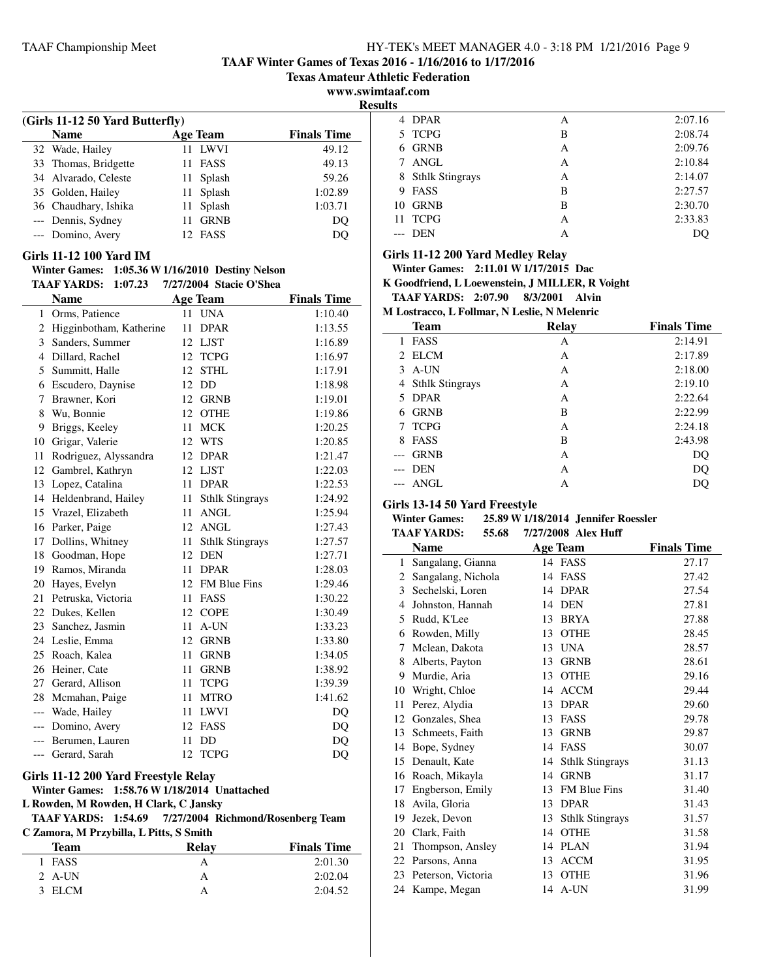**TAAF Winter Games of Texas 2016 - 1/16/2016 to 1/17/2016**

**Texas Amateur Athletic Federation**

**www.swimtaaf.com**

 $\overline{a}$ 

 $\overline{a}$ 

| (Girls 11-12 50 Yard Butterfly) |                   |                    |
|---------------------------------|-------------------|--------------------|
| <b>Name</b>                     | <b>Age Team</b>   | <b>Finals Time</b> |
| 32 Wade, Hailey                 | 11 LWVI           | 49.12              |
| 33 Thomas, Bridgette            | 11 FASS           | 49.13              |
| 34 Alvarado, Celeste            | 11 Splash         | 59.26              |
| 35 Golden, Hailey               | 11 Splash         | 1:02.89            |
| 36 Chaudhary, Ishika            | Splash<br>11      | 1:03.71            |
| --- Dennis, Sydney              | <b>GRNB</b><br>11 | DO                 |
| --- Domino, Avery               | 12 FASS           |                    |

#### **Girls 11-12 100 Yard IM**

#### **Winter Games: 1:05.36 W1/16/2010 Destiny Nelson TAAF YARDS: 1:07.23 7/27/2004 Stacie O'Shea**

|       | <b>Name</b>               |    | <b>Age Team</b>        | <b>Finals Time</b> |
|-------|---------------------------|----|------------------------|--------------------|
| 1     | Orms, Patience            | 11 | <b>UNA</b>             | 1:10.40            |
|       | 2 Higginbotham, Katherine | 11 | <b>DPAR</b>            | 1:13.55            |
| 3     | Sanders, Summer           | 12 | <b>LJST</b>            | 1:16.89            |
| 4     | Dillard, Rachel           | 12 | <b>TCPG</b>            | 1:16.97            |
| 5     | Summitt, Halle            | 12 | <b>STHL</b>            | 1:17.91            |
| 6     | Escudero, Daynise         | 12 | DD                     | 1:18.98            |
| 7     | Brawner, Kori             | 12 | <b>GRNB</b>            | 1:19.01            |
| 8     | Wu, Bonnie                | 12 | <b>OTHE</b>            | 1:19.86            |
| 9     | Briggs, Keeley            | 11 | <b>MCK</b>             | 1:20.25            |
| 10    | Grigar, Valerie           | 12 | WTS                    | 1:20.85            |
| 11    | Rodriguez, Alyssandra     |    | 12 DPAR                | 1:21.47            |
| 12    | Gambrel, Kathryn          | 12 | LJST                   | 1:22.03            |
| 13    | Lopez, Catalina           | 11 | <b>DPAR</b>            | 1:22.53            |
|       | 14 Heldenbrand, Hailey    | 11 | <b>Sthlk Stingrays</b> | 1:24.92            |
|       | 15 Vrazel, Elizabeth      | 11 | ANGL                   | 1:25.94            |
|       | 16 Parker, Paige          |    | 12 ANGL                | 1:27.43            |
| 17    | Dollins, Whitney          | 11 | <b>Sthlk Stingrays</b> | 1:27.57            |
| 18    | Goodman, Hope             | 12 | <b>DEN</b>             | 1:27.71            |
|       | 19 Ramos, Miranda         | 11 | <b>DPAR</b>            | 1:28.03            |
|       | 20 Hayes, Evelyn          |    | 12 FM Blue Fins        | 1:29.46            |
| 21    | Petruska, Victoria        | 11 | <b>FASS</b>            | 1:30.22            |
|       | 22 Dukes, Kellen          | 12 | <b>COPE</b>            | 1:30.49            |
| 23    | Sanchez, Jasmin           | 11 | A-UN                   | 1:33.23            |
|       | 24 Leslie, Emma           | 12 | <b>GRNB</b>            | 1:33.80            |
|       | 25 Roach, Kalea           | 11 | <b>GRNB</b>            | 1:34.05            |
| 26    | Heiner, Cate              | 11 | <b>GRNB</b>            | 1:38.92            |
| 27    | Gerard, Allison           | 11 | <b>TCPG</b>            | 1:39.39            |
|       | 28 Mcmahan, Paige         | 11 | <b>MTRO</b>            | 1:41.62            |
|       | --- Wade, Hailey          | 11 | <b>LWVI</b>            | DQ                 |
| $---$ | Domino, Avery             | 12 | FASS                   | DQ                 |
| $---$ | Berumen, Lauren           | 11 | DD                     | DQ                 |
| ---   | Gerard, Sarah             | 12 | <b>TCPG</b>            | DQ                 |
|       |                           |    |                        |                    |

# **Girls 11-12 200 Yard Freestyle Relay**

**Winter Games: 1:58.76 W1/18/2014 Unattached**

**L Rowden, M Rowden, H Clark, C Jansky**

#### **TAAF YARDS: 1:54.69 Richmond/Rosenberg Team 7/27/2004 C Zamora, M Przybilla, L Pitts, S Smith**

| Team     | Relay | <b>Finals Time</b> |
|----------|-------|--------------------|
| 1 FASS   |       | 2:01.30            |
| 2 $A-UN$ | А     | 2:02.04            |
| 3 ELCM   |       | 2:04.52            |

| Results |                        |   |         |  |  |
|---------|------------------------|---|---------|--|--|
|         | 4 DPAR                 | А | 2:07.16 |  |  |
|         | 5 TCPG                 | В | 2:08.74 |  |  |
| 6.      | GRNB                   | А | 2:09.76 |  |  |
| 7       | ANGL                   | А | 2:10.84 |  |  |
| 8       | <b>Sthlk Stingrays</b> | А | 2:14.07 |  |  |
| 9       | FASS                   | B | 2:27.57 |  |  |
|         | 10 GRNB                | B | 2:30.70 |  |  |
|         | 11 TCPG                | А | 2:33.83 |  |  |
|         | DEN                    | А | DO      |  |  |
|         |                        |   |         |  |  |

#### **Girls 11-12 200 Yard Medley Relay**

**Winter Games: 2:11.01 W1/17/2015 Dac**

**K Goodfriend, L Loewenstein, J MILLER, R Voight**

**TAAF YARDS: 2:07.90 Alvin 8/3/2001 M Lostracco, L Follmar, N Leslie, N Melenric**

|       | л домгассо, в гоннаг, гудсунс, гунский к |       |                    |  |  |
|-------|------------------------------------------|-------|--------------------|--|--|
|       | <b>Team</b>                              | Relay | <b>Finals Time</b> |  |  |
| 1     | FASS                                     | А     | 2:14.91            |  |  |
|       | 2 ELCM                                   | А     | 2:17.89            |  |  |
| 3     | A-UN                                     | А     | 2:18.00            |  |  |
|       | 4 Sthlk Stingrays                        | А     | 2:19.10            |  |  |
| 5.    | <b>DPAR</b>                              | A     | 2:22.64            |  |  |
| 6.    | <b>GRNB</b>                              | B     | 2:22.99            |  |  |
|       | 7 TCPG                                   | А     | 2:24.18            |  |  |
| 8     | <b>FASS</b>                              | B     | 2:43.98            |  |  |
|       | <b>GRNB</b>                              | А     | DQ                 |  |  |
| $---$ | <b>DEN</b>                               | A     | DQ                 |  |  |
|       | ANGL                                     | А     | DO                 |  |  |

#### **Girls 13-14 50 Yard Freestyle**

#### **Winter Games: 25.89 W1/18/2014 Jennifer Roessler TAAF YARDS:** 55.68 7/27/2008 Alex Huff

|              | <b>Name</b>        | <b>Age Team</b>              | <b>Finals Time</b> |
|--------------|--------------------|------------------------------|--------------------|
| $\mathbf{1}$ | Sangalang, Gianna  | 14 FASS                      | 27.17              |
| 2            | Sangalang, Nichola | <b>FASS</b><br>14            | 27.42              |
| 3            | Sechelski, Loren   | <b>DPAR</b><br>14            | 27.54              |
| 4            | Johnston, Hannah   | <b>DEN</b><br>14             | 27.81              |
| 5            | Rudd, K'Lee        | <b>BRYA</b><br>13            | 27.88              |
| 6            | Rowden, Milly      | <b>OTHE</b><br>13            | 28.45              |
| 7            | Mclean, Dakota     | <b>UNA</b><br>13             | 28.57              |
| 8            | Alberts, Payton    | <b>GRNB</b><br>13            | 28.61              |
| 9            | Murdie, Aria       | <b>OTHE</b><br>13            | 29.16              |
| 10           | Wright, Chloe      | <b>ACCM</b><br>14            | 29.44              |
| 11           | Perez, Alydia      | 13<br><b>DPAR</b>            | 29.60              |
| 12           | Gonzales, Shea     | 13<br><b>FASS</b>            | 29.78              |
| 13           | Schmeets, Faith    | <b>GRNB</b><br>13            | 29.87              |
| 14           | Bope, Sydney       | <b>FASS</b><br>14            | 30.07              |
| 15           | Denault, Kate      | <b>Sthlk Stingrays</b><br>14 | 31.13              |
| 16           | Roach, Mikayla     | <b>GRNB</b><br>14            | 31.17              |
| 17           | Engberson, Emily   | <b>FM Blue Fins</b><br>13    | 31.40              |
| 18           | Avila, Gloria      | <b>DPAR</b><br>13            | 31.43              |
| 19           | Jezek, Devon       | <b>Sthlk Stingrays</b><br>13 | 31.57              |
| 20           | Clark, Faith       | <b>OTHE</b><br>14            | 31.58              |
| 21           | Thompson, Ansley   | <b>PLAN</b><br>14            | 31.94              |
| 22           | Parsons, Anna      | <b>ACCM</b><br>13            | 31.95              |
| 23           | Peterson, Victoria | <b>OTHE</b><br>13            | 31.96              |
|              | 24 Kampe, Megan    | 14 A-UN                      | 31.99              |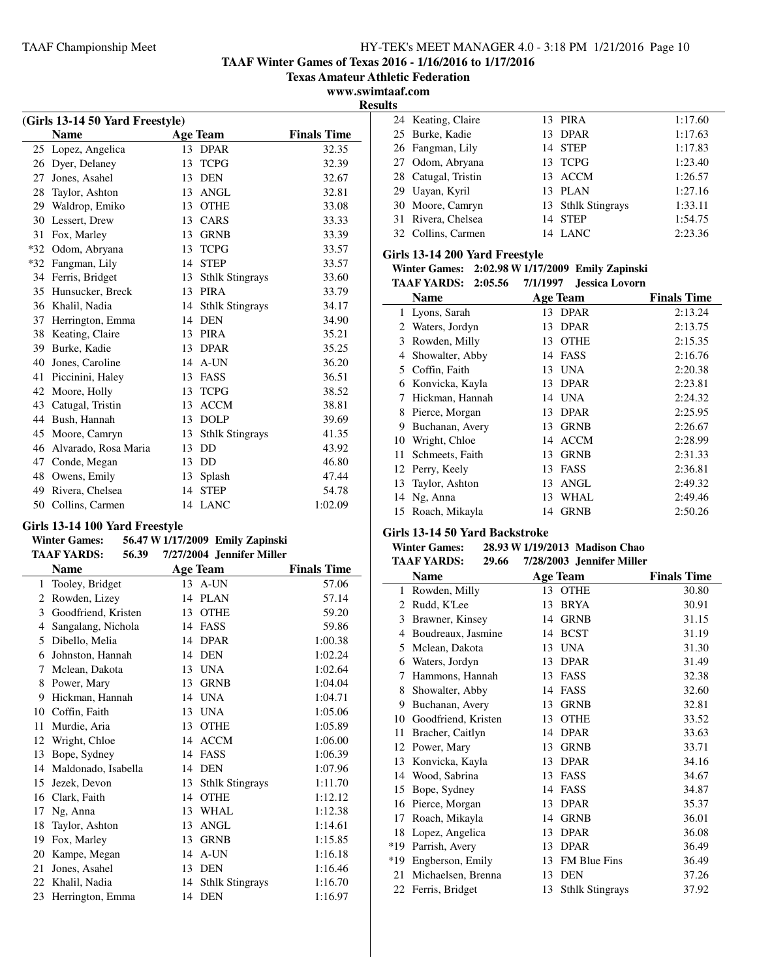**TAAF Winter Games of Texas 2016 - 1/16/2016 to 1/17/2016**

**Texas Amateur Athletic Federation**

**www.swimtaaf.com**

| (Girls 13-14 50 Yard Freestyle) |                      |    |                        |                    |
|---------------------------------|----------------------|----|------------------------|--------------------|
|                                 | <b>Name</b>          |    | <b>Age Team</b>        | <b>Finals Time</b> |
| 25                              | Lopez, Angelica      | 13 | <b>DPAR</b>            | 32.35              |
| 26                              | Dyer, Delaney        | 13 | <b>TCPG</b>            | 32.39              |
| 27                              | Jones, Asahel        | 13 | <b>DEN</b>             | 32.67              |
| 28                              | Taylor, Ashton       | 13 | <b>ANGL</b>            | 32.81              |
| 29                              | Waldrop, Emiko       | 13 | <b>OTHE</b>            | 33.08              |
| 30                              | Lessert, Drew        | 13 | <b>CARS</b>            | 33.33              |
| 31                              | Fox, Marley          | 13 | <b>GRNB</b>            | 33.39              |
| $*32$                           | Odom, Abryana        | 13 | <b>TCPG</b>            | 33.57              |
| $*32$                           | Fangman, Lily        | 14 | <b>STEP</b>            | 33.57              |
| 34                              | Ferris, Bridget      | 13 | <b>Sthlk Stingrays</b> | 33.60              |
| 35                              | Hunsucker, Breck     | 13 | <b>PIRA</b>            | 33.79              |
| 36                              | Khalil, Nadia        | 14 | <b>Sthlk Stingrays</b> | 34.17              |
| 37                              | Herrington, Emma     | 14 | <b>DEN</b>             | 34.90              |
| 38                              | Keating, Claire      | 13 | <b>PIRA</b>            | 35.21              |
| 39                              | Burke, Kadie         | 13 | <b>DPAR</b>            | 35.25              |
| 40                              | Jones, Caroline      | 14 | A-UN                   | 36.20              |
| 41                              | Piccinini, Haley     | 13 | FASS                   | 36.51              |
| 42                              | Moore, Holly         | 13 | <b>TCPG</b>            | 38.52              |
| 43                              | Catugal, Tristin     | 13 | <b>ACCM</b>            | 38.81              |
| 44                              | Bush, Hannah         | 13 | <b>DOLP</b>            | 39.69              |
| 45                              | Moore, Camryn        | 13 | <b>Sthlk Stingrays</b> | 41.35              |
| 46                              | Alvarado, Rosa Maria | 13 | DD                     | 43.92              |
| 47                              | Conde, Megan         | 13 | DD                     | 46.80              |
| 48                              | Owens, Emily         | 13 | Splash                 | 47.44              |
| 49                              | Rivera, Chelsea      | 14 | <b>STEP</b>            | 54.78              |
| 50                              | Collins, Carmen      | 14 | <b>LANC</b>            | 1:02.09            |

## **Girls 13-14 100 Yard Freestyle**

#### **Winter Games: 56.47 W1/17/2009 Emily Zapinski TAAF YARDS:** 56.39 7/27/2004 Jennifer Miller

| ັບພະ |                     | $11211200 + 0$ |                        |                    |
|------|---------------------|----------------|------------------------|--------------------|
|      | Name                |                | <b>Age Team</b>        | <b>Finals Time</b> |
| 1    | Tooley, Bridget     |                | 13 A-UN                | 57.06              |
| 2    | Rowden, Lizey       | 14             | <b>PLAN</b>            | 57.14              |
| 3    | Goodfriend, Kristen | 13             | <b>OTHE</b>            | 59.20              |
| 4    | Sangalang, Nichola  | 14             | FASS                   | 59.86              |
| 5    | Dibello, Melia      | 14             | <b>DPAR</b>            | 1:00.38            |
| 6    | Johnston, Hannah    | 14             | <b>DEN</b>             | 1:02.24            |
| 7    | Mclean, Dakota      | 13             | <b>UNA</b>             | 1:02.64            |
| 8    | Power, Mary         | 13             | <b>GRNB</b>            | 1:04.04            |
| 9    | Hickman, Hannah     | 14             | <b>UNA</b>             | 1:04.71            |
| 10   | Coffin, Faith       | 13             | <b>UNA</b>             | 1:05.06            |
| 11   | Murdie, Aria        | 13             | <b>OTHE</b>            | 1:05.89            |
| 12   | Wright, Chloe       | 14             | <b>ACCM</b>            | 1:06.00            |
| 13   | Bope, Sydney        | 14             | <b>FASS</b>            | 1:06.39            |
| 14   | Maldonado, Isabella | 14             | <b>DEN</b>             | 1:07.96            |
| 15   | Jezek, Devon        | 13             | <b>Sthlk Stingrays</b> | 1:11.70            |
| 16   | Clark, Faith        | 14             | <b>OTHE</b>            | 1:12.12            |
| 17   | Ng, Anna            | 13             | <b>WHAL</b>            | 1:12.38            |
| 18   | Taylor, Ashton      | 13             | <b>ANGL</b>            | 1:14.61            |
| 19   | Fox, Marley         | 13             | <b>GRNB</b>            | 1:15.85            |
| 20   | Kampe, Megan        | 14             | A-UN                   | 1:16.18            |
| 21   | Jones, Asahel       | 13             | <b>DEN</b>             | 1:16.46            |
| 22   | Khalil, Nadia       | 14             | <b>Sthlk Stingrays</b> | 1:16.70            |
| 23   | Herrington, Emma    |                | 14 DEN                 | 1:16.97            |

| 1:17.60 |
|---------|
| 1:17.63 |
| 1:17.83 |
| 1:23.40 |
| 1:26.57 |
| 1:27.16 |
| 1:33.11 |
| 1:54.75 |
| 2:23.36 |
|         |

## **Girls 13-14 200 Yard Freestyle**

|  |  | Winter Games: 2:02.98 W 1/17/2009 Emily Zapinski |
|--|--|--------------------------------------------------|
|--|--|--------------------------------------------------|

|    | TAAF YARDS:<br>2:05.56 | 7/1/1997 | Jessica Lovorn |                    |
|----|------------------------|----------|----------------|--------------------|
|    | Name                   | Age Team |                | <b>Finals Time</b> |
| 1  | Lyons, Sarah           |          | 13 DPAR        | 2:13.24            |
| 2  | Waters, Jordyn         | 13       | <b>DPAR</b>    | 2:13.75            |
| 3  | Rowden, Milly          | 13       | <b>OTHE</b>    | 2:15.35            |
| 4  | Showalter, Abby        | 14       | FASS           | 2:16.76            |
|    | 5 Coffin, Faith        | 13       | <b>UNA</b>     | 2:20.38            |
| 6  | Konvicka, Kayla        | 13       | DPAR           | 2:23.81            |
| 7  | Hickman, Hannah        | 14       | UNA            | 2:24.32            |
| 8  | Pierce, Morgan         | 13       | <b>DPAR</b>    | 2:25.95            |
| 9  | Buchanan, Avery        | 13       | <b>GRNB</b>    | 2:26.67            |
| 10 | Wright, Chloe          | 14       | <b>ACCM</b>    | 2:28.99            |
| 11 | Schmeets, Faith        | 13       | <b>GRNB</b>    | 2:31.33            |
|    | 12 Perry, Keely        | 13       | FASS           | 2:36.81            |
| 13 | Taylor, Ashton         | 13       | <b>ANGL</b>    | 2:49.32            |
|    | 14 Ng, Anna            | 13       | WHAL           | 2:49.46            |
|    | 15 Roach, Mikayla      | 14       | <b>GRNB</b>    | 2:50.26            |

## **Girls 13-14 50 Yard Backstroke**

# **Winter Games:** 28.93 W 1/19/2013 Madison Chao<br>TA A E VA DDS: 20.66 7/28/2003 Jonnifor Miller

|       | <b>TAAF YARDS:</b><br>29.66 |    | 7/28/2003 Jennifer Miller |                    |
|-------|-----------------------------|----|---------------------------|--------------------|
|       | <b>Name</b>                 |    | <b>Age Team</b>           | <b>Finals Time</b> |
| 1     | Rowden, Milly               | 13 | <b>OTHE</b>               | 30.80              |
| 2     | Rudd, K'Lee                 | 13 | <b>BRYA</b>               | 30.91              |
| 3     | Brawner, Kinsey             | 14 | <b>GRNB</b>               | 31.15              |
| 4     | Boudreaux, Jasmine          | 14 | <b>BCST</b>               | 31.19              |
| 5     | Mclean, Dakota              | 13 | <b>UNA</b>                | 31.30              |
| 6     | Waters, Jordyn              | 13 | <b>DPAR</b>               | 31.49              |
| 7     | Hammons, Hannah             | 13 | FASS                      | 32.38              |
| 8     | Showalter, Abby             | 14 | FASS                      | 32.60              |
| 9     | Buchanan, Avery             | 13 | <b>GRNB</b>               | 32.81              |
| 10    | Goodfriend, Kristen         | 13 | <b>OTHE</b>               | 33.52              |
| 11    | Bracher, Caitlyn            | 14 | <b>DPAR</b>               | 33.63              |
| 12    | Power, Mary                 | 13 | <b>GRNB</b>               | 33.71              |
| 13    | Konvicka, Kayla             | 13 | <b>DPAR</b>               | 34.16              |
| 14    | Wood, Sabrina               | 13 | <b>FASS</b>               | 34.67              |
| 15    | Bope, Sydney                | 14 | FASS                      | 34.87              |
| 16    | Pierce, Morgan              | 13 | <b>DPAR</b>               | 35.37              |
| 17    | Roach, Mikayla              | 14 | <b>GRNB</b>               | 36.01              |
| 18    | Lopez, Angelica             | 13 | <b>DPAR</b>               | 36.08              |
| $*19$ | Parrish, Avery              | 13 | <b>DPAR</b>               | 36.49              |
| *19   | Engberson, Emily            | 13 | <b>FM Blue Fins</b>       | 36.49              |
| 21    | Michaelsen, Brenna          | 13 | <b>DEN</b>                | 37.26              |
|       | 22 Ferris, Bridget          | 13 | <b>Sthlk Stingrays</b>    | 37.92              |
|       |                             |    |                           |                    |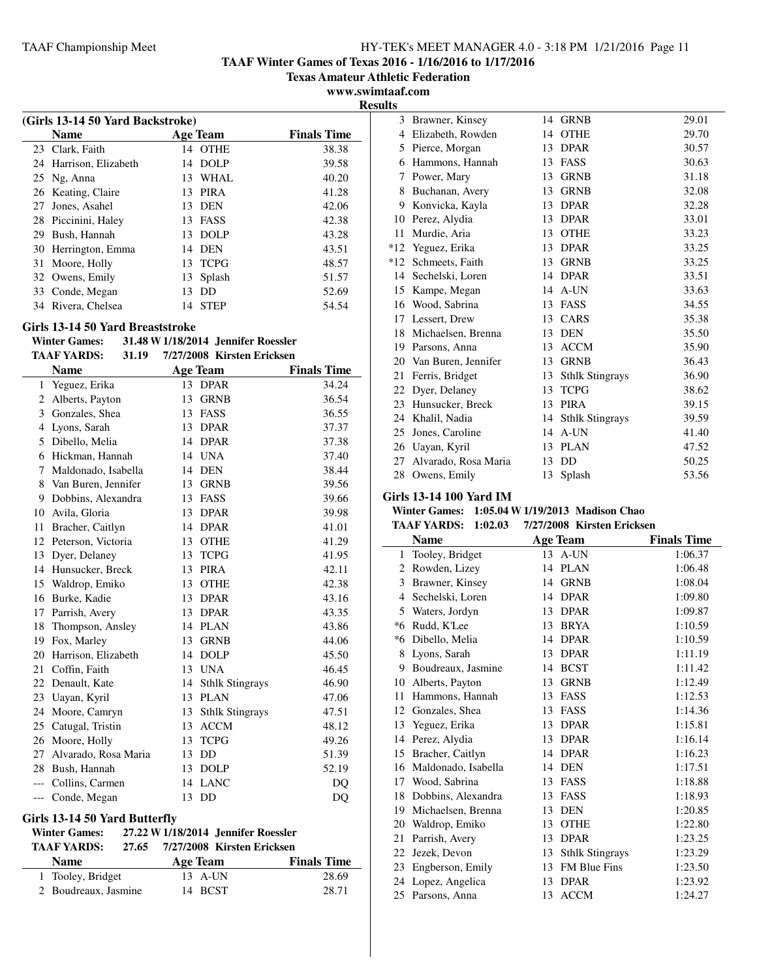**TAAF Winter Games of Texas 2016 - 1/16/2016 to 1/17/2016**

**Texas Amateur Athletic Federation**

**www.swimtaaf.com Results**

|    |                                  |                   | л.                 |  |  |  |  |  |
|----|----------------------------------|-------------------|--------------------|--|--|--|--|--|
|    | (Girls 13-14 50 Yard Backstroke) |                   |                    |  |  |  |  |  |
|    | <b>Name</b>                      | <b>Age Team</b>   | <b>Finals Time</b> |  |  |  |  |  |
| 23 | Clark, Faith                     | <b>OTHE</b><br>14 | 38.38              |  |  |  |  |  |
|    | 24 Harrison, Elizabeth           | DOLP<br>14        | 39.58              |  |  |  |  |  |
|    | 25 Ng, Anna                      | 13 WHAL           | 40.20              |  |  |  |  |  |
|    | 26 Keating, Claire               | 13 PIRA           | 41.28              |  |  |  |  |  |
| 27 | Jones, Asahel                    | 13 DEN            | 42.06              |  |  |  |  |  |
|    | 28 Piccinini, Haley              | 13 FASS           | 42.38              |  |  |  |  |  |
| 29 | Bush, Hannah                     | 13 DOLP           | 43.28              |  |  |  |  |  |
|    | 30 Herrington, Emma              | 14 DEN            | 43.51              |  |  |  |  |  |
| 31 | Moore, Holly                     | 13 TCPG           | 48.57              |  |  |  |  |  |
|    | 32 Owens, Emily                  | 13 Splash         | 51.57              |  |  |  |  |  |
|    | 33 Conde, Megan                  | DD<br>13          | 52.69              |  |  |  |  |  |
| 34 | Rivera, Chelsea                  | <b>STEP</b><br>14 | 54.54              |  |  |  |  |  |
|    |                                  |                   |                    |  |  |  |  |  |

#### **Girls 13-14 50 Yard Breaststroke**

| <b>Winter Games:</b> | 31.48 W 1/18/2014 Jennifer Roessler |  |
|----------------------|-------------------------------------|--|
|                      |                                     |  |

| TAAF YARDS:                       | 31.19 | 7/27/2008 Kirsten Ericksen |
|-----------------------------------|-------|----------------------------|
| $\mathbf{M}$ $\sim$ $\sim$ $\sim$ |       | п.                         |

|       | <b>Name</b>          |    | <b>Age Team</b>        | <b>Finals Time</b> |
|-------|----------------------|----|------------------------|--------------------|
| 1     | Yeguez, Erika        | 13 | <b>DPAR</b>            | 34.24              |
| 2     | Alberts, Payton      | 13 | <b>GRNB</b>            | 36.54              |
| 3     | Gonzales, Shea       | 13 | <b>FASS</b>            | 36.55              |
| 4     | Lyons, Sarah         | 13 | <b>DPAR</b>            | 37.37              |
| 5     | Dibello, Melia       | 14 | <b>DPAR</b>            | 37.38              |
| 6     | Hickman, Hannah      | 14 | <b>UNA</b>             | 37.40              |
| 7     | Maldonado, Isabella  | 14 | <b>DEN</b>             | 38.44              |
| 8     | Van Buren, Jennifer  | 13 | <b>GRNB</b>            | 39.56              |
| 9     | Dobbins, Alexandra   | 13 | <b>FASS</b>            | 39.66              |
| 10    | Avila, Gloria        | 13 | <b>DPAR</b>            | 39.98              |
| 11    | Bracher, Caitlyn     | 14 | <b>DPAR</b>            | 41.01              |
| 12    | Peterson, Victoria   | 13 | <b>OTHE</b>            | 41.29              |
| 13    | Dyer, Delaney        | 13 | <b>TCPG</b>            | 41.95              |
| 14    | Hunsucker, Breck     | 13 | <b>PIRA</b>            | 42.11              |
| 15    | Waldrop, Emiko       | 13 | <b>OTHE</b>            | 42.38              |
| 16    | Burke, Kadie         | 13 | <b>DPAR</b>            | 43.16              |
| 17    | Parrish, Avery       | 13 | <b>DPAR</b>            | 43.35              |
| 18    | Thompson, Ansley     | 14 | <b>PLAN</b>            | 43.86              |
| 19    | Fox, Marley          | 13 | GRNB                   | 44.06              |
| 20    | Harrison, Elizabeth  | 14 | <b>DOLP</b>            | 45.50              |
| 21    | Coffin, Faith        | 13 | <b>UNA</b>             | 46.45              |
| 22    | Denault, Kate        | 14 | <b>Sthlk Stingrays</b> | 46.90              |
| 23    | Uayan, Kyril         | 13 | <b>PLAN</b>            | 47.06              |
| 24    | Moore, Camryn        | 13 | <b>Sthlk Stingrays</b> | 47.51              |
| 25    | Catugal, Tristin     | 13 | <b>ACCM</b>            | 48.12              |
| 26    | Moore, Holly         | 13 | <b>TCPG</b>            | 49.26              |
| 27    | Alvarado, Rosa Maria | 13 | DD                     | 51.39              |
| 28    | Bush, Hannah         | 13 | <b>DOLP</b>            | 52.19              |
| $---$ | Collins, Carmen      | 14 | <b>LANC</b>            | DO                 |
| ---   | Conde, Megan         | 13 | DD                     | DQ                 |

#### **Girls 13-14 50 Yard Butterfly**

# **Winter Games: 27.22 W1/18/2014 Jennifer Roessler**

| <b>TAAF YARDS:</b> | 27.65 | 7/27/2008 Kirsten Ericksen |                    |
|--------------------|-------|----------------------------|--------------------|
| <b>Name</b>        |       | Age Team                   | <b>Finals Time</b> |
| 1 Tooley, Bridget  |       | 13 A-UN                    | 28.69              |

| 14 BCST<br>2 Boudreaux, Jasmine<br>28.71 |  |
|------------------------------------------|--|
|                                          |  |

| 3     | Brawner, Kinsey      | 14 | <b>GRNB</b>            | 29.01 |
|-------|----------------------|----|------------------------|-------|
| 4     | Elizabeth, Rowden    | 14 | <b>OTHE</b>            | 29.70 |
| 5     | Pierce, Morgan       | 13 | <b>DPAR</b>            | 30.57 |
| 6     | Hammons, Hannah      | 13 | FASS                   | 30.63 |
| 7     | Power, Mary          | 13 | <b>GRNB</b>            | 31.18 |
| 8     | Buchanan, Avery      | 13 | <b>GRNB</b>            | 32.08 |
| 9     | Konvicka, Kayla      | 13 | <b>DPAR</b>            | 32.28 |
| 10    | Perez, Alydia        | 13 | <b>DPAR</b>            | 33.01 |
| 11    | Murdie, Aria         | 13 | <b>OTHE</b>            | 33.23 |
| $*12$ | Yeguez, Erika        | 13 | <b>DPAR</b>            | 33.25 |
| $*12$ | Schmeets, Faith      | 13 | <b>GRNB</b>            | 33.25 |
| 14    | Sechelski, Loren     | 14 | <b>DPAR</b>            | 33.51 |
| 15    | Kampe, Megan         | 14 | A-UN                   | 33.63 |
| 16    | Wood, Sabrina        | 13 | FASS                   | 34.55 |
| 17    | Lessert, Drew        | 13 | CARS                   | 35.38 |
| 18    | Michaelsen, Brenna   | 13 | <b>DEN</b>             | 35.50 |
| 19    | Parsons, Anna        | 13 | <b>ACCM</b>            | 35.90 |
| 20    | Van Buren, Jennifer  | 13 | <b>GRNB</b>            | 36.43 |
| 21    | Ferris, Bridget      | 13 | <b>Sthlk Stingrays</b> | 36.90 |
| 22    | Dyer, Delaney        | 13 | <b>TCPG</b>            | 38.62 |
| 23    | Hunsucker, Breck     | 13 | <b>PIRA</b>            | 39.15 |
| 24    | Khalil, Nadia        | 14 | <b>Sthlk Stingrays</b> | 39.59 |
| 25    | Jones, Caroline      | 14 | A-UN                   | 41.40 |
| 26    | Uayan, Kyril         | 13 | <b>PLAN</b>            | 47.52 |
| 27    | Alvarado, Rosa Maria | 13 | DD                     | 50.25 |
| 28    | Owens, Emily         | 13 | Splash                 | 53.56 |
|       |                      |    |                        |       |

# **Girls 13-14 100 Yard IM**

 $\overline{\phantom{a}}$ 

# **Winter Games: 1:05.04 W1/19/2013 Madison Chao**

| <b>TAAF YARDS: 1:02.03</b> | 7/27/2008 Kirsten Ericksen |  |
|----------------------------|----------------------------|--|
|                            |                            |  |

|    | <b>Name</b>         |    | <b>Age Team</b>        | <b>Finals Time</b> |
|----|---------------------|----|------------------------|--------------------|
| 1  | Tooley, Bridget     |    | 13 A-UN                | 1:06.37            |
| 2  | Rowden, Lizey       | 14 | <b>PLAN</b>            | 1:06.48            |
| 3  | Brawner, Kinsey     | 14 | <b>GRNB</b>            | 1:08.04            |
| 4  | Sechelski, Loren    | 14 | <b>DPAR</b>            | 1:09.80            |
| 5  | Waters, Jordyn      | 13 | <b>DPAR</b>            | 1:09.87            |
| *6 | Rudd, K'Lee         | 13 | <b>BRYA</b>            | 1:10.59            |
| *6 | Dibello, Melia      | 14 | <b>DPAR</b>            | 1:10.59            |
| 8  | Lyons, Sarah        | 13 | <b>DPAR</b>            | 1:11.19            |
| 9  | Boudreaux, Jasmine  | 14 | <b>BCST</b>            | 1:11.42            |
| 10 | Alberts, Payton     | 13 | <b>GRNB</b>            | 1:12.49            |
| 11 | Hammons, Hannah     | 13 | <b>FASS</b>            | 1:12.53            |
| 12 | Gonzales, Shea      | 13 | <b>FASS</b>            | 1:14.36            |
| 13 | Yeguez, Erika       | 13 | <b>DPAR</b>            | 1:15.81            |
| 14 | Perez, Alydia       | 13 | <b>DPAR</b>            | 1:16.14            |
| 15 | Bracher, Caitlyn    | 14 | <b>DPAR</b>            | 1:16.23            |
| 16 | Maldonado, Isabella | 14 | <b>DEN</b>             | 1:17.51            |
| 17 | Wood, Sabrina       | 13 | FASS                   | 1:18.88            |
| 18 | Dobbins, Alexandra  | 13 | <b>FASS</b>            | 1:18.93            |
| 19 | Michaelsen, Brenna  | 13 | <b>DEN</b>             | 1:20.85            |
| 20 | Waldrop, Emiko      | 13 | <b>OTHE</b>            | 1:22.80            |
| 21 | Parrish, Avery      | 13 | <b>DPAR</b>            | 1:23.25            |
| 22 | Jezek, Devon        | 13 | <b>Sthlk Stingrays</b> | 1:23.29            |
| 23 | Engberson, Emily    | 13 | <b>FM Blue Fins</b>    | 1:23.50            |
| 24 | Lopez, Angelica     | 13 | <b>DPAR</b>            | 1:23.92            |
|    | 25 Parsons, Anna    | 13 | <b>ACCM</b>            | 1:24.27            |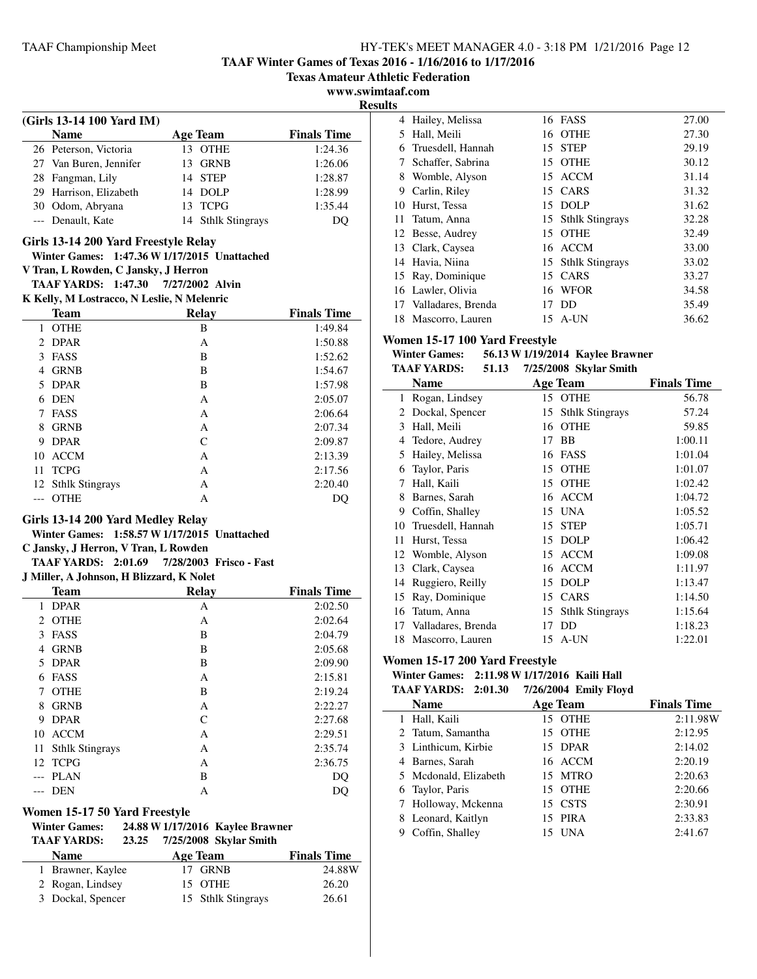**TAAF Winter Games of Texas 2016 - 1/16/2016 to 1/17/2016**

**Texas Amateur Athletic Federation**

**www.swimtaaf.com**

|                                            |                                              | Texas Amateur Atni |               |
|--------------------------------------------|----------------------------------------------|--------------------|---------------|
|                                            |                                              | www.swimta         |               |
| (Girls 13-14 100 Yard IM)                  |                                              |                    | <b>Result</b> |
| <b>Name</b>                                | <b>Age Team</b>                              | <b>Finals Time</b> |               |
| 26 Peterson, Victoria                      | 13 OTHE                                      | 1:24.36            |               |
| 27 Van Buren, Jennifer                     | 13 GRNB                                      | 1:26.06            |               |
| 28 Fangman, Lily                           | 14 STEP                                      | 1:28.87            |               |
| 29 Harrison, Elizabeth                     | 14 DOLP                                      | 1:28.99            |               |
| 30 Odom, Abryana                           | 13 TCPG                                      | 1:35.44            |               |
| --- Denault, Kate                          | 14 Sthlk Stingrays                           |                    |               |
|                                            |                                              | DQ                 |               |
| Girls 13-14 200 Yard Freestyle Relay       |                                              |                    |               |
|                                            | Winter Games: 1:47.36 W 1/17/2015 Unattached |                    |               |
| V Tran, L Rowden, C Jansky, J Herron       |                                              |                    |               |
| TAAF YARDS: 1:47.30                        | 7/27/2002 Alvin                              |                    |               |
| K Kelly, M Lostracco, N Leslie, N Melenric |                                              |                    |               |
| <b>Team</b>                                | <b>Relay</b>                                 | <b>Finals Time</b> |               |
| 1 OTHE                                     | B                                            | 1:49.84            | V             |
| 2 DPAR                                     | A                                            | 1:50.88            |               |
| 3 FASS                                     | B                                            | 1:52.62            |               |
| 4 GRNB                                     | B                                            | 1:54.67            |               |
| 5 DPAR                                     | B                                            | 1:57.98            |               |
| 6 DEN                                      | A                                            | 2:05.07            |               |
| 7 FASS                                     | A                                            | 2:06.64            |               |
| 8 GRNB                                     | A                                            | 2:07.34            |               |
| 9 DPAR                                     | $\mathcal{C}$                                | 2:09.87            |               |
| 10 ACCM                                    | A                                            | 2:13.39            |               |
| 11 TCPG                                    | A                                            | 2:17.56            |               |
| 12 Sthlk Stingrays                         | A                                            | 2:20.40            |               |
| --- OTHE                                   | A                                            | DQ                 |               |
| Girls 13-14 200 Yard Medley Relay          |                                              |                    |               |
|                                            | Winter Games: 1:58.57 W 1/17/2015 Unattached |                    |               |
| C Jansky, J Herron, V Tran, L Rowden       |                                              |                    |               |
| TAAF YARDS: 2:01.69                        | 7/28/2003 Frisco - Fast                      |                    |               |
| J Miller, A Johnson, H Blizzard, K Nolet   |                                              |                    |               |
| <b>Team</b>                                | Relay                                        | <b>Finals Time</b> |               |
| 1 DPAR                                     | A                                            | 2:02.50            |               |
| 2 OTHE                                     | A                                            | 2:02.64            |               |
| 3<br>FASS                                  | В                                            | 2:04.79            |               |
| 4 GRNB                                     | B                                            | 2:05.68            |               |
| 5 DPAR                                     | B                                            | 2:09.90            | W             |
| 6 FASS                                     | A                                            | 2:15.81            |               |
| 7 OTHE                                     | B                                            | 2:19.24            |               |
| 8 GRNB                                     | A                                            | 2:22.27            |               |
| 9 DPAR                                     | $\mathsf{C}$                                 | 2:27.68            |               |
| 10 ACCM                                    | A                                            | 2:29.51            |               |
| 11<br><b>Sthlk Stingrays</b>               | A                                            | 2:35.74            |               |
| 12 TCPG                                    | A                                            | 2:36.75            |               |
| --- PLAN                                   | B                                            | DQ                 |               |
| <b>DEN</b><br>---                          | A                                            | DQ                 |               |
|                                            |                                              |                    |               |
| Women 15-17 50 Yard Freestyle              |                                              |                    |               |
| <b>Winter Games:</b>                       | 24.88 W 1/17/2016 Kaylee Brawner             |                    |               |
| <b>TAAF YARDS:</b>                         | 7/25/2008 Skylar Smith<br>23.25              |                    |               |
| <b>Name</b>                                | <b>Age Team</b>                              | <b>Finals Time</b> |               |
| 1 Brawner, Kaylee                          | 17 GRNB                                      | 24.88W             |               |
| 2 Rogan, Lindsey                           | OTHE<br>15                                   | 26.20              |               |
| 3 Dockal, Spencer                          | 15 Sthlk Stingrays                           | 26.61              |               |

| ılts |                    |    |                    |       |
|------|--------------------|----|--------------------|-------|
| 4    | Hailey, Melissa    |    | 16 FASS            | 27.00 |
| 5    | Hall, Meili        |    | 16 OTHE            | 27.30 |
| 6    | Truesdell, Hannah  | 15 | <b>STEP</b>        | 29.19 |
| 7    | Schaffer, Sabrina  | 15 | <b>OTHE</b>        | 30.12 |
| 8    | Womble, Alyson     |    | 15 ACCM            | 31.14 |
| 9    | Carlin, Riley      | 15 | CARS               | 31.32 |
| 10   | Hurst, Tessa       |    | 15 DOLP            | 31.62 |
| 11   | Tatum, Anna        |    | 15 Sthlk Stingrays | 32.28 |
| 12   | Besse, Audrey      | 15 | <b>OTHE</b>        | 32.49 |
| 13   | Clark, Caysea      |    | 16 ACCM            | 33.00 |
| 14   | Havia, Niina       |    | 15 Sthlk Stingrays | 33.02 |
| 15   | Ray, Dominique     | 15 | CARS               | 33.27 |
|      | 16 Lawler, Olivia  | 16 | <b>WFOR</b>        | 34.58 |
| 17   | Valladares, Brenda | 17 | DD.                | 35.49 |
| 18   | Mascorro, Lauren   | 15 | A-UN               | 36.62 |

# **Women 15-17 100 Yard Freestyle**

#### **Winter Games: 56.13 W 1/19/2014 Kaylee Brawner**<br>TAAE VA PDS: 51.13 7/25/2008 Styler Smith **TAAF YARDS: 51.13 Skylar Smith 7/25/2008**

|    | IAAF YAKDS:<br>31.13 |    | 772572000 SKYRIT SMILL |                    |
|----|----------------------|----|------------------------|--------------------|
|    | Name                 |    | Age Team               | <b>Finals Time</b> |
| 1  | Rogan, Lindsey       |    | 15 OTHE                | 56.78              |
| 2  | Dockal, Spencer      | 15 | <b>Sthlk Stingrays</b> | 57.24              |
| 3  | Hall, Meili          | 16 | <b>OTHE</b>            | 59.85              |
| 4  | Tedore, Audrey       | 17 | <b>BB</b>              | 1:00.11            |
| 5  | Hailey, Melissa      | 16 | FASS                   | 1:01.04            |
| 6  | Taylor, Paris        | 15 | <b>OTHE</b>            | 1:01.07            |
| 7  | Hall, Kaili          | 15 | <b>OTHE</b>            | 1:02.42            |
| 8  | Barnes, Sarah        | 16 | <b>ACCM</b>            | 1:04.72            |
| 9  | Coffin, Shalley      | 15 | <b>UNA</b>             | 1:05.52            |
| 10 | Truesdell, Hannah    | 15 | <b>STEP</b>            | 1:05.71            |
| 11 | Hurst, Tessa         | 15 | <b>DOLP</b>            | 1:06.42            |
|    | 12 Womble, Alyson    | 15 | <b>ACCM</b>            | 1:09.08            |
| 13 | Clark, Caysea        | 16 | <b>ACCM</b>            | 1:11.97            |
| 14 | Ruggiero, Reilly     | 15 | <b>DOLP</b>            | 1:13.47            |
| 15 | Ray, Dominique       | 15 | CARS                   | 1:14.50            |
| 16 | Tatum, Anna          | 15 | <b>Sthlk Stingrays</b> | 1:15.64            |
| 17 | Valladares, Brenda   | 17 | DD                     | 1:18.23            |
| 18 | Mascorro, Lauren     |    | 15 A-UN                | 1:22.01            |

# **Women 15-17 200 Yard Freestyle**

# **Winter Games: 2:11.98 W1/17/2016 Kaili Hall**

|  | TAAF YARDS: 2:01.30 7/26/2004 Emily Floyd |  |  |  |
|--|-------------------------------------------|--|--|--|
|--|-------------------------------------------|--|--|--|

|   | Name                  | <b>Age Team</b> |            | <b>Finals Time</b> |
|---|-----------------------|-----------------|------------|--------------------|
|   | 1 Hall, Kaili         |                 | 15 OTHE    | 2:11.98W           |
|   | 2 Tatum, Samantha     |                 | 15 OTHE    | 2:12.95            |
|   | 3 Linthicum, Kirbie   |                 | 15 DPAR    | 2:14.02            |
|   | 4 Barnes, Sarah       |                 | 16 ACCM    | 2:20.19            |
|   | 5 Mcdonald, Elizabeth |                 | 15 MTRO    | 2:20.63            |
|   | 6 Taylor, Paris       |                 | 15 OTHE    | 2:20.66            |
|   | 7 Holloway, Mckenna   |                 | 15 CSTS    | 2:30.91            |
| 8 | Leonard, Kaitlyn      |                 | 15 PIRA    | 2:33.83            |
| 9 | Coffin, Shalley       |                 | <b>UNA</b> | 2:41.67            |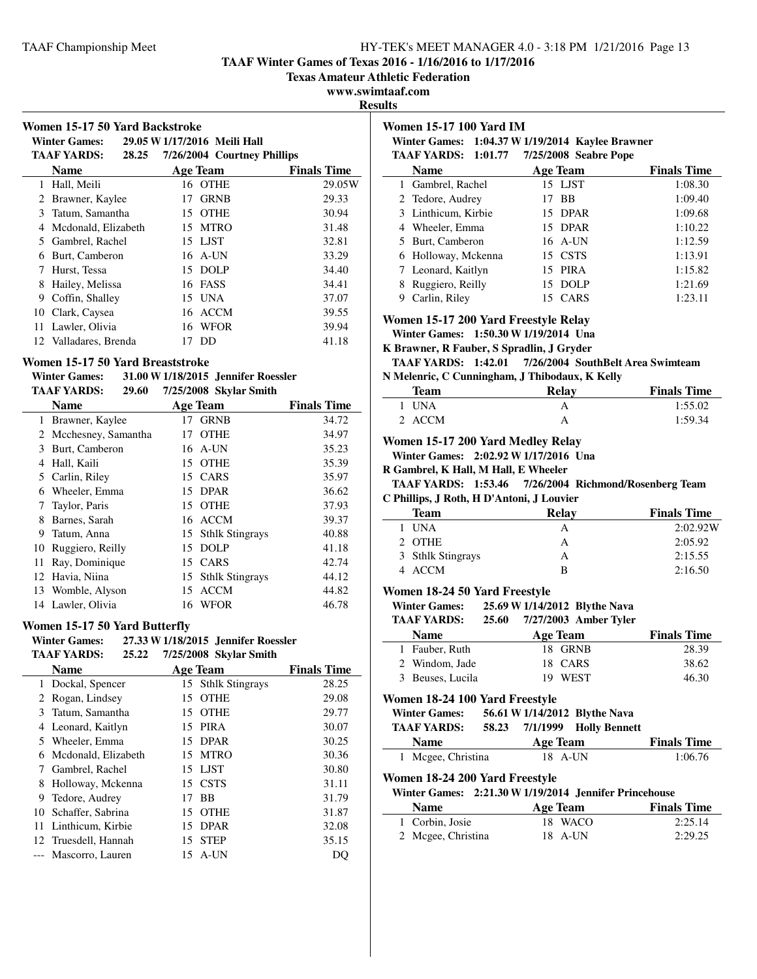**TAAF Winter Games of Texas 2016 - 1/16/2016 to 1/17/2016**

**Texas Amateur Athletic Federation**

**www.swimtaaf.com**

**Results**

|                                                             | Women 15-17 50 Yard Backstroke   |    |                              |                    | V        |
|-------------------------------------------------------------|----------------------------------|----|------------------------------|--------------------|----------|
|                                                             | <b>Winter Games:</b>             |    | 29.05 W 1/17/2016 Meili Hall |                    |          |
|                                                             | <b>TAAF YARDS:</b><br>28.25      |    | 7/26/2004 Courtney Phillips  |                    |          |
|                                                             | <b>Name</b>                      |    | <b>Age Team</b>              | <b>Finals Time</b> |          |
|                                                             | 1 Hall, Meili                    |    | 16 OTHE                      | 29.05W             |          |
|                                                             | 2 Brawner, Kaylee                | 17 | <b>GRNB</b>                  | 29.33              |          |
| 3                                                           | Tatum, Samantha                  | 15 | <b>OTHE</b>                  | 30.94              |          |
|                                                             | 4 Mcdonald, Elizabeth            |    | 15 MTRO                      | 31.48              |          |
|                                                             | 5 Gambrel, Rachel                |    | 15 LJST                      | 32.81              |          |
|                                                             | 6 Burt, Camberon                 |    | 16 A-UN                      | 33.29              |          |
| 7                                                           | Hurst, Tessa                     | 15 | <b>DOLP</b>                  | 34.40              |          |
| 8                                                           | Hailey, Melissa                  | 16 | FASS                         | 34.41              |          |
| 9                                                           | Coffin, Shalley                  | 15 | <b>UNA</b>                   | 37.07              |          |
|                                                             | 10 Clark, Caysea                 |    | 16 ACCM                      | 39.55              | V        |
|                                                             | 11 Lawler, Olivia                |    | 16 WFOR                      | 39.94              |          |
|                                                             | 12 Valladares, Brenda            |    | 17 DD                        | 41.18              | K        |
|                                                             | Women 15-17 50 Yard Breaststroke |    |                              |                    |          |
| 31.00 W 1/18/2015 Jennifer Roessler<br><b>Winter Games:</b> |                                  |    |                              |                    |          |
|                                                             | <b>TAAF YARDS:</b><br>29.60      |    | 7/25/2008 Skylar Smith       |                    |          |
|                                                             | <b>Name</b>                      |    | <b>Age Team</b>              | <b>Finals Time</b> |          |
|                                                             | 1 Brawner, Kaylee                |    | 17 GRNB                      | 34.72              |          |
|                                                             | 2 Mcchesney, Samantha            |    | 17 OTHE                      | 34.97              | V        |
| 3                                                           | Burt, Camberon                   |    | 16 A-UN                      | 35.23              |          |
| $\overline{4}$                                              | Hall, Kaili                      |    | 15 OTHE                      | 35.39              | $\bf{R}$ |
|                                                             | 5 Carlin, Riley                  |    | 15 CARS                      | 35.97              |          |
|                                                             | 6 Wheeler, Emma                  | 15 | <b>DPAR</b>                  | 36.62              |          |
| 7                                                           | Taylor, Paris                    |    | 15 OTHE                      | 37.93              | C        |
| 8                                                           | Barnes, Sarah                    |    | 16 ACCM                      | 39.37              |          |
| 9                                                           | Tatum, Anna                      | 15 | <b>Sthlk Stingrays</b>       | 40.88              |          |
| 10                                                          | Ruggiero, Reilly                 | 15 | <b>DOLP</b>                  | 41.18              |          |
| 11                                                          | Ray, Dominique                   | 15 | <b>CARS</b>                  | 42.74              |          |

# 12 Havia, Niina 15 Sthlk Stingrays 44.12 13 Womble, Alyson 15 ACCM 44.82 14 Lawler, Olivia 16 WFOR 46.78

#### **Women 15-17 50 Yard Butterfly**

| <b>Winter Games:</b> |       | 27.33 W 1/18/2015 Jennifer Roessler |
|----------------------|-------|-------------------------------------|
| <b>TAAF YARDS:</b>   | 25.22 | 7/25/2008 Skylar Smith              |

|    | <b>Name</b>          |    | <b>Age Team</b>    | <b>Finals Time</b> |
|----|----------------------|----|--------------------|--------------------|
|    | 1 Dockal, Spencer    |    | 15 Sthlk Stingrays | 28.25              |
|    | Rogan, Lindsey       | 15 | <b>OTHE</b>        | 29.08              |
| 3  | Tatum, Samantha      |    | 15 OTHE            | 29.77              |
|    | 4 Leonard, Kaitlyn   |    | 15 PIRA            | 30.07              |
|    | 5 Wheeler, Emma      |    | 15 DPAR            | 30.25              |
| 6  | Mcdonald, Elizabeth  |    | 15 MTRO            | 30.36              |
| 7  | Gambrel, Rachel      |    | 15 LJST            | 30.80              |
| 8  | Holloway, Mckenna    |    | 15 CSTS            | 31.11              |
| 9  | Tedore, Audrey       | 17 | <b>BB</b>          | 31.79              |
| 10 | Schaffer, Sabrina    |    | 15 OTHE            | 31.87              |
| 11 | Linthicum, Kirbie    |    | 15 DPAR            | 32.08              |
|    | 12 Truesdell, Hannah |    | 15 STEP            | 35.15              |
|    | Mascorro, Lauren     | 15 | A-UN               | DO                 |
|    |                      |    |                    |                    |

## **Women 15-17 100 Yard IM**

**Winter Games: 1:04.37 W1/19/2014 Kaylee Brawner TAAF VARDS: 1:01.77 7/25/2008** Seabr

| TAAF YARDS: 1:01.77 | 7/25/2008 Seabre Pope |                    |
|---------------------|-----------------------|--------------------|
| <b>Name</b>         | <b>Age Team</b>       | <b>Finals Time</b> |
| 1 Gambrel, Rachel   | 15 LJST               | 1:08.30            |
| 2 Tedore, Audrey    | 17 BB                 | 1:09.40            |
| 3 Linthicum, Kirbie | 15 DPAR               | 1:09.68            |
| 4 Wheeler, Emma     | 15 DPAR               | 1:10.22            |
| 5 Burt, Camberon    | 16 A-UN               | 1:12.59            |
| 6 Holloway, Mckenna | 15 CSTS               | 1:13.91            |
| 7 Leonard, Kaitlyn  | 15 PIRA               | 1:15.82            |
| Ruggiero, Reilly    | 15 DOLP               | 1:21.69            |
| Carlin, Riley       | 15 CARS               | 1:23.11            |

# **Women 15-17 200 Yard Freestyle Relay**

**Winter Games: 1:50.30 W1/19/2014 Una**

**K Brawner, R Fauber, S Spradlin, J Gryder**

**TAAF YARDS:** 1:42.01 7/26/2004 SouthBelt Area Swimteam **N Melenric, C Cunningham, J Thibodaux, K Kelly**

| <b>Team</b> | Relay | <b>Finals Time</b> |
|-------------|-------|--------------------|
| 1 UNA       |       | 1:55.02            |
| 2 ACCM      |       | 1:59.34            |

# **Women 15-17 200 Yard Medley Relay**

**Winter Games: 2:02.92 W1/17/2016 Una**

**R Gambrel, K Hall, M Hall, E Wheeler**

**TAAF YARDS: 1:53.46 Richmond/Rosenberg Team 7/26/2004 C Phillips, J Roth, H D'Antoni, J Louvier**

| <b>Team</b>       | Relay | <b>Finals Time</b> |
|-------------------|-------|--------------------|
| 1 UNA             | A     | 2:02.92W           |
| 2 OTHE            | А     | 2:05.92            |
| 3 Sthlk Stingrays |       | 2:15.55            |
| 4 ACCM            | B     | 2:16.50            |
|                   |       |                    |

# **Women 18-24 50 Yard Freestyle**

**Winter Games: 25.69 W 1/14/2012 Blythe Nava<br>
<b>TAAF YARDS: 25.60** 7/27/2003 Amber Tvler

**TAAF YARDS: 25.60 Amber Tyler 7/27/2003**

| <b>Name</b>      | Age Team | <b>Finals Time</b> |
|------------------|----------|--------------------|
| 1 Fauber, Ruth   | 18 GRNB  | 28.39              |
| 2 Windom, Jade   | 18 CARS  | 38.62              |
| 3 Beuses, Lucila | 19 WEST  | 46.30              |

# **Women 18-24 100 Yard Freestyle**

**Winter Games: 56.61 W1/14/2012 Blythe Nava**

| TAAF YARDS: | 58.23 |  | 7/1/1999 Holly Bennett |
|-------------|-------|--|------------------------|
|-------------|-------|--|------------------------|

| <b>Name</b>        | Age Team  | <b>Finals Time</b> |
|--------------------|-----------|--------------------|
| 1 Mcgee, Christina | $18$ A-UN | 1:06.76            |

## **Women 18-24 200 Yard Freestyle**

|                    | Winter Games: 2:21.30 W 1/19/2014 Jennifer Princehouse |                    |
|--------------------|--------------------------------------------------------|--------------------|
| <b>Name</b>        | Age Team                                               | <b>Finals Time</b> |
| 1 Corbin, Josie    | 18 WACO                                                | 2:25.14            |
| 2 Mcgee, Christina | $18$ A-UN                                              | 2:29.25            |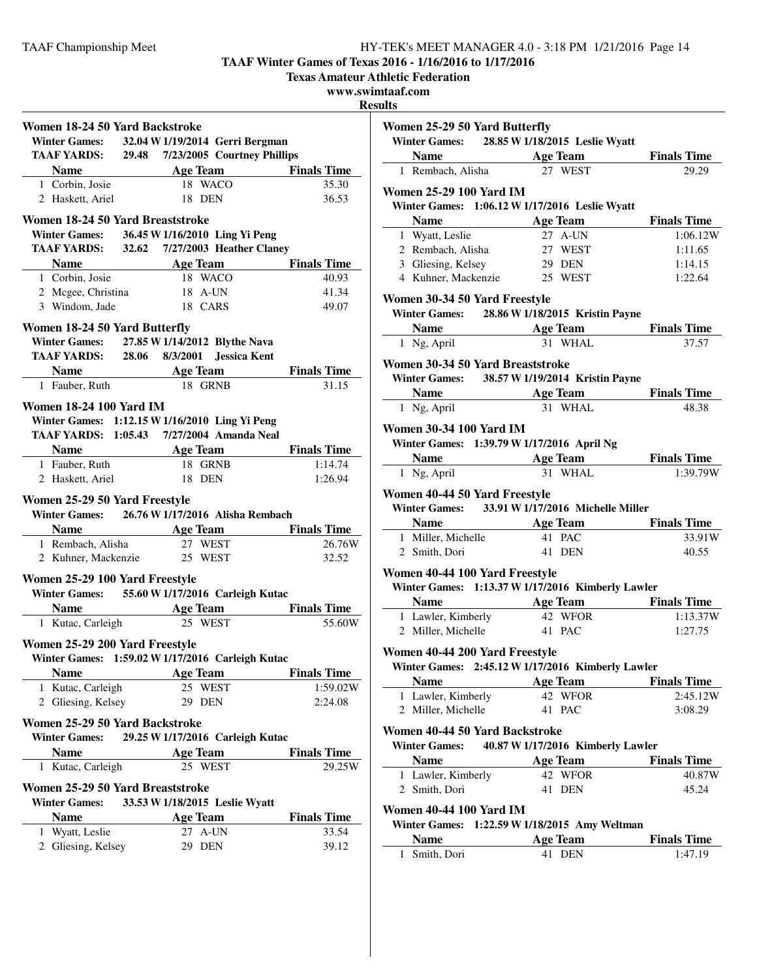**TAAF Winter Games of Texas 2016 - 1/16/2016 to 1/17/2016**

**Texas Amateur Athletic Federation**

# **www.swimtaaf.com**

**Results**

| Women 18-24 50 Yard Backstroke   |                                                   |                    |
|----------------------------------|---------------------------------------------------|--------------------|
|                                  | Winter Games: 32.04 W 1/19/2014 Gerri Bergman     |                    |
|                                  | TAAF YARDS: 29.48 7/23/2005 Courtney Phillips     |                    |
| <b>Name</b>                      | Age Team Finals Time                              |                    |
| 1 Corbin, Josie                  | 18 WACO                                           | 35.30              |
| 2 Haskett, Ariel                 | 18 DEN                                            | 36.53              |
| Women 18-24 50 Yard Breaststroke |                                                   |                    |
|                                  | Winter Games: 36.45 W 1/16/2010 Ling Yi Peng      |                    |
|                                  | <b>TAAF YARDS:</b> 32.62 7/27/2003 Heather Claney |                    |
|                                  | <b>Name Age Team</b> Finals Time                  |                    |
| 1 Corbin, Josie                  | 18 WACO                                           | 40.93              |
| 2 Mcgee, Christina               | 18 A-UN                                           | 41.34              |
| 3 Windom, Jade                   | 18 CARS                                           | 49.07              |
|                                  |                                                   |                    |
| Women 18-24 50 Yard Butterfly    | Winter Games: 27.85 W 1/14/2012 Blythe Nava       |                    |
|                                  | TAAF YARDS: 28.06 8/3/2001 Jessica Kent           |                    |
|                                  |                                                   |                    |
| 1 Fauber, Ruth                   | Name Age Team Finals Time<br>18 GRNB              | 31.15              |
|                                  |                                                   |                    |
| <b>Women 18-24 100 Yard IM</b>   |                                                   |                    |
|                                  | Winter Games: 1:12.15 W 1/16/2010 Ling Yi Peng    |                    |
|                                  | TAAF YARDS: 1:05.43 7/27/2004 Amanda Neal         |                    |
|                                  | <b>Name Age Team</b>                              | <b>Finals Time</b> |
| 1 Fauber, Ruth                   | 18 GRNB                                           | 1:14.74            |
| 2 Haskett, Ariel                 | 18 DEN                                            | 1:26.94            |
| Women 25-29 50 Yard Freestyle    |                                                   |                    |
|                                  | Winter Games: 26.76 W 1/17/2016 Alisha Rembach    |                    |
|                                  | Name <b>Age Team</b> Finals Time                  |                    |
| 1 Rembach, Alisha                | 27 WEST                                           | 26.76W             |
| 2 Kuhner, Mackenzie              | 25 WEST                                           | 32.52              |
|                                  |                                                   |                    |
| Women 25-29 100 Yard Freestyle   |                                                   |                    |
|                                  | Winter Games: 55.60 W 1/17/2016 Carleigh Kutac    |                    |
| <b>Name</b>                      | <b>ExamPle Age Team</b> Finals Time               |                    |
| 1 Kutac, Carleigh                | 25 WEST                                           | 55.60W             |
| Women 25-29 200 Yard Freestyle   |                                                   |                    |
|                                  | Winter Games: 1:59.02 W 1/17/2016 Carleigh Kutac  |                    |
| <b>Name</b>                      | <b>Age Team</b>                                   | <b>Finals Time</b> |
| 1 Kutac, Carleigh                | 25 WEST                                           | 1:59.02W           |
| 2 Gliesing, Kelsey               | 29 DEN                                            | 2:24.08            |
| Women 25-29 50 Yard Backstroke   |                                                   |                    |
| <b>Winter Games:</b>             | 29.25 W 1/17/2016 Carleigh Kutac                  |                    |
| <b>Name</b>                      | <b>Age Team</b>                                   | <b>Finals Time</b> |
| 1 Kutac, Carleigh                | 25 WEST                                           | 29.25W             |
|                                  |                                                   |                    |
| Women 25-29 50 Yard Breaststroke |                                                   |                    |
| <b>Winter Games:</b>             | 33.53 W 1/18/2015 Leslie Wyatt                    |                    |
| <b>Name</b>                      | <b>Age Team</b>                                   | <b>Finals Time</b> |
|                                  |                                                   |                    |
| 1 Wyatt, Leslie                  | 27 A-UN                                           | 33.54              |
| 2 Gliesing, Kelsey               | 29 DEN                                            | 39.12              |

| Women 25-29 50 Yard Butterfly<br>Winter Games: 28.85 W 1/18/2015 Leslie Wyatt                           |                                   |                             |  |  |
|---------------------------------------------------------------------------------------------------------|-----------------------------------|-----------------------------|--|--|
| Name Age Team Finals Time                                                                               |                                   |                             |  |  |
| 1 Rembach, Alisha                                                                                       | $\overline{27}$ WEST              | 29.29                       |  |  |
| <b>Women 25-29 100 Yard IM</b>                                                                          |                                   |                             |  |  |
| Winter Games: 1:06.12 W 1/17/2016 Leslie Wyatt                                                          |                                   |                             |  |  |
| <b>Name</b> Age Team                                                                                    |                                   | <b>Finals Time</b>          |  |  |
| 1 Wyatt, Leslie                                                                                         | 27 A-UN                           | 1:06.12W                    |  |  |
| 2 Rembach, Alisha                                                                                       | 27 WEST                           | 1:11.65                     |  |  |
| 3 Gliesing, Kelsey                                                                                      | 29 DEN                            | 1:14.15                     |  |  |
| 4 Kuhner, Mackenzie 25 WEST                                                                             |                                   | 1:22.64                     |  |  |
|                                                                                                         |                                   |                             |  |  |
| Women 30-34 50 Yard Freestyle                                                                           |                                   |                             |  |  |
| Winter Games: 28.86 W 1/18/2015 Kristin Payne                                                           |                                   |                             |  |  |
| <b>Name Age Team</b><br>1 Ng, April <b>1 Ng</b> april <b>1 Ng</b> april <b>1 Ng</b> april <b>1 NHAL</b> |                                   | <b>Finals Time</b>          |  |  |
| 1 Ng, April                                                                                             |                                   | 37.57                       |  |  |
| Women 30-34 50 Yard Breaststroke                                                                        |                                   |                             |  |  |
| Winter Games: 38.57 W 1/19/2014 Kristin Payne                                                           |                                   |                             |  |  |
| <b>Name</b> Age Team Finals Time                                                                        |                                   |                             |  |  |
| 1 Ng, April                                                                                             | 31 WHAL                           | 48.38                       |  |  |
| <b>Women 30-34 100 Yard IM</b>                                                                          |                                   |                             |  |  |
| Winter Games: 1:39.79 W 1/17/2016 April Ng                                                              |                                   |                             |  |  |
| <b>Solution Secure Age Team Finals Time</b>                                                             |                                   |                             |  |  |
| 1 Ng, April                                                                                             | 31 WHAL.                          | 1:39.79W                    |  |  |
|                                                                                                         |                                   |                             |  |  |
| Women 40-44 50 Yard Freestyle                                                                           |                                   |                             |  |  |
| Winter Games: 33.91 W 1/17/2016 Michelle Miller                                                         |                                   |                             |  |  |
| <b>Name</b>                                                                                             |                                   | <b>Age Team</b> Finals Time |  |  |
| 1 Miller, Michelle                                                                                      | 41 PAC                            | 33.91W                      |  |  |
| 2 Smith, Dori                                                                                           | 41 DEN                            | 40.55                       |  |  |
| Women 40-44 100 Yard Freestyle                                                                          |                                   |                             |  |  |
| Winter Games: 1:13.37 W 1/17/2016 Kimberly Lawler                                                       |                                   |                             |  |  |
| <b>Name</b> Age Team Finals Time                                                                        |                                   |                             |  |  |
| 1 Lawler, Kimberly                                                                                      | 42 WFOR                           | 1:13.37W                    |  |  |
| 2 Miller, Michelle                                                                                      | $41$ PAC                          | 1:27.75                     |  |  |
|                                                                                                         |                                   |                             |  |  |
| Women 40-44 200 Yard Freestyle                                                                          |                                   |                             |  |  |
| Winter Games: 2:45.12 W 1/17/2016 Kimberly Lawler                                                       |                                   |                             |  |  |
| <b>Name</b>                                                                                             | <b>Age Team</b>                   | <b>Finals Time</b>          |  |  |
| 1 Lawler, Kimberly                                                                                      | 42 WFOR                           | 2:45.12W                    |  |  |
| 2 Miller, Michelle                                                                                      | 41 PAC                            | 3:08.29                     |  |  |
| Women 40-44 50 Yard Backstroke                                                                          |                                   |                             |  |  |
| <b>Winter Games:</b>                                                                                    | 40.87 W 1/17/2016 Kimberly Lawler |                             |  |  |
| <b>Name</b>                                                                                             | <b>Age Team</b>                   | <b>Finals Time</b>          |  |  |
| 1 Lawler, Kimberly                                                                                      | 42 WFOR                           | 40.87W                      |  |  |
| 2 Smith, Dori                                                                                           | 41 DEN                            | 45.24                       |  |  |
| <b>Women 40-44 100 Yard IM</b>                                                                          |                                   |                             |  |  |
| Winter Games: 1:22.59 W 1/18/2015 Amy Weltman                                                           |                                   |                             |  |  |
| <b>Name</b>                                                                                             | <b>Age Team</b>                   | <b>Finals Time</b>          |  |  |
| 1 Smith, Dori                                                                                           | 41 DEN                            | 1:47.19                     |  |  |
|                                                                                                         |                                   |                             |  |  |
|                                                                                                         |                                   |                             |  |  |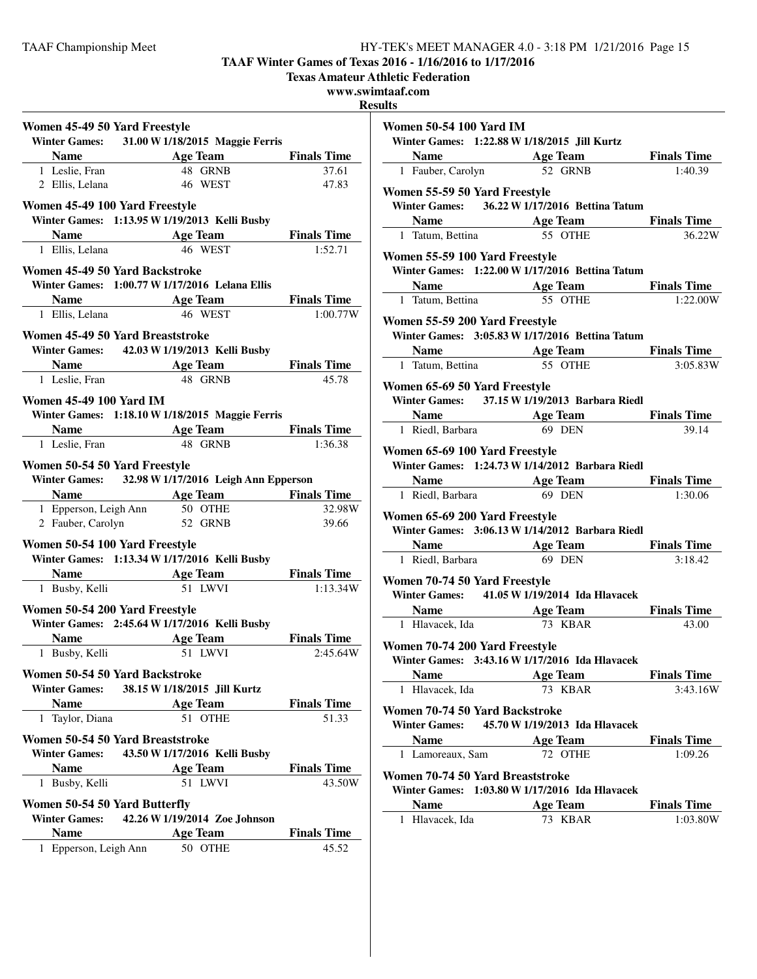**TAAF Winter Games of Texas 2016 - 1/16/2016 to 1/17/2016**

**Texas Amateur Athletic Federation**

**www.swimtaaf.com**

**Results**

| Women 45-49 50 Yard Freestyle  |                                                                           |                                |
|--------------------------------|---------------------------------------------------------------------------|--------------------------------|
|                                | Winter Games: 31.00 W 1/18/2015 Maggie Ferris                             |                                |
|                                | Name Age Team                                                             | <b>Finals Time</b>             |
| 1 Leslie, Fran                 | 48 GRNB                                                                   | 37.61                          |
| 2 Ellis, Lelana                | 46 WEST                                                                   | 47.83                          |
| Women 45-49 100 Yard Freestyle |                                                                           |                                |
|                                | Winter Games: 1:13.95 W 1/19/2013 Kelli Busby                             |                                |
|                                |                                                                           | <b>Finals Time</b>             |
|                                | <b>Name Age Team</b><br>1 Ellis, Lelana <b>46</b> WEST                    | 1:52.71                        |
| Women 45-49 50 Yard Backstroke |                                                                           |                                |
|                                | Winter Games: 1:00.77 W 1/17/2016 Lelana Ellis                            |                                |
|                                | <b>Name Age Team Finals Time</b>                                          |                                |
| 1 Ellis, Lelana                | 46 WEST                                                                   | 1:00.77W                       |
|                                | Women 45-49 50 Yard Breaststroke                                          |                                |
|                                | Winter Games: 42.03 W 1/19/2013 Kelli Busby                               |                                |
|                                | <b>Name</b> Age Team                                                      | <b>Finals Time</b>             |
| 1 Leslie, Fran                 | 48 GRNB                                                                   | 45.78                          |
|                                |                                                                           |                                |
| <b>Women 45-49 100 Yard IM</b> |                                                                           |                                |
|                                | Winter Games: 1:18.10 W 1/18/2015 Maggie Ferris                           |                                |
|                                | <b>Name Age Team Finals Time</b><br>1 Leslie, Fran <b>48 GRNB</b> 1:36.38 |                                |
|                                |                                                                           |                                |
| Women 50-54 50 Yard Freestyle  |                                                                           |                                |
|                                | Winter Games: 32.98 W 1/17/2016 Leigh Ann Epperson                        |                                |
|                                | <b>Name</b> Age Team Finals Time                                          |                                |
|                                |                                                                           |                                |
|                                |                                                                           | 32.98W                         |
| 2 Fauber, Carolyn              | 1 Epperson, Leigh Ann 50 OTHE<br>52 GRNB                                  | 39.66                          |
| Women 50-54 100 Yard Freestyle |                                                                           |                                |
|                                | Winter Games: 1:13.34 W 1/17/2016 Kelli Busby                             |                                |
|                                | <b>Name</b> Age Team Finals Time                                          |                                |
| 1 Busby, Kelli                 | 51 I.WVI                                                                  | 1:13.34W                       |
|                                |                                                                           |                                |
| Women 50-54 200 Yard Freestyle |                                                                           |                                |
|                                | Winter Games: 2:45.64 W 1/17/2016 Kelli Busby                             |                                |
| <b>Name</b><br>1 Busby, Kelli  | <b>Age Team</b><br>51 LWVI                                                | <b>Finals Time</b><br>2:45.64W |
|                                |                                                                           |                                |
| Women 50-54 50 Yard Backstroke |                                                                           |                                |
| <b>Winter Games:</b>           | 38.15 W 1/18/2015 Jill Kurtz                                              |                                |
| <b>Name</b>                    | <b>Age Team</b>                                                           | <b>Finals Time</b>             |
| 1 Taylor, Diana                | 51 OTHE                                                                   | 51.33                          |
|                                | Women 50-54 50 Yard Breaststroke                                          |                                |
|                                | Winter Games: 43.50 W 1/17/2016 Kelli Busby                               |                                |
| <b>Name</b>                    | <b>Age Team</b>                                                           | <b>Finals Time</b>             |
| 1 Busby, Kelli                 | 51 I.WVI                                                                  | 43.50W                         |
| Women 50-54 50 Yard Butterfly  |                                                                           |                                |
| <b>Winter Games:</b>           | 42.26 W 1/19/2014 Zoe Johnson                                             |                                |
| <b>Name</b>                    | <b>Age Team</b>                                                           | <b>Finals Time</b>             |
| 1 Epperson, Leigh Ann          | 50 OTHE                                                                   | 45.52                          |

| <b>Women 50-54 100 Yard IM</b>                                                    |                                                                               |          |
|-----------------------------------------------------------------------------------|-------------------------------------------------------------------------------|----------|
| Winter Games: 1:22.88 W 1/18/2015 Jill Kurtz                                      |                                                                               |          |
|                                                                                   |                                                                               |          |
| <b>Name Age Team Finals Time</b><br>1 Fauber, Carolyn 52 GRNB 1:40.39             |                                                                               |          |
| Women 55-59 50 Yard Freestyle                                                     |                                                                               |          |
| Winter Games: 36.22 W 1/17/2016 Bettina Tatum                                     |                                                                               |          |
|                                                                                   |                                                                               |          |
| 1 Tatum, Bettina                                                                  | <b>Name</b><br>Tatum, Bettina <b>1998 Age Team 1998 Finals Time</b><br>36.22W | 36.22W   |
| Women 55-59 100 Yard Freestyle                                                    |                                                                               |          |
| Winter Games: 1:22.00 W 1/17/2016 Bettina Tatum                                   |                                                                               |          |
| <b>Solution School Age Team</b> Finals Time                                       |                                                                               |          |
| 1 Tatum, Bettina                                                                  | 55 OTHE                                                                       | 1:22.00W |
| Women 55-59 200 Yard Freestyle                                                    |                                                                               |          |
| Winter Games: 3:05.83 W 1/17/2016 Bettina Tatum                                   |                                                                               |          |
|                                                                                   |                                                                               |          |
| <b>Name Age Team Finals Time</b><br>1 Tatum, Bettina <b>55 OTHE</b> 3:05.83W      |                                                                               | 3:05.83W |
| Women 65-69 50 Yard Freestyle                                                     |                                                                               |          |
| Winter Games: 37.15 W 1/19/2013 Barbara Riedl                                     |                                                                               |          |
| <b>Solution School Age Team</b> Finals Time                                       |                                                                               |          |
| 1 Riedl, Barbara                                                                  | $69$ DEN                                                                      | 39.14    |
|                                                                                   |                                                                               |          |
| Women 65-69 100 Yard Freestyle                                                    |                                                                               |          |
| Winter Games: 1:24.73 W 1/14/2012 Barbara Riedl                                   |                                                                               |          |
|                                                                                   |                                                                               |          |
|                                                                                   |                                                                               |          |
| 1 Riedl, Barbara                                                                  | <b>Name Age Team Finals Time</b><br>1 Riedl, Barbara <b>69 DEN</b> 1:30.06    |          |
|                                                                                   |                                                                               |          |
| Women 65-69 200 Yard Freestyle<br>Winter Games: 3:06.13 W 1/14/2012 Barbara Riedl |                                                                               |          |
|                                                                                   |                                                                               |          |
| <b>Name</b> Age Team Finals Time<br>1 Riedl, Barbara                              | 69 DEN                                                                        | 3:18.42  |
|                                                                                   |                                                                               |          |
| Women 70-74 50 Yard Freestyle                                                     |                                                                               |          |
| <b>Winter Games:</b>                                                              | 41.05 W 1/19/2014 Ida Hlavacek                                                |          |
| <b>Solution School Age Team</b> Finals Time                                       |                                                                               | 43.00    |
| 1 Hlavacek, Ida                                                                   | 73 KBAR                                                                       |          |
| Women 70-74 200 Yard Freestyle                                                    |                                                                               |          |
| Winter Games: 3:43.16 W 1/17/2016 Ida Hlavacek                                    |                                                                               |          |
| <b>Solution School Age Team</b> Finals Time                                       |                                                                               |          |
| 1 Hlavacek, Ida                                                                   | 73 KBAR                                                                       | 3:43.16W |
| Women 70-74 50 Yard Backstroke                                                    |                                                                               |          |
| Winter Games: 45.70 W 1/19/2013 Ida Hlavacek                                      |                                                                               |          |
|                                                                                   | Name Age Team Finals Time                                                     |          |
| 1 Lamoreaux, Sam                                                                  | 72 OTHE                                                                       | 1:09.26  |
| Women 70-74 50 Yard Breaststroke                                                  |                                                                               |          |
| Winter Games: 1:03.80 W 1/17/2016 Ida Hlavacek                                    |                                                                               |          |
| <b>Name</b><br>1 Hlavacek, Ida                                                    | <b>Example 2 Age Team</b> Finals Time<br>73 KBAR                              | 1:03.80W |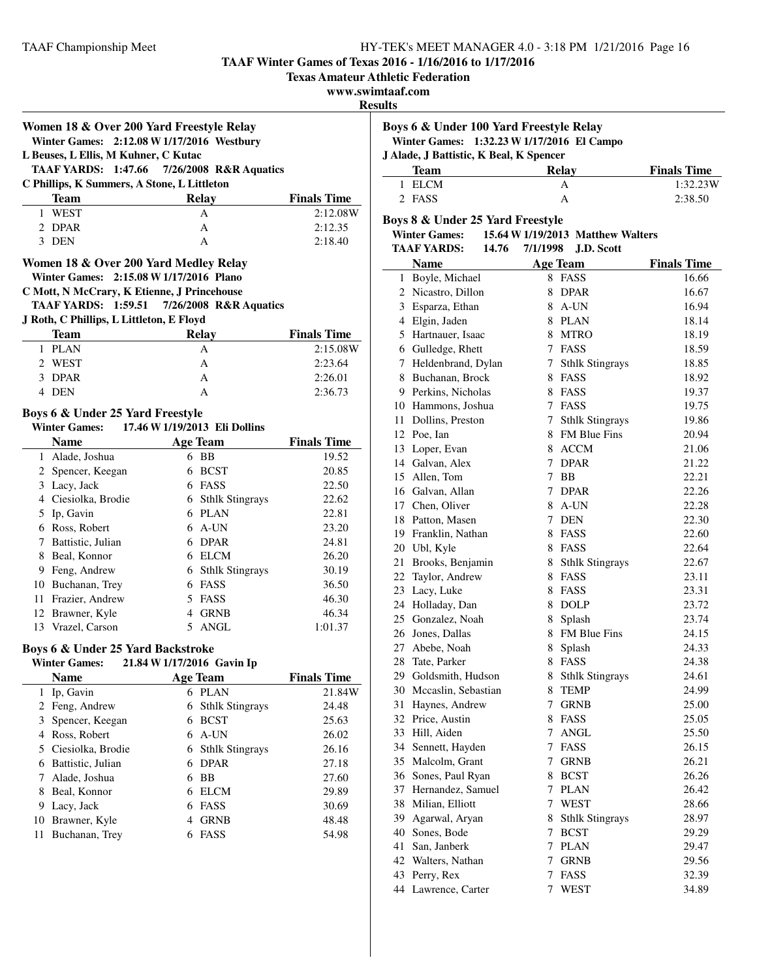**TAAF Winter Games of Texas 2016 - 1/16/2016 to 1/17/2016**

**Texas Amateur Athletic Federation**

## **www.swimtaaf.com**

#### **Results**

|              | Women 18 & Over 200 Yard Freestyle Relay                                      |                 |                               |                    |
|--------------|-------------------------------------------------------------------------------|-----------------|-------------------------------|--------------------|
|              | Winter Games: 2:12.08 W 1/17/2016 Westbury                                    |                 |                               |                    |
|              | L Beuses, L Ellis, M Kuhner, C Kutac                                          |                 |                               |                    |
|              | 1:47.66<br><b>TAAF YARDS:</b>                                                 |                 | 7/26/2008 R&R Aquatics        |                    |
|              | C Phillips, K Summers, A Stone, L Littleton                                   |                 |                               |                    |
|              | <b>Team</b>                                                                   |                 | <b>Relay</b>                  | <b>Finals Time</b> |
| 1            | <b>WEST</b>                                                                   |                 | Α                             | 2:12.08W           |
| 2            | DPAR                                                                          |                 | A                             | 2:12.35            |
| 3            | DEN                                                                           |                 | A                             | 2:18.40            |
|              | Women 18 & Over 200 Yard Medley Relay                                         |                 |                               |                    |
|              | Winter Games: 2:15.08 W 1/17/2016 Plano                                       |                 |                               |                    |
|              | C Mott, N McCrary, K Etienne, J Princehouse                                   |                 |                               |                    |
|              | TAAF YARDS: 1:59.51 7/26/2008 R&R Aquatics                                    |                 |                               |                    |
|              | J Roth, C Phillips, L Littleton, E Floyd                                      |                 |                               |                    |
|              | <b>Team</b>                                                                   |                 | <b>Relay</b>                  | <b>Finals Time</b> |
| $\mathbf{1}$ | <b>PLAN</b>                                                                   |                 | A                             | 2:15.08W           |
|              | 2 WEST                                                                        |                 | A                             | 2:23.64            |
| 3            | <b>DPAR</b>                                                                   |                 | A                             | 2:26.01            |
|              | 4 DEN                                                                         |                 | A                             | 2:36.73            |
|              | Boys 6 & Under 25 Yard Freestyle                                              |                 |                               |                    |
|              | <b>Winter Games:</b>                                                          |                 | 17.46 W 1/19/2013 Eli Dollins |                    |
|              | <b>Name</b>                                                                   |                 | <b>Age Team</b>               | <b>Finals Time</b> |
|              | 1 Alade, Joshua                                                               |                 | 6 BB                          | 19.52              |
|              | 2 Spencer, Keegan                                                             |                 | 6 BCST                        | 20.85              |
|              | 3 Lacy, Jack                                                                  |                 | 6 FASS                        | 22.50              |
|              | 4 Ciesiolka, Brodie                                                           |                 | 6 Sthlk Stingrays             | 22.62              |
|              | 5 Ip, Gavin                                                                   |                 | 6 PLAN                        | 22.81              |
|              | 6 Ross, Robert                                                                |                 | $6$ A-UN                      | 23.20              |
|              | 7 Battistic, Julian                                                           |                 | 6 DPAR                        | 24.81              |
|              | 8 Beal, Konnor                                                                |                 | 6 ELCM                        | 26.20              |
|              | 9 Feng, Andrew                                                                |                 | 6 Sthlk Stingrays             | 30.19              |
|              | 10 Buchanan, Trey                                                             |                 | 6 FASS                        | 36.50              |
|              | 11 Frazier, Andrew                                                            |                 | 5 FASS                        | 46.30              |
|              | 12 Brawner, Kyle                                                              |                 | 4 GRNB                        | 46.34              |
|              | 13 Vrazel, Carson                                                             |                 | 5 ANGL                        | 1:01.37            |
|              |                                                                               |                 |                               |                    |
|              | Boys 6 & Under 25 Yard Backstroke<br>Winter Games: 21.84 W 1/17/2016 Gavin Ip |                 |                               |                    |
|              | Name                                                                          | <b>Age Team</b> |                               | <b>Finals Time</b> |
| 1            | Ip, Gavin                                                                     |                 | 6 PLAN                        | 21.84W             |
| 2            | Feng, Andrew                                                                  |                 | 6 Sthlk Stingrays             | 24.48              |
|              | 3 Spencer, Keegan                                                             |                 | 6 BCST                        | 25.63              |
|              | 4 Ross, Robert                                                                |                 | $6$ A-UN                      | 26.02              |
|              | 5 Ciesiolka, Brodie                                                           |                 | 6 Sthlk Stingrays             | 26.16              |
|              |                                                                               |                 |                               |                    |
| $\tau$       | 6 Battistic, Julian<br>Alade, Joshua                                          | 6.              | <b>DPAR</b><br>6 BB           | 27.18<br>27.60     |
|              | Beal, Konnor                                                                  |                 |                               |                    |
| 8            |                                                                               |                 | 6 ELCM                        | 29.89              |
|              | 9 Lacy, Jack                                                                  | 6               | FASS                          | 30.69              |
|              | 10 Brawner, Kyle                                                              | 4               | <b>GRNB</b>                   | 48.48              |
| 11           | Buchanan, Trey                                                                |                 | 6 FASS                        | 54.98              |

| Boys 6 & Under 100 Yard Freestyle Relay<br>Winter Games: 1:32.23 W 1/17/2016 El Campo<br>J Alade, J Battistic, K Beal, K Spencer |       |                    |  |
|----------------------------------------------------------------------------------------------------------------------------------|-------|--------------------|--|
| <b>Team</b>                                                                                                                      | Relay | <b>Finals Time</b> |  |
| 1 ELCM                                                                                                                           | А     | 1:32.23W           |  |
| 2 FASS                                                                                                                           | А     | 2:38.50            |  |

#### **Boys 8 & Under 25 Yard Freestyle**

#### **Winter Games: 15.64 W1/19/2013 Matthew Walters TAAF YARDS: 14.76 J.D. Scott 7/1/1998**

|    | <b>Name</b>            |             | <b>Age Team</b>        | <b>Finals Time</b> |
|----|------------------------|-------------|------------------------|--------------------|
|    | 1 Boyle, Michael       |             | 8 FASS                 | 16.66              |
|    | 2 Nicastro, Dillon     |             | 8 DPAR                 | 16.67              |
|    | 3 Esparza, Ethan       |             | 8 A-UN                 | 16.94              |
|    | 4 Elgin, Jaden         |             | 8 PLAN                 | 18.14              |
|    | 5 Hartnauer, Isaac     |             | 8 MTRO                 | 18.19              |
|    | 6 Gulledge, Rhett      |             | 7 FASS                 | 18.59              |
|    | 7 Heldenbrand, Dylan   |             | 7 Sthlk Stingrays      | 18.85              |
|    | 8 Buchanan, Brock      |             | 8 FASS                 | 18.92              |
|    | 9 Perkins, Nicholas    |             | 8 FASS                 | 19.37              |
|    | 10 Hammons, Joshua     |             | 7 FASS                 | 19.75              |
|    | 11 Dollins, Preston    | $7^{\circ}$ | <b>Sthlk Stingrays</b> | 19.86              |
|    | 12 Poe, Ian            |             | 8 FM Blue Fins         | 20.94              |
|    | 13 Loper, Evan         | 8           | <b>ACCM</b>            | 21.06              |
|    | 14 Galvan, Alex        |             | 7 DPAR                 | 21.22              |
|    | 15 Allen, Tom          |             | 7 BB                   | 22.21              |
|    | 16 Galvan, Allan       |             | 7 DPAR                 | 22.26              |
|    | 17 Chen, Oliver        |             | 8 A-UN                 | 22.28              |
|    | 18 Patton, Masen       |             | 7 DEN                  | 22.30              |
|    | 19 Franklin, Nathan    |             | 8 FASS                 | 22.60              |
|    | 20 Ubl, Kyle           |             | 8 FASS                 | 22.64              |
|    | 21 Brooks, Benjamin    |             | 8 Sthlk Stingrays      | 22.67              |
|    | 22 Taylor, Andrew      |             | 8 FASS                 | 23.11              |
|    | 23 Lacy, Luke          |             | 8 FASS                 | 23.31              |
|    | 24 Holladay, Dan       |             | 8 DOLP                 | 23.72              |
|    | 25 Gonzalez, Noah      |             | 8 Splash               | 23.74              |
|    | 26 Jones, Dallas       |             | 8 FM Blue Fins         | 24.15              |
|    | 27 Abebe, Noah         |             | 8 Splash               | 24.33              |
|    | 28 Tate, Parker        |             | 8 FASS                 | 24.38              |
|    | 29 Goldsmith, Hudson   | 8           | <b>Sthlk Stingrays</b> | 24.61              |
|    | 30 Mccaslin, Sebastian |             | 8 TEMP                 | 24.99              |
|    | 31 Haynes, Andrew      |             | 7 GRNB                 | 25.00              |
|    | 32 Price, Austin       |             | 8 FASS                 | 25.05              |
|    | 33 Hill, Aiden         | 7           | <b>ANGL</b>            | 25.50              |
|    | 34 Sennett, Hayden     |             | 7 FASS                 | 26.15              |
|    | 35 Malcolm, Grant      |             | 7 GRNB                 | 26.21              |
|    | 36 Sones, Paul Ryan    |             | 8 BCST                 | 26.26              |
|    | 37 Hernandez, Samuel   |             | 7 PLAN                 | 26.42              |
|    | 38 Milian, Elliott     |             | 7 WEST                 | 28.66              |
|    | 39 Agarwal, Aryan      |             | 8 Sthlk Stingrays      | 28.97              |
|    | 40 Sones, Bode         |             | 7 BCST                 | 29.29              |
| 41 | San. Janberk           |             | 7 PLAN                 | 29.47              |
|    | 42 Walters, Nathan     |             | 7 GRNB                 | 29.56              |
|    | 43 Perry, Rex          |             | 7 FASS                 | 32.39              |
| 44 | Lawrence, Carter       | 7           | <b>WEST</b>            | 34.89              |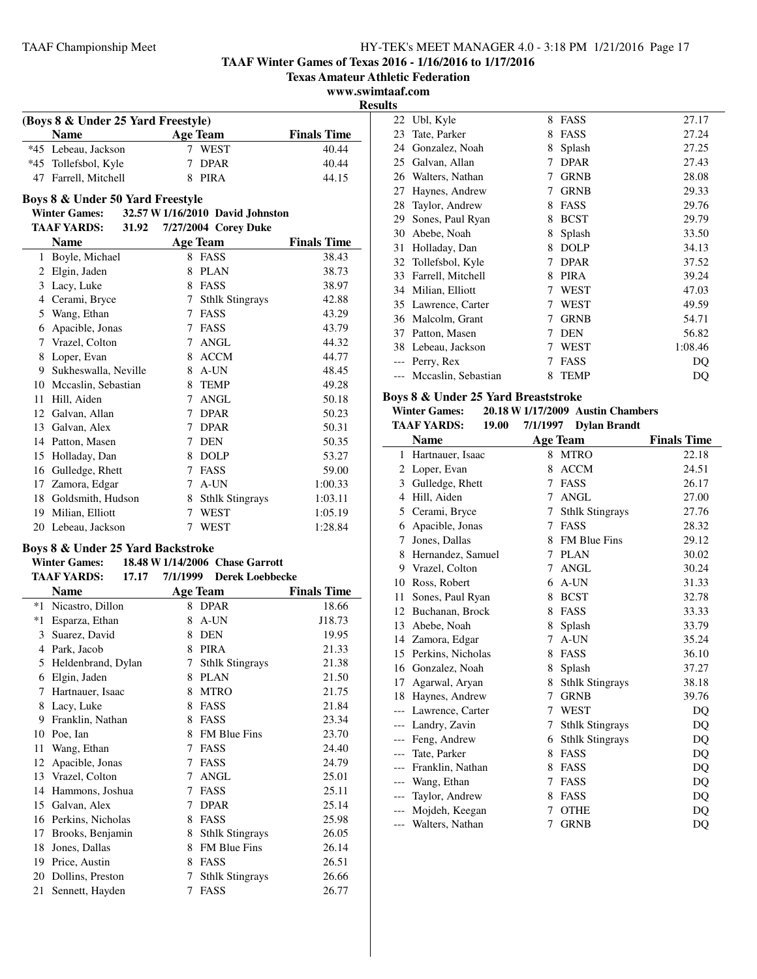**TAAF Winter Games of Texas 2016 - 1/16/2016 to 1/17/2016**

**Texas Amateur Athletic Federation**

**www.swimtaaf.com**

 $\overline{\phantom{a}}$ 

**Results**

| (Boys 8 & Under 25 Yard Freestyle) |          |                    |  |  |
|------------------------------------|----------|--------------------|--|--|
| <b>Name</b>                        | Age Team | <b>Finals Time</b> |  |  |
| *45 Lebeau, Jackson                | WEST     | 40.44              |  |  |
| *45 Tollefsbol, Kyle               | 7 DPAR   | 40.44              |  |  |
| 47 Farrell, Mitchell               | 8 PIRA   | 44.15              |  |  |

#### **Boys 8 & Under 50 Yard Freestyle**

# **Winter Games: 32.57 W1/16/2010 David Johnston**

|    | <b>TAAF YARDS:</b><br>31.92 |   | 7/27/2004 Corey Duke   |                    |
|----|-----------------------------|---|------------------------|--------------------|
|    | <b>Name</b>                 |   | <b>Age Team</b>        | <b>Finals Time</b> |
| 1  | Boyle, Michael              | 8 | FASS                   | 38.43              |
| 2  | Elgin, Jaden                | 8 | <b>PLAN</b>            | 38.73              |
| 3  | Lacy, Luke                  | 8 | <b>FASS</b>            | 38.97              |
| 4  | Cerami, Bryce               | 7 | <b>Sthlk Stingrays</b> | 42.88              |
| 5  | Wang, Ethan                 | 7 | <b>FASS</b>            | 43.29              |
| 6  | Apacible, Jonas             | 7 | FASS                   | 43.79              |
| 7  | Vrazel, Colton              | 7 | <b>ANGL</b>            | 44.32              |
| 8  | Loper, Evan                 | 8 | <b>ACCM</b>            | 44.77              |
| 9  | Sukheswalla, Neville        | 8 | A-UN                   | 48.45              |
| 10 | Mccaslin, Sebastian         | 8 | <b>TEMP</b>            | 49.28              |
| 11 | Hill, Aiden                 | 7 | <b>ANGL</b>            | 50.18              |
| 12 | Galvan, Allan               | 7 | <b>DPAR</b>            | 50.23              |
| 13 | Galvan, Alex                | 7 | <b>DPAR</b>            | 50.31              |
| 14 | Patton, Masen               | 7 | <b>DEN</b>             | 50.35              |
| 15 | Holladay, Dan               | 8 | <b>DOLP</b>            | 53.27              |
| 16 | Gulledge, Rhett             | 7 | FASS                   | 59.00              |
| 17 | Zamora, Edgar               | 7 | A-UN                   | 1:00.33            |
| 18 | Goldsmith, Hudson           | 8 | <b>Sthlk Stingrays</b> | 1:03.11            |
| 19 | Milian, Elliott             | 7 | WEST                   | 1:05.19            |
| 20 | Lebeau, Jackson             | 7 | WEST                   | 1:28.84            |

#### **Boys 8 & Under 25 Yard Backstroke Winter Games: 18.48 W1/14/2006 Chase Garrott**

# **TAAF YARDS:** 17.17 7/1/1999 Derek Loebbecke

|      | <b>Name</b>        |   | <b>Age Team</b>        | <b>Finals Time</b> |
|------|--------------------|---|------------------------|--------------------|
| *1   | Nicastro, Dillon   | 8 | <b>DPAR</b>            | 18.66              |
| $*1$ | Esparza, Ethan     | 8 | A-UN                   | J18.73             |
| 3    | Suarez, David      | 8 | <b>DEN</b>             | 19.95              |
| 4    | Park, Jacob        | 8 | <b>PIRA</b>            | 21.33              |
| 5    | Heldenbrand, Dylan | 7 | <b>Sthlk Stingrays</b> | 21.38              |
| 6    | Elgin, Jaden       | 8 | <b>PLAN</b>            | 21.50              |
| 7    | Hartnauer, Isaac   | 8 | <b>MTRO</b>            | 21.75              |
| 8    | Lacy, Luke         | 8 | FASS                   | 21.84              |
| 9    | Franklin, Nathan   | 8 | FASS                   | 23.34              |
| 10   | Poe, Ian           | 8 | <b>FM Blue Fins</b>    | 23.70              |
| 11   | Wang, Ethan        | 7 | FASS                   | 24.40              |
| 12   | Apacible, Jonas    | 7 | FASS                   | 24.79              |
| 13   | Vrazel, Colton     | 7 | ANGL                   | 25.01              |
| 14   | Hammons, Joshua    | 7 | FASS                   | 25.11              |
| 15   | Galvan, Alex       | 7 | <b>DPAR</b>            | 25.14              |
| 16   | Perkins, Nicholas  | 8 | FASS                   | 25.98              |
| 17   | Brooks, Benjamin   | 8 | <b>Sthlk Stingrays</b> | 26.05              |
| 18   | Jones, Dallas      | 8 | FM Blue Fins           | 26.14              |
| 19   | Price, Austin      | 8 | <b>FASS</b>            | 26.51              |
| 20   | Dollins, Preston   | 7 | <b>Sthlk Stingrays</b> | 26.66              |
| 21   | Sennett, Hayden    | 7 | FASS                   | 26.77              |

| 22 | Ubl, Kyle           | 8 | <b>FASS</b> | 27.17   |
|----|---------------------|---|-------------|---------|
| 23 | Tate, Parker        | 8 | FASS        | 27.24   |
| 24 | Gonzalez, Noah      | 8 | Splash      | 27.25   |
| 25 | Galvan, Allan       | 7 | <b>DPAR</b> | 27.43   |
| 26 | Walters, Nathan     | 7 | <b>GRNB</b> | 28.08   |
| 27 | Haynes, Andrew      | 7 | <b>GRNB</b> | 29.33   |
| 28 | Taylor, Andrew      | 8 | FASS        | 29.76   |
| 29 | Sones, Paul Ryan    | 8 | <b>BCST</b> | 29.79   |
| 30 | Abebe, Noah         | 8 | Splash      | 33.50   |
| 31 | Holladay, Dan       | 8 | <b>DOLP</b> | 34.13   |
| 32 | Tollefsbol, Kyle    | 7 | <b>DPAR</b> | 37.52   |
| 33 | Farrell, Mitchell   | 8 | <b>PIRA</b> | 39.24   |
| 34 | Milian, Elliott     |   | WEST        | 47.03   |
| 35 | Lawrence, Carter    |   | WEST        | 49.59   |
| 36 | Malcolm, Grant      |   | <b>GRNB</b> | 54.71   |
| 37 | Patton, Masen       |   | <b>DEN</b>  | 56.82   |
| 38 | Lebeau, Jackson     |   | WEST        | 1:08.46 |
|    | Perry, Rex          |   | FASS        | DO      |
|    | Mccaslin, Sebastian | 8 | <b>TEMP</b> | DO      |
|    |                     |   |             |         |

#### **Boys 8 & Under 25 Yard Breaststroke**

#### **Winter Games:** 20.18 **W** 1/17/2009 **Austin Chambers**<br>TAAE VA PDS: 10.00 7/1/1007 Dylen Prendt **TAAF YARDS: 19.00 Dylan Brandt 7/1/1997**

|       | іллі ілішэ.<br>17.VV |   | $(11177)$ Dyian Dramut |                    |
|-------|----------------------|---|------------------------|--------------------|
|       | <b>Name</b>          |   | <b>Age Team</b>        | <b>Finals Time</b> |
| 1     | Hartnauer, Isaac     | 8 | <b>MTRO</b>            | 22.18              |
| 2     | Loper, Evan          | 8 | <b>ACCM</b>            | 24.51              |
| 3     | Gulledge, Rhett      | 7 | <b>FASS</b>            | 26.17              |
| 4     | Hill, Aiden          | 7 | <b>ANGL</b>            | 27.00              |
| 5     | Cerami, Bryce        | 7 | <b>Sthlk Stingrays</b> | 27.76              |
| 6     | Apacible, Jonas      | 7 | <b>FASS</b>            | 28.32              |
| 7     | Jones, Dallas        | 8 | <b>FM Blue Fins</b>    | 29.12              |
| 8     | Hernandez, Samuel    | 7 | <b>PLAN</b>            | 30.02              |
| 9     | Vrazel, Colton       | 7 | <b>ANGL</b>            | 30.24              |
| 10    | Ross, Robert         | 6 | A-UN                   | 31.33              |
| 11    | Sones, Paul Ryan     | 8 | <b>BCST</b>            | 32.78              |
| 12    | Buchanan, Brock      | 8 | <b>FASS</b>            | 33.33              |
| 13    | Abebe, Noah          | 8 | Splash                 | 33.79              |
| 14    | Zamora, Edgar        | 7 | A-UN                   | 35.24              |
| 15    | Perkins, Nicholas    | 8 | FASS                   | 36.10              |
| 16    | Gonzalez, Noah       | 8 | Splash                 | 37.27              |
| 17    | Agarwal, Aryan       | 8 | <b>Sthlk Stingrays</b> | 38.18              |
| 18    | Haynes, Andrew       | 7 | <b>GRNB</b>            | 39.76              |
| ---   | Lawrence, Carter     | 7 | <b>WEST</b>            | DQ                 |
| $---$ | Landry, Zavin        | 7 | <b>Sthlk Stingrays</b> | DQ                 |
| ---   | Feng, Andrew         | 6 | <b>Sthlk Stingrays</b> | DQ                 |
| $---$ | Tate, Parker         | 8 | <b>FASS</b>            | DQ                 |
| $---$ | Franklin, Nathan     | 8 | <b>FASS</b>            | DQ                 |
| $---$ | Wang, Ethan          | 7 | FASS                   | DQ                 |
| $---$ | Taylor, Andrew       | 8 | <b>FASS</b>            | DQ                 |
|       | Mojdeh, Keegan       | 7 | <b>OTHE</b>            | DQ                 |
| $---$ | Walters, Nathan      | 7 | <b>GRNB</b>            | DQ                 |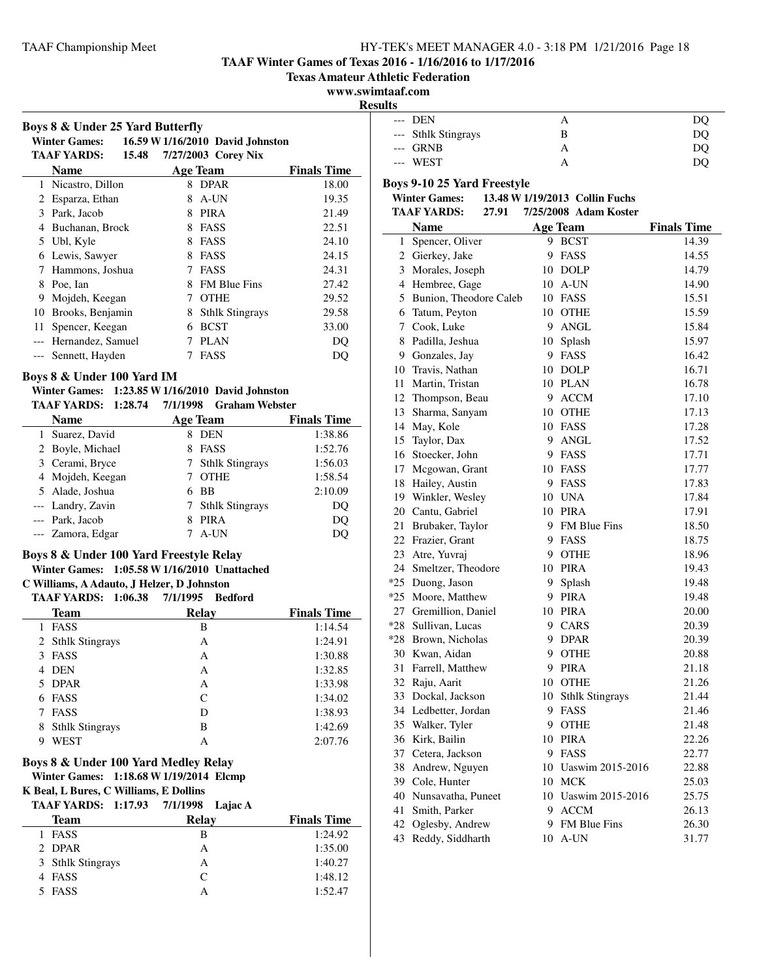# **TAAF Winter Games of Texas 2016 - 1/16/2016 to 1/17/2016**

**Texas Amateur Athletic Federation**

# **www.swimtaaf.com**

 $\overline{a}$ 

|    | Boys 8 & Under 25 Yard Butterfly<br><b>Winter Games:</b><br>16.59 W 1/16/2010 David Johnston |                     |                        |                    |  |  |
|----|----------------------------------------------------------------------------------------------|---------------------|------------------------|--------------------|--|--|
|    | <b>TAAF YARDS:</b><br>15.48                                                                  | 7/27/2003 Corey Nix |                        |                    |  |  |
|    | Name                                                                                         |                     | Age Team               | <b>Finals Time</b> |  |  |
|    | 1 Nicastro, Dillon                                                                           |                     | 8 DPAR                 | 18.00              |  |  |
| 2  | Esparza, Ethan                                                                               | 8                   | A-UN                   | 19.35              |  |  |
| 3  | Park, Jacob                                                                                  | 8                   | <b>PIRA</b>            | 21.49              |  |  |
| 4  | Buchanan, Brock                                                                              | 8                   | <b>FASS</b>            | 22.51              |  |  |
| 5  | Ubl, Kyle                                                                                    | 8                   | FASS                   | 24.10              |  |  |
| 6  | Lewis, Sawyer                                                                                | 8                   | <b>FASS</b>            | 24.15              |  |  |
| 7  | Hammons, Joshua                                                                              | 7                   | <b>FASS</b>            | 24.31              |  |  |
| 8  | Poe, Ian                                                                                     | 8                   | <b>FM Blue Fins</b>    | 27.42              |  |  |
| 9  | Mojdeh, Keegan                                                                               | 7                   | <b>OTHE</b>            | 29.52              |  |  |
| 10 | Brooks, Benjamin                                                                             | 8                   | <b>Sthlk Stingrays</b> | 29.58              |  |  |
| 11 | Spencer, Keegan                                                                              | 6                   | <b>BCST</b>            | 33.00              |  |  |
|    | Hernandez, Samuel                                                                            | 7                   | <b>PLAN</b>            | DO                 |  |  |
|    | Sennett, Hayden                                                                              | 7                   | FASS                   | DQ                 |  |  |
|    | Roys & & Hnder 100 Vard IM                                                                   |                     |                        |                    |  |  |

## **Boys 8 & Under 100 Yard IM**

#### **Winter Games: 1:23.85 W1/16/2010 David Johnston TAAF YARDS: 1:28.74 Graham Webster 7/1/1998**

| <b>Name</b>       |    | <b>Age Team</b>   | <b>Finals Time</b> |
|-------------------|----|-------------------|--------------------|
| 1 Suarez, David   |    | <b>DEN</b>        | 1:38.86            |
| 2 Boyle, Michael  | 8. | FASS              | 1:52.76            |
| 3 Cerami, Bryce   |    | 7 Sthlk Stingrays | 1:56.03            |
| 4 Mojdeh, Keegan  |    | <b>OTHE</b>       | 1:58.54            |
| 5 Alade, Joshua   |    | - BB              | 2:10.09            |
| --- Landry, Zavin |    | 7 Sthlk Stingrays | DQ                 |
| --- Park, Jacob   | 8  | <b>PIRA</b>       | DQ                 |
| --- Zamora, Edgar |    | A-UN              |                    |

#### **Boys 8 & Under 100 Yard Freestyle Relay Winter Games: 1:05.58 W1/16/2010 Unattached**

**C Williams, A Adauto, J Helzer, D Johnston**

# **TAAF YARDS: 1:06.38 7/1/1995 Bedford**

| IAAF IAKDS;<br>1.WV.JO      | 77171995<br>реатога |                    |  |
|-----------------------------|---------------------|--------------------|--|
| <b>Team</b>                 | Relay               | <b>Finals Time</b> |  |
| FASS                        | в                   | 1:14.54            |  |
| 2 Sthlk Stingrays           | Α                   | 1:24.91            |  |
| <b>FASS</b><br>3            | А                   | 1:30.88            |  |
| DEN<br>4                    | A                   | 1:32.85            |  |
| 5 DPAR                      | А                   | 1:33.98            |  |
| <b>FASS</b><br>6            | C                   | 1:34.02            |  |
| <b>FASS</b><br>7            | D                   | 1:38.93            |  |
| <b>Sthlk Stingrays</b><br>8 | в                   | 1:42.69            |  |
| WEST<br>9                   | A                   | 2:07.76            |  |

# **Boys 8 & Under 100 Yard Medley Relay**

**Winter Games: 1:18.68 W1/19/2014 Elcmp**

**K Beal, L Bures, C Williams, E Dollins**

| TAAF YARDS: 1:17.93 7/1/1998 Lajac A |  |  |  |  |
|--------------------------------------|--|--|--|--|
|--------------------------------------|--|--|--|--|

| <b>Team</b>       | Relay     | <b>Finals Time</b> |
|-------------------|-----------|--------------------|
| 1 FASS            | в         | 1:24.92            |
| 2 DPAR            | А         | 1:35.00            |
| 3 Sthlk Stingrays | А         | 1:40.27            |
| 4 FASS            | $\subset$ | 1:48.12            |
| 5 FASS            |           | 1:52.47            |

| <b>Results</b> |                     |   |     |  |  |
|----------------|---------------------|---|-----|--|--|
|                | --- DEN             |   | DÇ  |  |  |
|                | --- Sthlk Stingrays | В | DC. |  |  |
|                | $-$ GRNB            |   | DC. |  |  |
|                | --- WEST            |   |     |  |  |

# **Boys 9-10 25 Yard Freestyle**

# **Winter Games: 13.48 W1/19/2013 Collin Fuchs**

| 7/25/2008 Adam Koster<br><b>TAAF YARDS:</b><br>27.91 |                        |    |                     |                    |
|------------------------------------------------------|------------------------|----|---------------------|--------------------|
|                                                      | Name                   |    | <b>Age Team</b>     | <b>Finals Time</b> |
| 1                                                    | Spencer, Oliver        |    | 9 BCST              | 14.39              |
|                                                      | 2 Gierkey, Jake        | 9  | FASS                | 14.55              |
| 3                                                    | Morales, Joseph        |    | 10 DOLP             | 14.79              |
|                                                      | 4 Hembree, Gage        |    | 10 A-UN             | 14.90              |
| 5                                                    | Bunion, Theodore Caleb |    | 10 FASS             | 15.51              |
| 6                                                    | Tatum, Peyton          |    | 10 OTHE             | 15.59              |
| $\mathcal{I}$                                        | Cook, Luke             |    | 9 ANGL              | 15.84              |
| 8                                                    | Padilla, Jeshua        |    | 10 Splash           | 15.97              |
|                                                      | 9 Gonzales, Jay        |    | 9 FASS              | 16.42              |
| 10                                                   | Travis, Nathan         |    | 10 DOLP             | 16.71              |
| 11                                                   | Martin, Tristan        |    | 10 PLAN             | 16.78              |
| 12                                                   | Thompson, Beau         |    | 9 ACCM              | 17.10              |
| 13                                                   | Sharma, Sanyam         |    | 10 OTHE             | 17.13              |
| 14                                                   | May, Kole              |    | 10 FASS             | 17.28              |
| 15                                                   | Taylor, Dax            |    | 9 ANGL              | 17.52              |
| 16                                                   | Stoecker, John         |    | 9 FASS              | 17.71              |
| 17                                                   | Mcgowan, Grant         |    | 10 FASS             | 17.77              |
| 18                                                   | Hailey, Austin         |    | 9 FASS              | 17.83              |
| 19                                                   | Winkler, Wesley        |    | 10 UNA              | 17.84              |
|                                                      | 20 Cantu, Gabriel      |    | 10 PIRA             | 17.91              |
| 21                                                   | Brubaker, Taylor       |    | 9 FM Blue Fins      | 18.50              |
| 22                                                   | Frazier, Grant         |    | 9 FASS              | 18.75              |
| 23                                                   | Atre, Yuvraj           |    | 9 OTHE              | 18.96              |
| 24                                                   | Smeltzer, Theodore     |    | 10 PIRA             | 19.43              |
| $*25$                                                | Duong, Jason           | 9. | Splash              | 19.48              |
| $*25$                                                | Moore, Matthew         |    | 9 PIRA              | 19.48              |
| 27                                                   | Gremillion, Daniel     |    | 10 PIRA             | 20.00              |
| $*28$                                                | Sullivan, Lucas        |    | 9 CARS              | 20.39              |
| $*28$                                                | Brown, Nicholas        |    | 9 DPAR              | 20.39              |
| 30                                                   | Kwan, Aidan            |    | 9 OTHE              | 20.88              |
| 31                                                   | Farrell, Matthew       |    | 9 PIRA              | 21.18              |
| 32                                                   | Raju, Aarit            |    | 10 OTHE             | 21.26              |
| 33                                                   | Dockal, Jackson        |    | 10 Sthlk Stingrays  | 21.44              |
| 34                                                   | Ledbetter, Jordan      |    | 9 FASS              | 21.46              |
| 35                                                   | Walker, Tyler          |    | 9 OTHE              | 21.48              |
| 36                                                   | Kirk, Bailin           |    | 10 PIRA             | 22.26              |
| 37                                                   | Cetera, Jackson        |    | 9 FASS              | 22.77              |
| 38                                                   | Andrew, Nguyen         |    | 10 Uaswim 2015-2016 | 22.88              |
|                                                      | 39 Cole, Hunter        |    | 10 MCK              | 25.03              |
|                                                      | 40 Nunsavatha, Puneet  |    | 10 Uaswim 2015-2016 | 25.75              |
| 41                                                   | Smith, Parker          |    | 9 ACCM              | 26.13              |
| 42                                                   | Oglesby, Andrew        |    | 9 FM Blue Fins      | 26.30              |
| 43                                                   | Reddy, Siddharth       | 10 | A-UN                | 31.77              |
|                                                      |                        |    |                     |                    |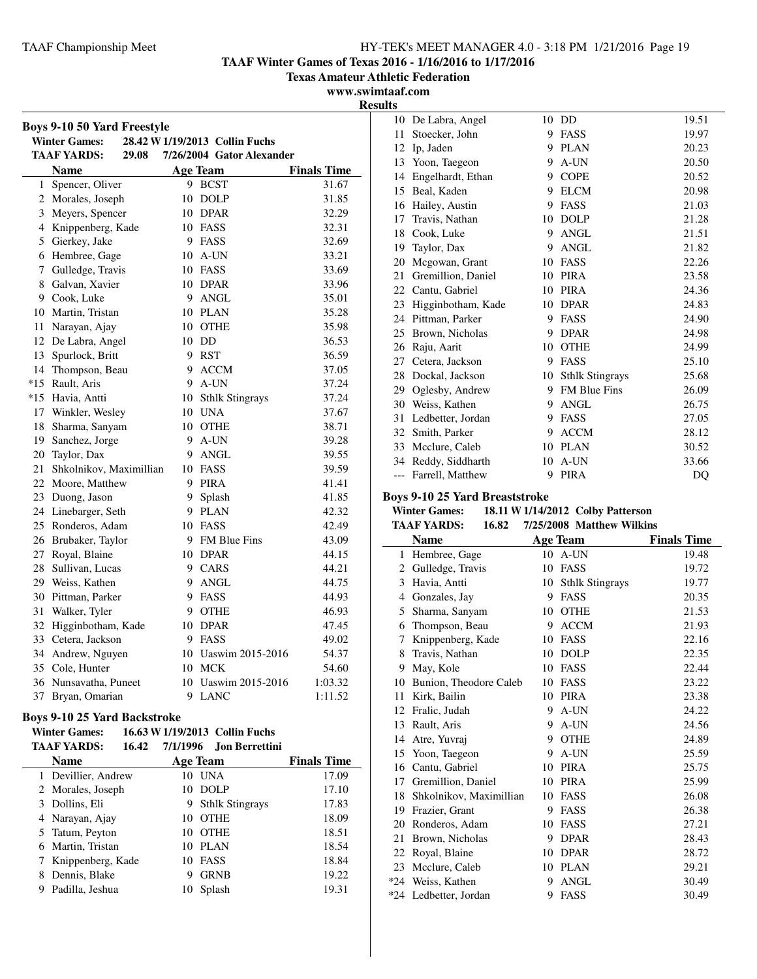**TAAF Winter Games of Texas 2016 - 1/16/2016 to 1/17/2016**

**Texas Amateur Athletic Federation**

**www.swimtaaf.com**

| Boys 9-10 50 Yard Freestyle |                             |    |                                |                    |
|-----------------------------|-----------------------------|----|--------------------------------|--------------------|
|                             | <b>Winter Games:</b>        |    | 28.42 W 1/19/2013 Collin Fuchs |                    |
|                             | <b>TAAF YARDS:</b><br>29.08 |    | 7/26/2004 Gator Alexander      |                    |
|                             | <b>Name</b>                 |    | <b>Age Team</b>                | <b>Finals Time</b> |
| 1                           | Spencer, Oliver             |    | 9 BCST                         | 31.67              |
|                             | 2 Morales, Joseph           | 10 | <b>DOLP</b>                    | 31.85              |
| 3                           | Meyers, Spencer             |    | 10 DPAR                        | 32.29              |
| 4                           | Knippenberg, Kade           |    | 10 FASS                        | 32.31              |
| 5                           | Gierkey, Jake               |    | 9 FASS                         | 32.69              |
| 6                           | Hembree, Gage               |    | 10 A-UN                        | 33.21              |
| 7                           | Gulledge, Travis            |    | 10 FASS                        | 33.69              |
| 8                           | Galvan, Xavier              |    | 10 DPAR                        | 33.96              |
| 9                           | Cook, Luke                  | 9  | ANGL                           | 35.01              |
| 10                          | Martin, Tristan             |    | 10 PLAN                        | 35.28              |
| 11                          | Narayan, Ajay               |    | 10 OTHE                        | 35.98              |
|                             | 12 De Labra, Angel          |    | 10 DD                          | 36.53              |
| 13                          | Spurlock, Britt             |    | 9 RST                          | 36.59              |
| 14                          | Thompson, Beau              |    | 9 ACCM                         | 37.05              |
| $*15$                       | Rault, Aris                 |    | 9 A-UN                         | 37.24              |
| $*15$                       | Havia, Antti                |    | 10 Sthlk Stingrays             | 37.24              |
| 17                          | Winkler, Wesley             |    | 10 UNA                         | 37.67              |
| 18                          | Sharma, Sanyam              |    | 10 OTHE                        | 38.71              |
| 19                          | Sanchez, Jorge              | 9  | A-UN                           | 39.28              |
| 20                          | Taylor, Dax                 |    | 9 ANGL                         | 39.55              |
| 21                          | Shkolnikov, Maximillian     |    | 10 FASS                        | 39.59              |
|                             | 22 Moore, Matthew           |    | 9 PIRA                         | 41.41              |
|                             | 23 Duong, Jason             | 9  | Splash                         | 41.85              |
| 24                          | Linebarger, Seth            |    | 9 PLAN                         | 42.32              |
| 25                          | Ronderos, Adam              |    | 10 FASS                        | 42.49              |
|                             | 26 Brubaker, Taylor         |    | 9 FM Blue Fins                 | 43.09              |
| 27                          | Royal, Blaine               |    | 10 DPAR                        | 44.15              |
| 28                          | Sullivan, Lucas             |    | 9 CARS                         | 44.21              |
| 29                          | Weiss, Kathen               |    | 9 ANGL                         | 44.75              |
| 30                          | Pittman, Parker             |    | 9 FASS                         | 44.93              |
| 31                          | Walker, Tyler               |    | 9 OTHE                         | 46.93              |
| 32                          | Higginbotham, Kade          |    | 10 DPAR                        | 47.45              |
| 33                          | Cetera, Jackson             |    | 9 FASS                         | 49.02              |
| 34                          | Andrew, Nguyen              |    | 10 Uaswim 2015-2016            | 54.37              |
|                             | 35 Cole, Hunter             |    | 10 MCK                         | 54.60              |
| 36                          | Nunsavatha, Puneet          |    | 10 Uaswim 2015-2016            | 1:03.32            |
| 37                          | Bryan, Omarian              | 9  | <b>LANC</b>                    | 1:11.52            |

## **Boys 9-10 25 Yard Backstroke**

#### **Winter Games:** 16.63 **W** 1/19/2013 Collin Fuchs<br>TAAE VARDS: 16.42 7/1/1996 Ion Berrettin **TAAF YARDS: 16.42 Jon Berrettini 7/1/1996**

|   | ілаг ілкілі<br>10.44 | //1/1990        | лоп регтении.          |                    |
|---|----------------------|-----------------|------------------------|--------------------|
|   | Name                 | <b>Age Team</b> |                        | <b>Finals Time</b> |
|   | 1 Devillier, Andrew  | 10              | UNA                    | 17.09              |
|   | 2 Morales, Joseph    |                 | 10 DOLP                | 17.10              |
|   | 3 Dollins, Eli       | 9               | <b>Sthlk Stingrays</b> | 17.83              |
|   | 4 Narayan, Ajay      | 10              | <b>OTHE</b>            | 18.09              |
|   | 5 Tatum, Peyton      | 10              | <b>OTHE</b>            | 18.51              |
|   | 6 Martin, Tristan    |                 | 10 PLAN                | 18.54              |
|   | 7 Knippenberg, Kade  | 10              | FASS                   | 18.84              |
| 8 | Dennis, Blake        | 9               | <b>GRNB</b>            | 19.22              |
| 9 | Padilla, Jeshua      | 10              | Splash                 | 19.31              |

| <b>Results</b> |                    |    |                        |       |
|----------------|--------------------|----|------------------------|-------|
| 10             | De Labra, Angel    | 10 | DD                     | 19.51 |
| 11             | Stoecker, John     | 9  | FASS                   | 19.97 |
| 12             | Ip, Jaden          | 9  | <b>PLAN</b>            | 20.23 |
| 13             | Yoon, Taegeon      | 9  | A-UN                   | 20.50 |
| 14             | Engelhardt, Ethan  | 9  | <b>COPE</b>            | 20.52 |
| 15             | Beal, Kaden        | 9  | <b>ELCM</b>            | 20.98 |
| 16             | Hailey, Austin     | 9  | FASS                   | 21.03 |
| 17             | Travis, Nathan     | 10 | <b>DOLP</b>            | 21.28 |
| 18             | Cook, Luke         | 9  | <b>ANGL</b>            | 21.51 |
| 19             | Taylor, Dax        | 9  | ANGL                   | 21.82 |
| 20             | Mcgowan, Grant     | 10 | FASS                   | 22.26 |
| 21             | Gremillion, Daniel | 10 | <b>PIRA</b>            | 23.58 |
| 22             | Cantu, Gabriel     | 10 | <b>PIRA</b>            | 24.36 |
| 23             | Higginbotham, Kade | 10 | <b>DPAR</b>            | 24.83 |
| 24             | Pittman, Parker    | 9  | FASS                   | 24.90 |
| 25             | Brown, Nicholas    | 9  | <b>DPAR</b>            | 24.98 |
| 26             | Raju, Aarit        | 10 | <b>OTHE</b>            | 24.99 |
| 27             | Cetera, Jackson    | 9  | FASS                   | 25.10 |
| 28             | Dockal, Jackson    | 10 | <b>Sthlk Stingrays</b> | 25.68 |
| 29             | Oglesby, Andrew    | 9  | <b>FM Blue Fins</b>    | 26.09 |
| 30             | Weiss, Kathen      | 9  | <b>ANGL</b>            | 26.75 |
| 31             | Ledbetter, Jordan  | 9  | <b>FASS</b>            | 27.05 |
| 32             | Smith, Parker      | 9  | <b>ACCM</b>            | 28.12 |
| 33             | Mcclure, Caleb     | 10 | <b>PLAN</b>            | 30.52 |
| 34             | Reddy, Siddharth   | 10 | A-UN                   | 33.66 |
| ---            | Farrell, Matthew   | 9  | <b>PIRA</b>            | DQ    |

# **Boys 9-10 25 Yard Breaststroke**

## **Winter Games: 18.11 W1/14/2012 Colby Patterson**

| TAAF YARDS: | 16.82 | 7/25/2008 Matthew Wilkins |  |
|-------------|-------|---------------------------|--|
|             |       |                           |  |

|       | <b>Name</b>             |    | Age Team               | <b>Finals Time</b> |
|-------|-------------------------|----|------------------------|--------------------|
| 1     | Hembree, Gage           | 10 | A-UN                   | 19.48              |
| 2     | Gulledge, Travis        | 10 | FASS                   | 19.72              |
| 3     | Havia, Antti            | 10 | <b>Sthlk Stingrays</b> | 19.77              |
| 4     | Gonzales, Jay           | 9  | <b>FASS</b>            | 20.35              |
| 5     | Sharma, Sanyam          | 10 | <b>OTHE</b>            | 21.53              |
| 6     | Thompson, Beau          | 9  | <b>ACCM</b>            | 21.93              |
| 7     | Knippenberg, Kade       | 10 | <b>FASS</b>            | 22.16              |
| 8     | Travis, Nathan          | 10 | <b>DOLP</b>            | 22.35              |
| 9     | May, Kole               | 10 | FASS                   | 22.44              |
| 10    | Bunion, Theodore Caleb  | 10 | FASS                   | 23.22              |
| 11    | Kirk, Bailin            | 10 | <b>PIRA</b>            | 23.38              |
| 12    | Fralic, Judah           | 9  | A-UN                   | 24.22              |
| 13    | Rault, Aris             | 9  | A-UN                   | 24.56              |
| 14    | Atre, Yuvraj            | 9  | <b>OTHE</b>            | 24.89              |
| 15    | Yoon, Taegeon           | 9  | A-UN                   | 25.59              |
| 16    | Cantu, Gabriel          | 10 | <b>PIRA</b>            | 25.75              |
| 17    | Gremillion, Daniel      | 10 | <b>PIRA</b>            | 25.99              |
| 18    | Shkolnikov, Maximillian | 10 | FASS                   | 26.08              |
| 19    | Frazier, Grant          | 9  | FASS                   | 26.38              |
| 20    | Ronderos, Adam          | 10 | <b>FASS</b>            | 27.21              |
| 21    | Brown, Nicholas         | 9  | <b>DPAR</b>            | 28.43              |
| 22    | Royal, Blaine           | 10 | <b>DPAR</b>            | 28.72              |
| 23    | Mcclure, Caleb          | 10 | PLAN                   | 29.21              |
| $*24$ | Weiss, Kathen           | 9  | <b>ANGL</b>            | 30.49              |
| $*24$ | Ledbetter, Jordan       | 9  | FASS                   | 30.49              |
|       |                         |    |                        |                    |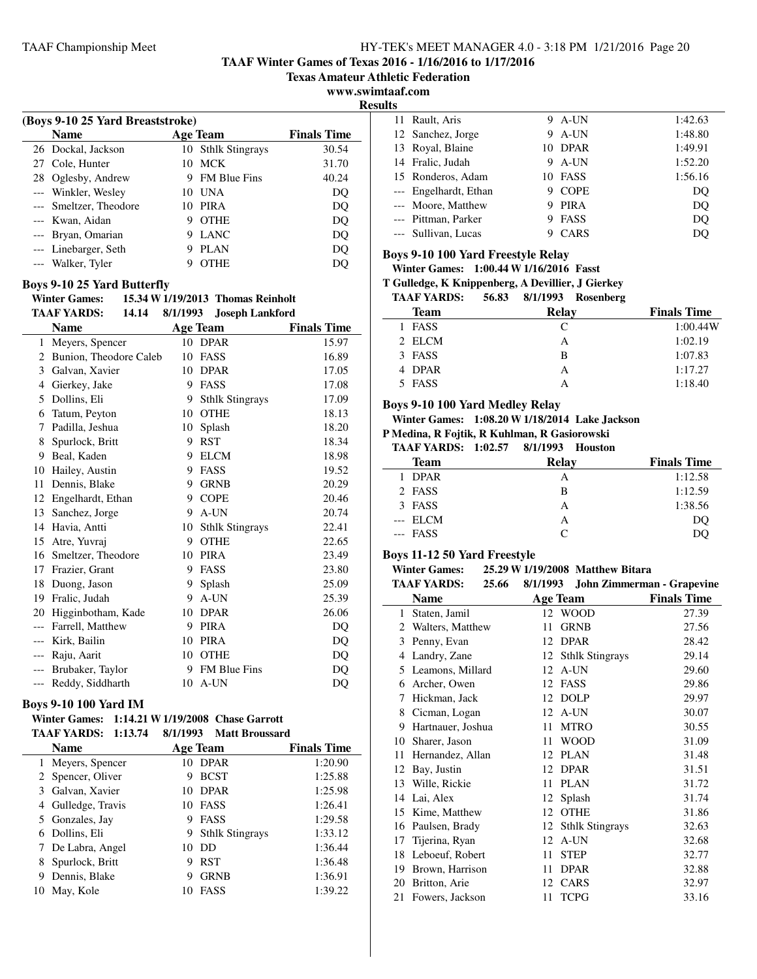**TAAF Winter Games of Texas 2016 - 1/16/2016 to 1/17/2016**

**Texas Amateur Athletic Federation**

**www.swimtaaf.com**

**Results**

| (Boys 9-10 25 Yard Breaststroke) |   |                     |                    |  |
|----------------------------------|---|---------------------|--------------------|--|
| <b>Name</b>                      |   | <b>Age Team</b>     | <b>Finals Time</b> |  |
| 26 Dockal, Jackson               |   | 10 Sthlk Stingrays  | 30.54              |  |
| 27 Cole, Hunter                  |   | 10 MCK              | 31.70              |  |
| 28 Oglesby, Andrew               | 9 | <b>FM Blue Fins</b> | 40.24              |  |
| --- Winkler, Wesley              |   | 10 UNA              | DO                 |  |
| --- Smeltzer, Theodore           |   | 10 PIRA             | DO                 |  |
| --- Kwan, Aidan                  | 9 | <b>OTHE</b>         | DO                 |  |
| --- Bryan, Omarian               | 9 | <b>LANC</b>         | DQ                 |  |
| --- Linebarger, Seth             |   | <b>PLAN</b>         | DQ                 |  |
| --- Walker, Tyler                |   | <b>OTHE</b>         | DO                 |  |
|                                  |   |                     |                    |  |

#### **Boys 9-10 25 Yard Butterfly**

**Winter Games: 15.34 W1/19/2013 Thomas Reinholt**

|              | <b>TAAF YARDS:</b><br>14.14 | 8/1/1993 | <b>Joseph Lankford</b> |                    |
|--------------|-----------------------------|----------|------------------------|--------------------|
|              | <b>Name</b>                 |          | <b>Age Team</b>        | <b>Finals Time</b> |
| $\mathbf{1}$ | Meyers, Spencer             | 10       | <b>DPAR</b>            | 15.97              |
| 2            | Bunion, Theodore Caleb      | 10       | <b>FASS</b>            | 16.89              |
| 3            | Galvan, Xavier              | 10       | <b>DPAR</b>            | 17.05              |
| 4            | Gierkey, Jake               | 9        | FASS                   | 17.08              |
| 5            | Dollins, Eli                | 9        | <b>Sthlk Stingrays</b> | 17.09              |
| 6            | Tatum, Peyton               | 10       | <b>OTHE</b>            | 18.13              |
| 7            | Padilla, Jeshua             | 10       | Splash                 | 18.20              |
| 8            | Spurlock, Britt             | 9        | <b>RST</b>             | 18.34              |
| 9            | Beal, Kaden                 | 9        | <b>ELCM</b>            | 18.98              |
| 10           | Hailey, Austin              | 9        | <b>FASS</b>            | 19.52              |
| 11           | Dennis, Blake               | 9        | <b>GRNB</b>            | 20.29              |
| 12           | Engelhardt, Ethan           | 9        | <b>COPE</b>            | 20.46              |
| 13           | Sanchez, Jorge              | 9        | A-UN                   | 20.74              |
| 14           | Havia, Antti                | 10       | <b>Sthlk Stingrays</b> | 22.41              |
| 15           | Atre, Yuvraj                | 9        | <b>OTHE</b>            | 22.65              |
| 16           | Smeltzer, Theodore          | 10       | <b>PIRA</b>            | 23.49              |
| 17           | Frazier, Grant              | 9        | FASS                   | 23.80              |
| 18           | Duong, Jason                | 9        | Splash                 | 25.09              |
| 19           | Fralic, Judah               | 9        | A-UN                   | 25.39              |
| 20           | Higginbotham, Kade          | 10       | <b>DPAR</b>            | 26.06              |
| ---          | Farrell, Matthew            | 9        | <b>PIRA</b>            | DO                 |
| ---          | Kirk, Bailin                | 10       | <b>PIRA</b>            | DQ                 |
| ---          | Raju, Aarit                 | 10       | <b>OTHE</b>            | DQ                 |
|              | Brubaker, Taylor            | 9        | <b>FM Blue Fins</b>    | DQ                 |
| $---$        | Reddy, Siddharth            | 10       | A-UN                   | DQ                 |
|              |                             |          |                        |                    |

## **Boys 9-10 100 Yard IM**

## **Winter Games: 1:14.21 W1/19/2008 Chase Garrott TAAF YARDS: 1:13.74 8/1/1993** Matt Broussard

|    | <b>Name</b>       |    | <b>Age Team</b>        | <b>Finals Time</b> |
|----|-------------------|----|------------------------|--------------------|
|    | 1 Meyers, Spencer | 10 | DPAR                   | 1:20.90            |
|    | 2 Spencer, Oliver | 9  | <b>BCST</b>            | 1:25.88            |
| 3  | Galvan, Xavier    | 10 | <b>DPAR</b>            | 1:25.98            |
| 4  | Gulledge, Travis  | 10 | FASS                   | 1:26.41            |
|    | 5 Gonzales, Jay   | 9  | <b>FASS</b>            | 1:29.58            |
| 6  | Dollins, Eli      | 9  | <b>Sthlk Stingrays</b> | 1:33.12            |
| 7  | De Labra, Angel   | 10 | DD                     | 1:36.44            |
| 8  | Spurlock, Britt   | 9  | <b>RST</b>             | 1:36.48            |
| 9  | Dennis, Blake     | 9  | <b>GRNB</b>            | 1:36.91            |
| 10 | May, Kole         |    | FASS                   | 1:39.22            |

| ILS |                       |   |             |         |
|-----|-----------------------|---|-------------|---------|
|     | 11 Rault, Aris        |   | 9 A-UN      | 1:42.63 |
|     | 12 Sanchez, Jorge     | 9 | A-UN        | 1:48.80 |
|     | 13 Royal, Blaine      |   | 10 DPAR     | 1:49.91 |
|     | 14 Fralic, Judah      | 9 | A-UN        | 1:52.20 |
|     | 15 Ronderos, Adam     |   | 10 FASS     | 1:56.16 |
|     | --- Engelhardt, Ethan | 9 | <b>COPE</b> | DO      |
|     | --- Moore, Matthew    | 9 | <b>PIRA</b> | DO      |
|     | --- Pittman, Parker   |   | FASS        | DO      |
|     | --- Sullivan, Lucas   |   | CARS        | DO      |

#### **Boys 9-10 100 Yard Freestyle Relay**

**Winter Games: 1:00.44 W1/16/2016 Fasst**

**T Gulledge, K Knippenberg, A Devillier, J Gierkey**

#### **TAAF YARDS: 56.83 Rosenberg 8/1/1993**

| $\cdots$    | $\sim$ $\sim$ $\sim$<br>$0.111220$ resolutions |                    |
|-------------|------------------------------------------------|--------------------|
| <b>Team</b> | Relay                                          | <b>Finals Time</b> |
| 1 FASS      |                                                | 1:00.44W           |
| 2 ELCM      | А                                              | 1:02.19            |
| 3 FASS      | B                                              | 1:07.83            |
| 4 DPAR      | А                                              | 1:17.27            |
| 5 FASS      |                                                | 1:18.40            |

#### **Boys 9-10 100 Yard Medley Relay**

**Winter Games: 1:08.20 W1/18/2014 Lake Jackson**

**P Medina, R Fojtik, R Kuhlman, R Gasiorowski**

| <b>TAAF YARDS: 1:02.57</b> |  | 8/1/1993 Houston |  |
|----------------------------|--|------------------|--|
|----------------------------|--|------------------|--|

| <b>Team</b> | Relay     | <b>Finals Time</b> |
|-------------|-----------|--------------------|
| 1 DPAR      | А         | 1:12.58            |
| 2 FASS      | в         | 1:12.59            |
| 3 FASS      | А         | 1:38.56            |
| --- ELCM    | А         | DO                 |
| --- FASS    | $\subset$ | DΟ                 |

#### **Boys 11-12 50 Yard Freestyle**

Ĭ.

**Winter Games: 25.29 W 1/19/2008** Matthew Bitara<br>TAAE VARDS: 25.66 8/1/1993 John Zimmerma

**TAAF YARDS: 25.66 John Zimmerman - Grapevine 8/1/1993**

| іллі ілішу,<br>20.UV |                   |      |                        |                    |
|----------------------|-------------------|------|------------------------|--------------------|
|                      | Name              |      | <b>Age Team</b>        | <b>Finals Time</b> |
| $\mathbf{1}$         | Staten, Jamil     |      | 12 WOOD                | 27.39              |
| 2                    | Walters, Matthew  | 11   | <b>GRNB</b>            | 27.56              |
| 3                    | Penny, Evan       |      | 12 DPAR                | 28.42              |
| 4                    | Landry, Zane      | 12   | <b>Sthlk Stingrays</b> | 29.14              |
| 5                    | Leamons, Millard  | 12   | A-UN                   | 29.60              |
| 6                    | Archer, Owen      |      | 12 FASS                | 29.86              |
| 7                    | Hickman, Jack     | 12   | <b>DOLP</b>            | 29.97              |
| 8                    | Cicman, Logan     |      | 12 A-UN                | 30.07              |
| 9                    | Hartnauer, Joshua | 11   | <b>MTRO</b>            | 30.55              |
| 10                   | Sharer, Jason     | 11   | <b>WOOD</b>            | 31.09              |
| 11                   | Hernandez, Allan  | 12   | <b>PLAN</b>            | 31.48              |
| 12                   | Bay, Justin       |      | 12 DPAR                | 31.51              |
| 13                   | Wille, Rickie     | 11   | <b>PLAN</b>            | 31.72              |
| 14                   | Lai, Alex         | 12   | Splash                 | 31.74              |
| 15                   | Kime, Matthew     | 12   | <b>OTHE</b>            | 31.86              |
| 16                   | Paulsen, Brady    | 12   | <b>Sthlk Stingrays</b> | 32.63              |
| 17                   | Tijerina, Ryan    | 12   | A-UN                   | 32.68              |
| 18                   | Leboeuf, Robert   | 11   | <b>STEP</b>            | 32.77              |
| 19                   | Brown, Harrison   | 11   | <b>DPAR</b>            | 32.88              |
| 20                   | Britton, Arie     | 12   | CARS                   | 32.97              |
| 21                   | Fowers, Jackson   | 11 - | <b>TCPG</b>            | 33.16              |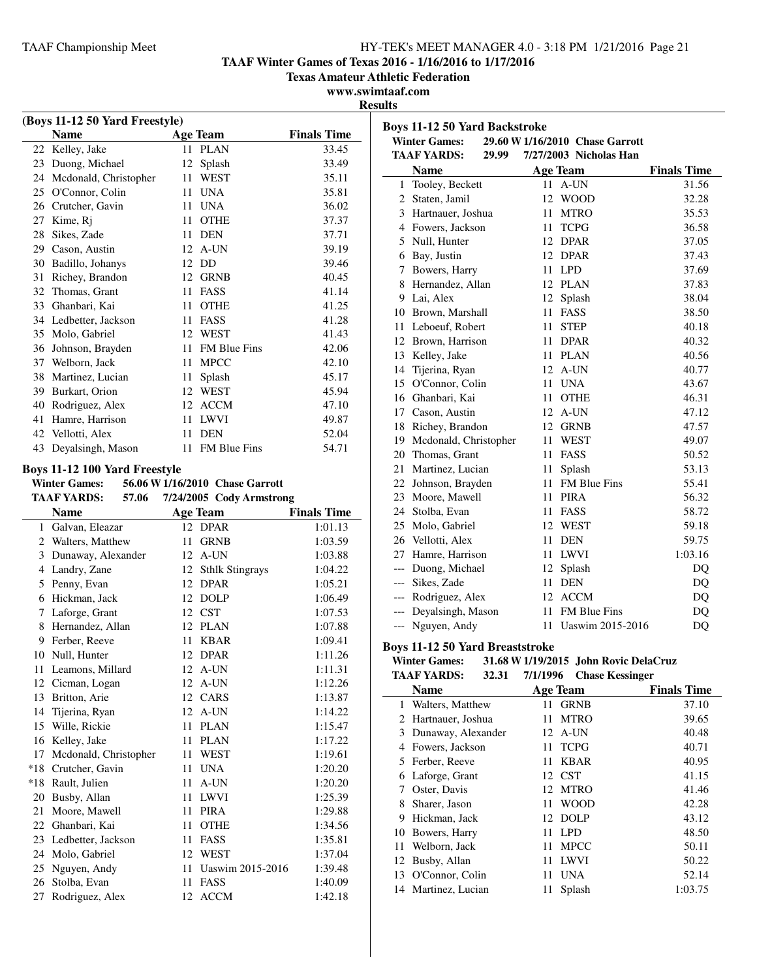**TAAF Winter Games of Texas 2016 - 1/16/2016 to 1/17/2016**

**Texas Amateur Athletic Federation**

**www.swimtaaf.com**

**Results**

| (Boys 11-12 50 Yard Freestyle) |                               |                                 |                    |  |
|--------------------------------|-------------------------------|---------------------------------|--------------------|--|
|                                | Name                          | <b>Age Team</b>                 | <b>Finals Time</b> |  |
| 22                             | Kelley, Jake                  | PLAN<br>11                      | 33.45              |  |
|                                | 23 Duong, Michael             | 12<br>Splash                    | 33.49              |  |
|                                | 24 Mcdonald, Christopher      | 11<br>WEST                      | 35.11              |  |
|                                | 25 O'Connor, Colin            | UNA<br>11                       | 35.81              |  |
|                                | 26 Crutcher, Gavin            | 11<br>UNA                       | 36.02              |  |
|                                | 27 Kime, Rj                   | 11 OTHE                         | 37.37              |  |
|                                | 28 Sikes, Zade                | 11 DEN                          | 37.71              |  |
|                                | 29 Cason, Austin              | 12 A-UN                         | 39.19              |  |
|                                | 30 Badillo, Johanys           | 12<br>DD                        | 39.46              |  |
| 31                             | Richey, Brandon               | 12<br><b>GRNB</b>               | 40.45              |  |
|                                | 32 Thomas, Grant              | 11<br>FASS                      | 41.14              |  |
|                                | 33 Ghanbari, Kai              | 11<br>OTHE                      | 41.25              |  |
|                                | 34 Ledbetter, Jackson         | 11<br>FASS                      | 41.28              |  |
|                                | 35 Molo, Gabriel              | 12 WEST                         | 41.43              |  |
|                                | 36 Johnson, Brayden           | 11 FM Blue Fins                 | 42.06              |  |
|                                | 37 Welborn, Jack              | 11 MPCC                         | 42.10              |  |
|                                | 38 Martinez, Lucian           | Splash<br>11 -                  | 45.17              |  |
|                                | 39 Burkart, Orion             | 12 WEST                         | 45.94              |  |
|                                | 40 Rodriguez, Alex            | 12 ACCM                         | 47.10              |  |
| 41                             | Hamre, Harrison               | 11 LWVI                         | 49.87              |  |
| 42                             | Vellotti, Alex                | 11<br><b>DEN</b>                | 52.04              |  |
| 43                             | Deyalsingh, Mason             | FM Blue Fins<br>11              | 54.71              |  |
|                                |                               |                                 |                    |  |
|                                | Boys 11-12 100 Yard Freestyle |                                 |                    |  |
|                                | <b>Winter Games:</b>          | 56.06 W 1/16/2010 Chase Garrott |                    |  |
|                                | <b>TAAF YARDS:</b><br>57.06   | 7/24/2005 Cody Armstrong        |                    |  |
|                                | <b>Name</b>                   | <b>Age Team</b>                 | <b>Finals Time</b> |  |
|                                | 1 Galvan, Eleazar             | 12<br><b>DPAR</b>               | 1:01.13            |  |
|                                |                               |                                 |                    |  |
|                                | 2 Walters, Matthew            | 11<br><b>GRNB</b>               | 1:03.59            |  |
|                                | 3 Dunaway, Alexander          | 12 A-UN                         | 1:03.88            |  |
|                                | 4 Landry, Zane                | 12 Sthlk Stingrays              | 1:04.22            |  |
|                                | 5 Penny, Evan                 | 12 DPAR                         | 1:05.21            |  |
|                                | 6 Hickman, Jack               | 12 DOLP                         | 1:06.49            |  |
|                                | 7 Laforge, Grant              | 12 CST                          | 1:07.53            |  |
| 8                              | Hernandez, Allan              | 12<br>PLAN                      | 1:07.88            |  |
|                                | 9 Ferber, Reeve               | 11<br><b>KBAR</b>               | 1:09.41            |  |
|                                | 10 Null, Hunter               | 12<br><b>DPAR</b>               | 1:11.26            |  |
| 11                             | Leamons, Millard              | 12 A-UN                         | 1:11.31            |  |
| 12                             | Cicman, Logan                 | 12<br>A-UN                      | 1:12.26            |  |
| 13                             | Britton, Arie                 | 12 CARS                         | 1:13.87            |  |
| 14                             | Tijerina, Ryan                | 12<br>A-UN                      | 1:14.22            |  |
| 15                             | Wille, Rickie                 | 11<br><b>PLAN</b>               | 1:15.47            |  |
| 16                             | Kelley, Jake                  | 11<br>PLAN                      | 1:17.22            |  |
| 17                             | Mcdonald, Christopher         | 11<br><b>WEST</b>               | 1:19.61            |  |
| $*18$                          | Crutcher, Gavin               | <b>UNA</b><br>11                | 1:20.20            |  |
| $*18$                          | Rault, Julien                 | A-UN<br>11                      | 1:20.20            |  |
| 20                             | Busby, Allan                  | 11<br><b>LWVI</b>               | 1:25.39            |  |
| 21                             | Moore, Mawell                 | <b>PIRA</b><br>11               | 1:29.88            |  |
| 22                             | Ghanbari, Kai                 | 11<br><b>OTHE</b>               | 1:34.56            |  |
| 23                             | Ledbetter, Jackson            | 11<br>FASS                      | 1:35.81            |  |
| 24                             | Molo, Gabriel                 | 12<br><b>WEST</b>               | 1:37.04            |  |
| 25                             | Nguyen, Andy                  | Uaswim 2015-2016<br>11          | 1:39.48            |  |
| 26                             | Stolba, Evan                  | 11<br>FASS                      | 1:40.09            |  |

|       | <b>Boys 11-12 50 Yard Backstroke</b>             |                 |            |                                 |                    |
|-------|--------------------------------------------------|-----------------|------------|---------------------------------|--------------------|
|       | <b>Winter Games:</b>                             |                 |            | 29.60 W 1/16/2010 Chase Garrott |                    |
|       | <b>TAAF YARDS:</b><br>29.99                      |                 |            | 7/27/2003 Nicholas Han          |                    |
|       | <b>Name</b>                                      | <b>Age Team</b> |            |                                 | <b>Finals Time</b> |
| 1     | Tooley, Beckett                                  | 11              |            | A-UN                            | 31.56              |
| 2     | Staten, Jamil                                    | 12              |            | <b>WOOD</b>                     | 32.28              |
| 3     | Hartnauer, Joshua                                | 11              |            | <b>MTRO</b>                     | 35.53              |
|       | 4 Fowers, Jackson                                | 11              |            | <b>TCPG</b>                     | 36.58              |
| 5     | Null, Hunter                                     | 12              |            | <b>DPAR</b>                     | 37.05              |
|       | 6 Bay, Justin                                    | 12              |            | <b>DPAR</b>                     | 37.43              |
| 7     | Bowers, Harry                                    | 11              | <b>LPD</b> |                                 | 37.69              |
|       | 8 Hernandez, Allan                               |                 |            | 12 PLAN                         | 37.83              |
|       | 9 Lai, Alex                                      | 12              |            | Splash                          | 38.04              |
|       | 10 Brown, Marshall                               | 11              |            | FASS                            | 38.50              |
|       | 11 Leboeuf, Robert                               | 11              |            | <b>STEP</b>                     | 40.18              |
|       | 12 Brown, Harrison                               | 11              |            | <b>DPAR</b>                     | 40.32              |
|       | 13 Kelley, Jake                                  | 11              |            | <b>PLAN</b>                     | 40.56              |
|       | 14 Tijerina, Ryan                                | 12              |            | A-UN                            | 40.77              |
|       | 15 O'Connor, Colin                               | 11              | <b>UNA</b> |                                 | 43.67              |
|       | 16 Ghanbari, Kai                                 | 11              |            | <b>OTHE</b>                     | 46.31              |
|       | 17 Cason, Austin                                 | 12              |            | A-UN                            | 47.12              |
|       | 18 Richey, Brandon                               | 12              |            | <b>GRNB</b>                     | 47.57              |
|       | 19 Mcdonald, Christopher                         | 11              |            | <b>WEST</b>                     | 49.07              |
|       | 20 Thomas, Grant                                 | 11              |            | FASS                            | 50.52              |
| 21    | Martinez, Lucian                                 | 11              |            | Splash                          | 53.13              |
|       | 22 Johnson, Brayden                              | 11              |            | FM Blue Fins                    | 55.41              |
|       | 23 Moore, Mawell                                 | 11              |            | <b>PIRA</b>                     | 56.32              |
|       | 24 Stolba, Evan                                  | 11              |            | FASS                            | 58.72              |
|       | 25 Molo, Gabriel                                 | 12              |            | WEST                            | 59.18              |
|       | 26 Vellotti, Alex                                | 11              | <b>DEN</b> |                                 | 59.75              |
| 27    | Hamre, Harrison                                  | 11              |            | <b>LWVI</b>                     | 1:03.16            |
|       | --- Duong, Michael                               | 12              |            | Splash                          | D <sub>O</sub>     |
|       | --- Sikes, Zade                                  | 11              | <b>DEN</b> |                                 | DQ                 |
|       | --- Rodriguez, Alex                              | 12              |            | <b>ACCM</b>                     | DQ                 |
|       | --- Deyalsingh, Mason                            | 11              |            | <b>FM Blue Fins</b>             | DQ                 |
| $---$ | Nguyen, Andy                                     | 11              |            | Uaswim 2015-2016                | DQ                 |
|       | $D_{\text{grav}}$ 11 12 $E_0$ Vand Duccetotucles |                 |            |                                 |                    |

## **Boys 11-12 50 Yard Breaststroke**

| <b>Winter Games:</b> |       | 31.68 W 1/19/2015 John Rovic DelaCruz        |
|----------------------|-------|----------------------------------------------|
| TA A E VA DDC.       | 22.21 | $\alpha$ $\alpha$ $\alpha$ $\alpha$ $\alpha$ |

| <b>TAAF YARDS:</b><br>32.31 |     | <b>Chase Kessinger</b> |                                             |
|-----------------------------|-----|------------------------|---------------------------------------------|
| <b>Name</b>                 |     |                        | <b>Finals Time</b>                          |
| Walters, Matthew            | 11  | <b>GRNB</b>            | 37.10                                       |
| Hartnauer, Joshua           | 11  | <b>MTRO</b>            | 39.65                                       |
| Dunaway, Alexander          |     | A-UN                   | 40.48                                       |
| Fowers, Jackson             | 11. | <b>TCPG</b>            | 40.71                                       |
| Ferber, Reeve               | 11  | KBAR                   | 40.95                                       |
| Laforge, Grant              |     |                        | 41.15                                       |
| Oster, Davis                | 12  | <b>MTRO</b>            | 41.46                                       |
| Sharer, Jason               | 11  | <b>WOOD</b>            | 42.28                                       |
| Hickman, Jack               | 12  | <b>DOLP</b>            | 43.12                                       |
| Bowers, Harry               | 11  | LPD.                   | 48.50                                       |
| Welborn, Jack               | 11  | <b>MPCC</b>            | 50.11                                       |
| Busby, Allan                | 11  | <b>LWVI</b>            | 50.22                                       |
| O'Connor, Colin             | 11  | <b>UNA</b>             | 52.14                                       |
| Martinez, Lucian            | 11  | Splash                 | 1:03.75                                     |
|                             |     |                        | 7/1/1996<br><b>Age Team</b><br>12<br>12 CST |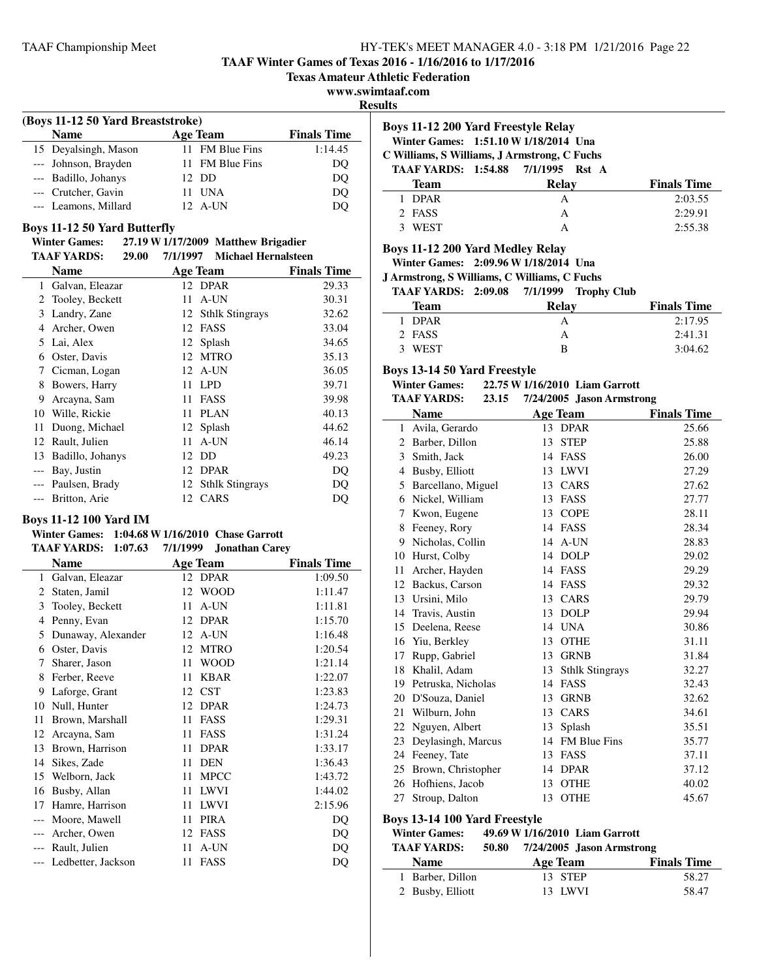**TAAF Winter Games of Texas 2016 - 1/16/2016 to 1/17/2016**

**Texas Amateur Athletic Federation**

**www.swimtaaf.com**

**Results**

÷

# **(Boys 11-12 50 Yard Breaststroke) Name Age Team Finals Time** 15 Deyalsingh, Mason 11 FM Blue Fins 1:14.45

| --- Johnson, Brayden | 11 FM Blue Fins | DO |  |
|----------------------|-----------------|----|--|
| --- Badillo, Johanys | 12 DD           | DO |  |
| --- Crutcher. Gavin  | 11 UNA          | DO |  |
| --- Leamons, Millard | 12 A-UN         | DO |  |
|                      |                 |    |  |

## **Boys 11-12 50 Yard Butterfly**

#### **Winter Games: 27.19 W1/17/2009 Matthew Brigadier TAAF YARDS: 29.00 Michael Hernalsteen 7/1/1997**

|       | TAAF YARDS:<br>29.00 | 7/1/1997 | Michael Hernalsteen |                    |
|-------|----------------------|----------|---------------------|--------------------|
|       | <b>Name</b>          |          | Age Team            | <b>Finals Time</b> |
| 1     | Galvan, Eleazar      |          | 12 DPAR             | 29.33              |
| 2     | Tooley, Beckett      | 11       | A-UN                | 30.31              |
| 3     | Landry, Zane         |          | 12 Sthlk Stingrays  | 32.62              |
| 4     | Archer, Owen         |          | 12 FASS             | 33.04              |
| 5.    | Lai, Alex            | 12       | Splash              | 34.65              |
| 6     | Oster, Davis         | 12       | <b>MTRO</b>         | 35.13              |
| 7     | Cicman, Logan        | 12       | A-UN                | 36.05              |
| 8     | Bowers, Harry        | 11       | <b>LPD</b>          | 39.71              |
| 9     | Arcayna, Sam         | 11       | FASS                | 39.98              |
| 10    | Wille, Rickie        | 11       | PLAN                | 40.13              |
| 11    | Duong, Michael       |          | 12 Splash           | 44.62              |
| 12    | Rault, Julien        | 11       | A-UN                | 46.14              |
| 13    | Badillo, Johanys     |          | 12 DD               | 49.23              |
| $---$ | Bay, Justin          |          | 12 DPAR             | DQ                 |
|       | --- Paulsen, Brady   |          | 12 Sthlk Stingrays  | DQ                 |
|       | Britton, Arie        |          | 12 CARS             | DQ                 |
|       |                      |          |                     |                    |

# **Boys 11-12 100 Yard IM**

#### **Winter Games: 1:04.68 W1/16/2010 Chase Garrott TAAF YARDS:** 1:07.63 7/1/1999 Jonathan Carev

|       | 1/1/11 1/111DV.<br>1.V/.VJ | $111222$ Jonathan Carey |                    |
|-------|----------------------------|-------------------------|--------------------|
|       | <b>Name</b>                | <b>Age Team</b>         | <b>Finals Time</b> |
| 1     | Galvan, Eleazar            | 12 DPAR                 | 1:09.50            |
| 2     | Staten, Jamil              | <b>WOOD</b><br>12       | 1:11.47            |
| 3     | Tooley, Beckett            | A-UN<br>11              | 1:11.81            |
| 4     | Penny, Evan                | <b>DPAR</b><br>12       | 1:15.70            |
| 5     | Dunaway, Alexander         | A-UN<br>12              | 1:16.48            |
| 6     | Oster, Davis               | <b>MTRO</b><br>12       | 1:20.54            |
| 7     | Sharer, Jason              | <b>WOOD</b><br>11       | 1:21.14            |
| 8     | Ferber, Reeve              | <b>KBAR</b><br>11       | 1:22.07            |
| 9     | Laforge, Grant             | <b>CST</b><br>12        | 1:23.83            |
| 10    | Null, Hunter               | <b>DPAR</b><br>12       | 1:24.73            |
| 11    | Brown, Marshall            | FASS<br>11              | 1:29.31            |
| 12    | Arcayna, Sam               | FASS<br>11              | 1:31.24            |
| 13    | Brown, Harrison            | <b>DPAR</b><br>11       | 1:33.17            |
| 14    | Sikes, Zade                | <b>DEN</b><br>11        | 1:36.43            |
| 15    | Welborn, Jack              | <b>MPCC</b><br>11       | 1:43.72            |
| 16    | Busby, Allan               | <b>LWVI</b><br>11       | 1:44.02            |
| 17    | Hamre, Harrison            | <b>LWVI</b><br>11       | 2:15.96            |
| $---$ | Moore, Mawell              | <b>PIRA</b><br>11       | DO                 |
|       | Archer, Owen               | FASS<br>12              | DQ                 |
|       | Rault, Julien              | A-UN<br>11              | DQ                 |
|       | Ledbetter, Jackson         | FASS<br>11              | DQ                 |
|       |                            |                         |                    |

# **Boys 11-12 200 Yard Freestyle Relay**

# **Winter Games: 1:51.10 W1/18/2014 Una**

**C Williams, S Williams, J Armstrong, C Fuchs** TAAF YARDS: 1:54.88 7/1/1995 Rst A

| TAAF TANDS; 1:54.00 //1/1995 NSU A |                    |
|------------------------------------|--------------------|
| Relay                              | <b>Finals Time</b> |
|                                    | 2:03.55            |
|                                    | 2:29.91            |
|                                    | 2:55.38            |
|                                    |                    |

# **Boys 11-12 200 Yard Medley Relay**

**Winter Games: 2:09.96 W1/18/2014 Una**

**J Armstrong, S Williams, C Williams, C Fuchs**

| TAAF YARDS: 2:09.08 7/1/1999 Trophy Club |  |  |  |
|------------------------------------------|--|--|--|
|------------------------------------------|--|--|--|

| Team   | Relay | <b>Finals Time</b> |
|--------|-------|--------------------|
| 1 DPAR |       | 2:17.95            |
| 2 FASS | А     | 2:41.31            |
| 3 WEST | R     | 3:04.62            |

# **Boys 13-14 50 Yard Freestyle**

| <b>Winter Games:</b> |       | 22.75 W 1/16/2010 Liam Garrott |
|----------------------|-------|--------------------------------|
| <b>TA AF YARDS:</b>  | 23.15 | 7/24/2005 Iason Armstrong      |

|              | IAAF IAKDS:<br>49.19                 |    | 772472005 Jason Armstrong |                    |
|--------------|--------------------------------------|----|---------------------------|--------------------|
|              | <b>Name</b>                          |    | <b>Age Team</b>           | <b>Finals Time</b> |
| 1            | Avila, Gerardo                       |    | 13 DPAR                   | 25.66              |
|              | 2 Barber, Dillon                     | 13 | <b>STEP</b>               | 25.88              |
| 3            | Smith, Jack                          | 14 | FASS                      | 26.00              |
| 4            | Busby, Elliott                       |    | 13 LWVI                   | 27.29              |
| 5            | Barcellano, Miguel                   | 13 | CARS                      | 27.62              |
| 6            | Nickel, William                      | 13 | FASS                      | 27.77              |
| 7            | Kwon, Eugene                         | 13 | <b>COPE</b>               | 28.11              |
| 8            | Feeney, Rory                         |    | 14 FASS                   | 28.34              |
| 9            | Nicholas, Collin                     | 14 | A-UN                      | 28.83              |
| 10           | Hurst, Colby                         | 14 | <b>DOLP</b>               | 29.02              |
| 11           | Archer, Hayden                       |    | 14 FASS                   | 29.29              |
| 12           | Backus, Carson                       | 14 | FASS                      | 29.32              |
|              | 13 Ursini, Milo                      |    | 13 CARS                   | 29.79              |
| 14           | Travis, Austin                       | 13 | <b>DOLP</b>               | 29.94              |
| 15           | Deelena, Reese                       | 14 | <b>UNA</b>                | 30.86              |
| 16           | Yiu, Berkley                         | 13 | <b>OTHE</b>               | 31.11              |
| 17           | Rupp, Gabriel                        | 13 | <b>GRNB</b>               | 31.84              |
| 18           | Khalil, Adam                         | 13 | <b>Sthlk Stingrays</b>    | 32.27              |
|              | 19 Petruska, Nicholas                |    | 14 FASS                   | 32.43              |
| 20           | D'Souza, Daniel                      | 13 | <b>GRNB</b>               | 32.62              |
| 21           | Wilburn, John                        | 13 | CARS                      | 34.61              |
| 22           | Nguyen, Albert                       | 13 | Splash                    | 35.51              |
| 23           | Deylasingh, Marcus                   | 14 | <b>FM Blue Fins</b>       | 35.77              |
| 24           | Feeney, Tate                         |    | 13 FASS                   | 37.11              |
| 25           | Brown, Christopher                   | 14 | <b>DPAR</b>               | 37.12              |
| 26           | Hofhiens, Jacob                      |    | 13 OTHE                   | 40.02              |
| 27           | Stroup, Dalton                       | 13 | <b>OTHE</b>               | 45.67              |
| $\mathbf{r}$ | $12.44400 \text{ V}$ $\overline{10}$ |    |                           |                    |

## **Boys 13-14 100 Yard Freestyle**

| <b>Winter Games:</b> | 49.69 W 1/16/2010 Liam Garrott |  |                          |  |
|----------------------|--------------------------------|--|--------------------------|--|
| TA A F VA RDS.       | 50.80                          |  | $7/24/2005$ Jason Armstr |  |

| 50.80    |                           |
|----------|---------------------------|
| Age Team | <b>Finals Time</b>        |
| 13 STEP  | 58.27                     |
| 13 LWVI  | 58.47                     |
|          | 7/24/2005 Jason Armstrong |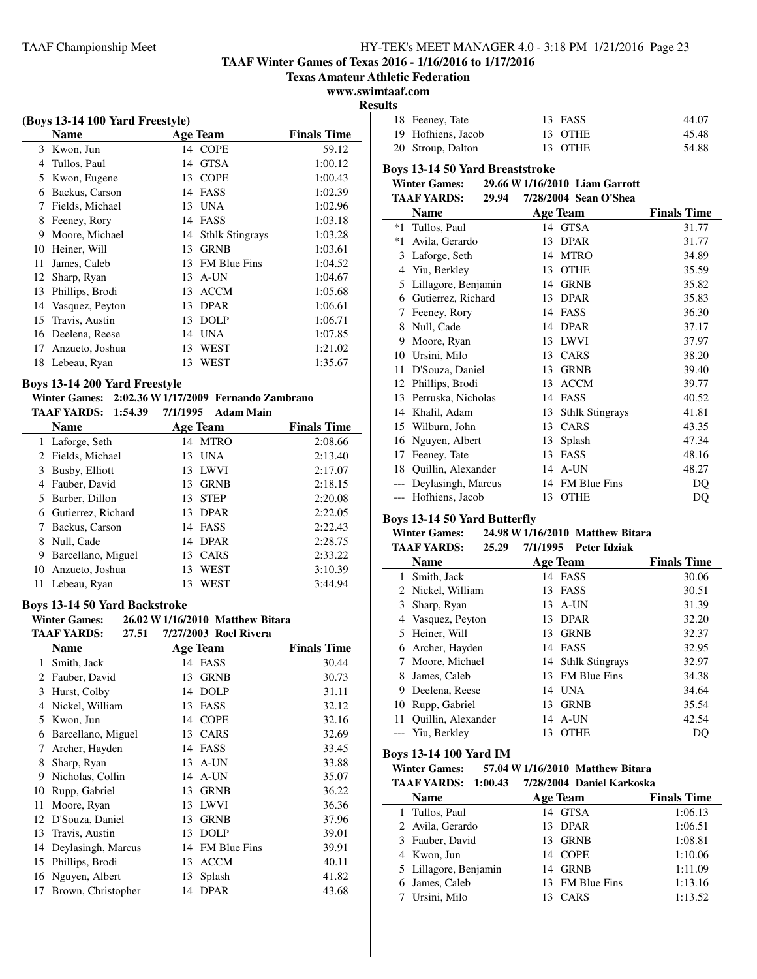**TAAF Winter Games of Texas 2016 - 1/16/2016 to 1/17/2016**

**Texas Amateur Athletic Federation**

#### **www.swimtaaf.com Results**

|    | (Boys 13-14 100 Yard Freestyle) |    |                        |                    |  |
|----|---------------------------------|----|------------------------|--------------------|--|
|    | Name                            |    | <b>Age Team</b>        | <b>Finals Time</b> |  |
|    | 3 Kwon, Jun                     |    | 14 COPE                | 59.12              |  |
| 4  | Tullos, Paul                    | 14 | <b>GTSA</b>            | 1:00.12            |  |
| 5  | Kwon, Eugene                    | 13 | <b>COPE</b>            | 1:00.43            |  |
| 6  | Backus, Carson                  | 14 | FASS                   | 1:02.39            |  |
| 7  | Fields, Michael                 | 13 | UNA                    | 1:02.96            |  |
| 8  | Feeney, Rory                    | 14 | <b>FASS</b>            | 1:03.18            |  |
| 9  | Moore, Michael                  | 14 | <b>Sthlk Stingrays</b> | 1:03.28            |  |
| 10 | Heiner, Will                    | 13 | <b>GRNB</b>            | 1:03.61            |  |
| 11 | James, Caleb                    | 13 | <b>FM Blue Fins</b>    | 1:04.52            |  |
| 12 | Sharp, Ryan                     | 13 | A-UN                   | 1:04.67            |  |
| 13 | Phillips, Brodi                 | 13 | <b>ACCM</b>            | 1:05.68            |  |
| 14 | Vasquez, Peyton                 | 13 | <b>DPAR</b>            | 1:06.61            |  |
| 15 | Travis, Austin                  | 13 | <b>DOLP</b>            | 1:06.71            |  |
| 16 | Deelena, Reese                  | 14 | <b>UNA</b>             | 1:07.85            |  |
| 17 | Anzueto, Joshua                 | 13 | WEST                   | 1:21.02            |  |
| 18 | Lebeau, Ryan                    | 13 | WEST                   | 1:35.67            |  |
|    |                                 |    |                        |                    |  |

## **Boys 13-14 200 Yard Freestyle**

#### **Winter Games: 2:02.36 W1/17/2009 Fernando Zambrano TAAF YARDS: 1:54.39 7/1/1995 Adam Main**

|   | <b>Name</b>          |     | Age Team    | <b>Finals Time</b> |
|---|----------------------|-----|-------------|--------------------|
|   | 1 Laforge, Seth      |     | 14 MTRO     | 2:08.66            |
|   | 2 Fields, Michael    | 13  | <b>UNA</b>  | 2:13.40            |
|   | 3 Busby, Elliott     |     | 13 LWVI     | 2:17.07            |
|   | 4 Fauber, David      | 13. | <b>GRNB</b> | 2:18.15            |
|   | 5 Barber, Dillon     | 13. | <b>STEP</b> | 2:20.08            |
|   | 6 Gutierrez, Richard |     | 13 DPAR     | 2:22.05            |
|   | 7 Backus, Carson     |     | 14 FASS     | 2:22.43            |
|   | 8 Null, Cade         |     | 14 DPAR     | 2:28.75            |
| 9 | Barcellano, Miguel   |     | 13 CARS     | 2:33.22            |
|   | 10 Anzueto, Joshua   | 13  | <b>WEST</b> | 3:10.39            |
|   | 11 Lebeau, Ryan      | 13  | WEST        | 3:44.94            |
|   |                      |     |             |                    |

## **Boys 13-14 50 Yard Backstroke**

÷.

**Winter Games:** 26.02 **W** 1/16/2010 Matthew Bitara<br>TA A EXAMPLE: 27.51 2022002 Bul Direct **TAAF YARDS: 27.51 Roel Rivera 7/27/2003**

|                               | TAAF YAKDS:<br>27.51 | 7/27/2003 Roel Rivera     |                    |
|-------------------------------|----------------------|---------------------------|--------------------|
|                               | <b>Name</b>          | Age Team                  | <b>Finals Time</b> |
| 1                             | Smith, Jack          | FASS<br>14                | 30.44              |
| $\mathfrak{D}_{\mathfrak{p}}$ | Fauber, David        | <b>GRNB</b><br>13         | 30.73              |
| 3                             | Hurst, Colby         | <b>DOLP</b><br>14         | 31.11              |
| 4                             | Nickel, William      | 13<br><b>FASS</b>         | 32.12              |
| 5                             | Kwon, Jun            | <b>COPE</b><br>14         | 32.16              |
| 6                             | Barcellano, Miguel   | CARS<br>13                | 32.69              |
| 7                             | Archer, Hayden       | FASS<br>14                | 33.45              |
| 8                             | Sharp, Ryan          | A-UN<br>13                | 33.88              |
| 9                             | Nicholas, Collin     | A-UN<br>14                | 35.07              |
| 10                            | Rupp, Gabriel        | <b>GRNB</b><br>13         | 36.22              |
| 11                            | Moore, Ryan          | <b>LWVI</b><br>13         | 36.36              |
| 12                            | D'Souza, Daniel      | <b>GRNB</b><br>13         | 37.96              |
| 13                            | Travis, Austin       | <b>DOLP</b><br>13         | 39.01              |
| 14                            | Deylasingh, Marcus   | <b>FM Blue Fins</b><br>14 | 39.91              |
| 15                            | Phillips, Brodi      | <b>ACCM</b><br>13         | 40.11              |
| 16                            | Nguyen, Albert       | Splash<br>13              | 41.82              |
| 17                            | Brown, Christopher   | <b>DPAR</b><br>14         | 43.68              |
|                               |                      |                           |                    |

| æ. |                    |         |       |
|----|--------------------|---------|-------|
|    | 18 Feeney, Tate    | 13 FASS | 44.07 |
|    | 19 Hofhiens, Jacob | 13 OTHE | 45.48 |
|    | 20 Stroup, Dalton  | 13 OTHE | 54.88 |

## **Boys 13-14 50 Yard Breaststroke**

**Winter Games:** 29.66 **W** 1/16/2010 **Liam Garrott**<br>TAAE VA PDS: 20.04 7/28/2004 Seep OlShee **TAAF YARDS: 29.94 Sean O'Shea 7/28/2004**

|       | IAAF IAKDƏ;<br>49.94 | 772072004 - Seah O Shea      |                    |
|-------|----------------------|------------------------------|--------------------|
|       | Name                 | <b>Age Team</b>              | <b>Finals Time</b> |
| $*1$  | Tullos, Paul         | <b>GTSA</b><br>14            | 31.77              |
| $*1$  | Avila, Gerardo       | <b>DPAR</b><br>13            | 31.77              |
| 3     | Laforge, Seth        | <b>MTRO</b><br>14            | 34.89              |
| 4     | Yiu, Berkley         | <b>OTHE</b><br>13            | 35.59              |
| 5     | Lillagore, Benjamin  | <b>GRNB</b><br>14            | 35.82              |
| 6     | Gutierrez, Richard   | <b>DPAR</b><br>13            | 35.83              |
| 7     | Feeney, Rory         | FASS<br>14                   | 36.30              |
| 8     | Null, Cade           | <b>DPAR</b><br>14            | 37.17              |
| 9     | Moore, Ryan          | <b>LWVI</b><br>13            | 37.97              |
| 10    | Ursini, Milo         | CARS<br>13                   | 38.20              |
| 11    | D'Souza, Daniel      | <b>GRNB</b><br>13            | 39.40              |
| 12    | Phillips, Brodi      | <b>ACCM</b><br>13            | 39.77              |
| 13    | Petruska, Nicholas   | <b>FASS</b><br>14            | 40.52              |
| 14    | Khalil, Adam         | <b>Sthlk Stingrays</b><br>13 | 41.81              |
| 15    | Wilburn, John        | CARS<br>13                   | 43.35              |
| 16    | Nguyen, Albert       | Splash<br>13                 | 47.34              |
| 17    | Feeney, Tate         | 13<br>FASS                   | 48.16              |
| 18    | Quillin, Alexander   | A-UN<br>14                   | 48.27              |
| $---$ | Deylasingh, Marcus   | <b>FM Blue Fins</b><br>14    | DO                 |
|       | Hofhiens, Jacob      | <b>OTHE</b><br>13            | DQ                 |

#### **Boys 13-14 50 Yard Butterfly**

#### **Winter Games: 24.98 W1/16/2010 Matthew Bitara TAAF YARDS: 25.29 Peter Idziak 7/1/1995**

| IAAF YAKIJS:<br>25.ZY | 77171995<br>- Peter Idziak |                    |
|-----------------------|----------------------------|--------------------|
| <b>Name</b>           | <b>Age Team</b>            | <b>Finals Time</b> |
| Smith, Jack<br>1      | 14 FASS                    | 30.06              |
| 2 Nickel, William     | 13 FASS                    | 30.51              |
| 3 Sharp, Ryan         | 13 A-UN                    | 31.39              |
| Vasquez, Peyton       | <b>DPAR</b><br>13          | 32.20              |
| 5 Heiner, Will        | 13 GRNB                    | 32.37              |
| 6 Archer, Hayden      | 14 FASS                    | 32.95              |
| Moore, Michael        | 14 Sthlk Stingrays         | 32.97              |
| James, Caleb          | 13 FM Blue Fins            | 34.38              |
| 9 Deelena, Reese      | 14 UNA                     | 34.64              |
| Rupp, Gabriel         | <b>GRNB</b><br>13          | 35.54              |
| Quillin, Alexander    | A-UN<br>14                 | 42.54              |
| Yiu, Berkley          | <b>OTHE</b><br>13          | DO                 |
|                       |                            |                    |

#### **Boys 13-14 100 Yard IM**

#### **Winter Games: 57.04 W1/16/2010 Matthew Bitara TAAF YARDS: 1:00.43 Daniel Karkoska 7/28/2004**

|  |                       | Pame maning     |                    |
|--|-----------------------|-----------------|--------------------|
|  | <b>Name</b>           | Age Team        | <b>Finals Time</b> |
|  | 1 Tullos, Paul        | 14 GTSA         | 1:06.13            |
|  | 2 Avila, Gerardo      | 13 DPAR         | 1:06.51            |
|  | 3 Fauber, David       | 13 GRNB         | 1:08.81            |
|  | 4 Kwon, Jun           | 14 COPE         | 1:10.06            |
|  | 5 Lillagore, Benjamin | 14 GRNB         | 1:11.09            |
|  | 6 James, Caleb        | 13 FM Blue Fins | 1:13.16            |
|  | 7 Ursini, Milo        | CARS            | 1:13.52            |
|  |                       |                 |                    |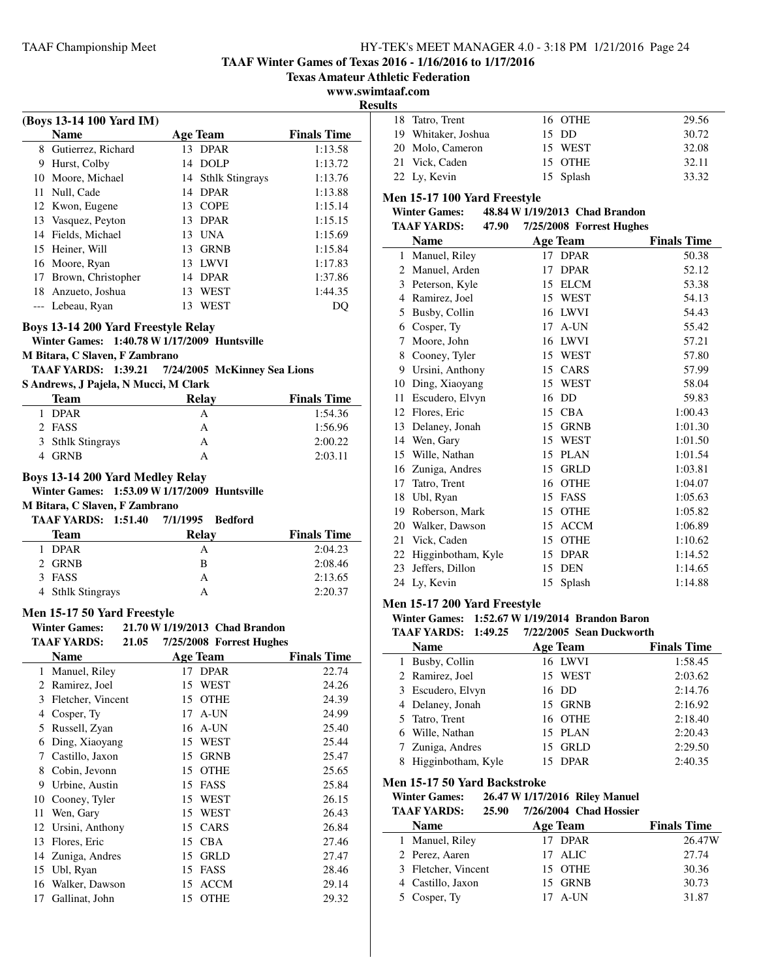# **TAAF Winter Games of Texas 2016 - 1/16/2016 to 1/17/2016**

**Texas Amateur Athletic Federation**

#### **www.swimtaaf.com Results**

|                | (Boys 13-14 100 Yard IM)                     |          |                                |                    |
|----------------|----------------------------------------------|----------|--------------------------------|--------------------|
|                | <b>Name</b>                                  |          | <b>Age Team</b>                | <b>Finals Time</b> |
|                | 8 Gutierrez, Richard                         |          | 13 DPAR                        | 1:13.58            |
|                | 9 Hurst, Colby                               |          | 14 DOLP                        | 1:13.72            |
|                | 10 Moore, Michael                            |          | 14 Sthlk Stingrays             | 1:13.76            |
|                | 11 Null, Cade                                |          | 14 DPAR                        | 1:13.88            |
|                | 12 Kwon, Eugene                              |          | 13 COPE                        | 1:15.14            |
|                | 13 Vasquez, Peyton                           |          | 13 DPAR                        | 1:15.15            |
|                | 14 Fields, Michael                           |          | 13 UNA                         | 1:15.69            |
|                | 15 Heiner, Will                              |          | 13 GRNB                        | 1:15.84            |
|                | 16 Moore, Ryan                               |          | 13 LWVI                        | 1:17.83            |
|                | 17 Brown, Christopher                        |          | 14 DPAR                        | 1:37.86            |
|                | 18 Anzueto, Joshua                           |          | 13 WEST                        | 1:44.35            |
|                | --- Lebeau, Ryan                             | 13       | WEST                           | DQ                 |
|                |                                              |          |                                |                    |
|                | Boys 13-14 200 Yard Freestyle Relay          |          |                                |                    |
|                | Winter Games: 1:40.78 W 1/17/2009 Huntsville |          |                                |                    |
|                | M Bitara, C Slaven, F Zambrano               |          |                                |                    |
|                | <b>TAAF YARDS: 1:39.21</b>                   |          | 7/24/2005 McKinney Sea Lions   |                    |
|                | S Andrews, J Pajela, N Mucci, M Clark        |          |                                |                    |
|                | <b>Team</b>                                  |          | <b>Relay</b>                   | <b>Finals Time</b> |
|                | 1 DPAR                                       |          | А                              | 1:54.36            |
|                | 2 FASS                                       |          | А                              | 1:56.96            |
|                | 3 Sthlk Stingrays                            |          | А                              | 2:00.22            |
|                | 4 GRNB                                       |          | A                              | 2:03.11            |
|                | Boys 13-14 200 Yard Medley Relay             |          |                                |                    |
|                | Winter Games: 1:53.09 W 1/17/2009 Huntsville |          |                                |                    |
|                | M Bitara, C Slaven, F Zambrano               |          |                                |                    |
|                | <b>TAAF YARDS: 1:51.40</b>                   | 7/1/1995 | <b>Bedford</b>                 |                    |
|                | Team                                         |          | <b>Relay</b>                   | <b>Finals Time</b> |
| 1              | DPAR                                         |          | А                              | 2:04.23            |
|                | 2 GRNB                                       |          | B                              | 2:08.46            |
|                | 3 FASS                                       |          | A                              | 2:13.65            |
|                | 4 Sthlk Stingrays                            |          | A                              | 2:20.37            |
|                |                                              |          |                                |                    |
|                | Men 15-17 50 Yard Freestyle                  |          |                                |                    |
|                | <b>Winter Games:</b>                         |          | 21.70 W 1/19/2013 Chad Brandon |                    |
|                | <b>TAAF YARDS:</b><br>21.05                  |          | 7/25/2008 Forrest Hughes       |                    |
|                | <b>Name</b>                                  |          | <b>Age Team</b>                | <b>Finals Time</b> |
| 1              | Manuel, Riley                                | 17       | <b>DPAR</b>                    | 22.74              |
| $\overline{c}$ | Ramirez, Joel                                | 15       | WEST                           | 24.26              |
| 3              | Fletcher, Vincent                            | 15       | <b>OTHE</b>                    | 24.39              |
|                | 4 Cosper, Ty                                 | 17       | A-UN                           | 24.99              |
| 5              | Russell, Zyan                                | 16       | A-UN                           | 25.40              |
| 6              | Ding, Xiaoyang                               | 15       | WEST                           | 25.44              |
| 7              | Castillo, Jaxon                              |          | 15 GRNB                        | 25.47              |
| 8              | Cobin, Jevonn                                | 15       | <b>OTHE</b>                    | 25.65              |
| 9              | Urbine, Austin                               | 15       | FASS                           | 25.84              |
| 10             | Cooney, Tyler                                | 15       | WEST                           | 26.15              |
| 11             | Wen, Gary                                    |          | 15 WEST                        | 26.43              |
| 12             | Ursini, Anthony                              | 15       | CARS                           | 26.84              |
| 13             | Flores, Eric                                 | 15       | <b>CBA</b>                     | 27.46              |
| 14             | Zuniga, Andres                               |          | 15 GRLD                        | 27.47              |
| 15             | Ubl, Ryan                                    |          | 15 FASS                        | 28.46              |
|                |                                              |          |                                |                    |
| 16             | Walker, Dawson                               |          | 15 ACCM                        | 29.14              |

| 18 Tatro, Trent     | 16 OTHE   | 29.56 |
|---------------------|-----------|-------|
| 19 Whitaker, Joshua | 15 DD     | 30.72 |
| 20 Molo, Cameron    | 15 WEST   | 32.08 |
| 21 Vick, Caden      | 15 OTHE   | 32.11 |
| 22 Ly, Kevin        | 15 Splash | 33.32 |

## **Men 15-17 100 Yard Freestyle**

# **Winter Games: 48.84 W1/19/2013 Chad Brandon**

|              | <b>TAAF YARDS:</b><br>47.90 |    | 7/25/2008 Forrest Hughes |                    |
|--------------|-----------------------------|----|--------------------------|--------------------|
|              | <b>Name</b>                 |    | <b>Age Team</b>          | <b>Finals Time</b> |
| $\mathbf{1}$ | Manuel, Riley               |    | 17 DPAR                  | 50.38              |
| 2            | Manuel, Arden               | 17 | <b>DPAR</b>              | 52.12              |
| 3            | Peterson, Kyle              | 15 | <b>ELCM</b>              | 53.38              |
| 4            | Ramirez, Joel               | 15 | <b>WEST</b>              | 54.13              |
| 5            | Busby, Collin               | 16 | <b>LWVI</b>              | 54.43              |
| 6            | Cosper, Ty                  | 17 | A-UN                     | 55.42              |
| 7            | Moore, John                 | 16 | <b>LWVI</b>              | 57.21              |
| 8            | Cooney, Tyler               | 15 | WEST                     | 57.80              |
| 9            | Ursini, Anthony             | 15 | CARS                     | 57.99              |
| 10           | Ding, Xiaoyang              | 15 | <b>WEST</b>              | 58.04              |
| 11           | Escudero, Elvyn             | 16 | DD                       | 59.83              |
| 12           | Flores, Eric                | 15 | <b>CBA</b>               | 1:00.43            |
| 13           | Delaney, Jonah              | 15 | <b>GRNB</b>              | 1:01.30            |
| 14           | Wen, Gary                   | 15 | <b>WEST</b>              | 1:01.50            |
| 15           | Wille, Nathan               | 15 | <b>PLAN</b>              | 1:01.54            |
| 16           | Zuniga, Andres              | 15 | <b>GRLD</b>              | 1:03.81            |
| 17           | Tatro, Trent                | 16 | <b>OTHE</b>              | 1:04.07            |
| 18           | Ubl, Ryan                   | 15 | FASS                     | 1:05.63            |
| 19           | Roberson, Mark              | 15 | <b>OTHE</b>              | 1:05.82            |
| 20           | Walker, Dawson              | 15 | <b>ACCM</b>              | 1:06.89            |
| 21           | Vick, Caden                 | 15 | <b>OTHE</b>              | 1:10.62            |
| 22           | Higginbotham, Kyle          | 15 | <b>DPAR</b>              | 1:14.52            |
| 23           | Jeffers, Dillon             | 15 | <b>DEN</b>               | 1:14.65            |
| 24           | Ly, Kevin                   | 15 | Splash                   | 1:14.88            |
|              |                             |    |                          |                    |

## **Men 15-17 200 Yard Freestyle**

# **Winter Games: 1:52.67 W1/19/2014 Brandon Baron**

| <b>TAAF YARDS: 1:49.25</b> | 7/22/2005 Sean Duckworth |                    |
|----------------------------|--------------------------|--------------------|
| <b>Name</b>                | <b>Age Team</b>          | <b>Finals Time</b> |
| 1 Busby, Collin            | 16 LWVI                  | 1:58.45            |
| 2 Ramirez, Joel            | 15 WEST                  | 2:03.62            |
| 3 Escudero, Elvyn          | 16 DD                    | 2:14.76            |
| 4 Delaney, Jonah           | 15 GRNB                  | 2:16.92            |
| 5 Tatro, Trent             | 16 OTHE                  | 2:18.40            |
| 6 Wille, Nathan            | 15 PLAN                  | 2:20.43            |
| 7 Zuniga, Andres           | 15 GRLD                  | 2:29.50            |
| 8 Higginbotham, Kyle       | 15 DPAR                  | 2:40.35            |

#### **Men 15-17 50 Yard Backstroke**

| <b>Winter Games:</b> |       | 26.47 W 1/17/2016 Riley Manuel |
|----------------------|-------|--------------------------------|
| TA AF YARDS:         | 25.90 | 7/26/2004 Chad Hossier         |

| іллі Ілпрэ.<br>23.ZV | 772072004 - Chau Hossiei |                    |
|----------------------|--------------------------|--------------------|
| <b>Name</b>          | Age Team                 | <b>Finals Time</b> |
| 1 Manuel, Riley      | 17 DPAR                  | 26.47W             |
| 2 Perez, Aaren       | 17 ALIC                  | 27.74              |
| 3 Fletcher, Vincent  | 15 OTHE                  | 30.36              |
| 4 Castillo, Jaxon    | 15 GRNB                  | 30.73              |
| 5 Cosper, Ty         | $17$ A-UN                | 31.87              |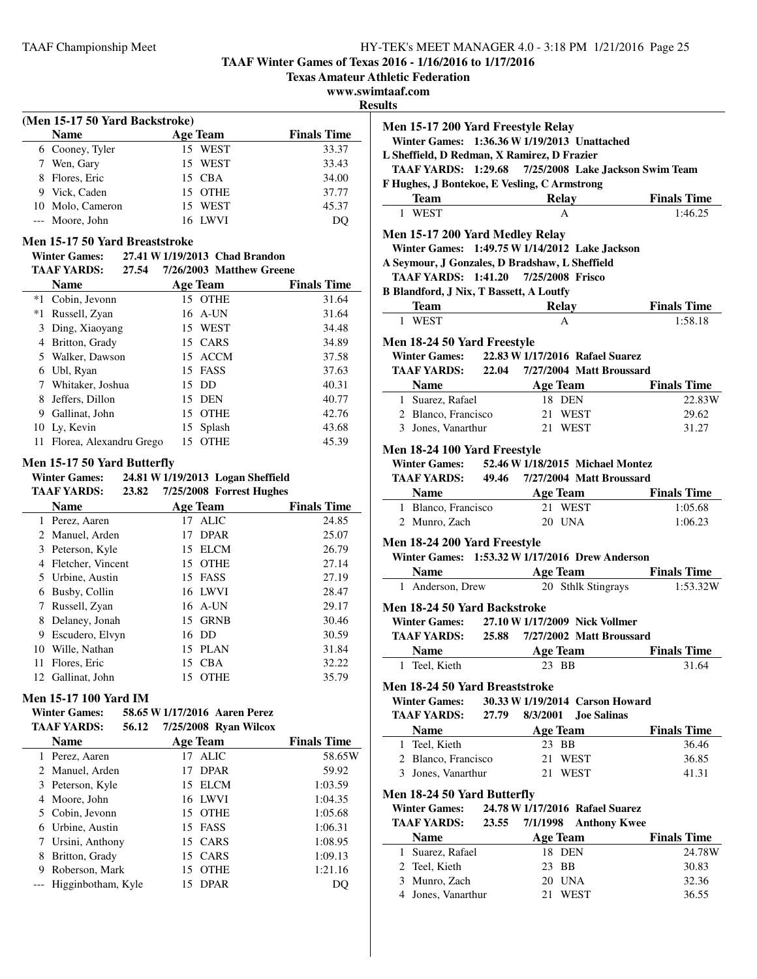**TAAF Winter Games of Texas 2016 - 1/16/2016 to 1/17/2016**

**Texas Amateur Athletic Federation**

**www.swimtaaf.com**

**Resu** 

| (Men 15-17 50 Yard Backstroke) |                                |                                              |                    |  |  |
|--------------------------------|--------------------------------|----------------------------------------------|--------------------|--|--|
|                                | <b>Name</b>                    | <b>Age Team</b>                              | <b>Finals Time</b> |  |  |
|                                | 6 Cooney, Tyler                | 15 WEST                                      | 33.37              |  |  |
| 7                              | Wen, Gary                      | WEST<br>15                                   | 33.43              |  |  |
| 8                              | Flores, Eric                   | <b>CBA</b><br>15                             | 34.00              |  |  |
| 9                              | Vick, Caden                    | <b>OTHE</b><br>15                            | 37.77              |  |  |
| 10                             | Molo, Cameron                  | WEST<br>15                                   | 45.37              |  |  |
|                                | Moore, John                    | 16 LWVI                                      | DQ                 |  |  |
|                                | Men 15-17 50 Yard Breaststroke |                                              |                    |  |  |
|                                |                                | Winter Games: 27.41 W 1/19/2013 Chad Brandon |                    |  |  |
|                                | TAAF YARDS:<br>27.54           | 7/26/2003 Matthew Greene                     |                    |  |  |
|                                | <b>Name</b>                    | Age Team                                     | <b>Finals Time</b> |  |  |
| $*1$                           | Cobin, Jevonn                  | 15 OTHE                                      | 31.64              |  |  |
| *1                             | Russell, Zyan                  | A-UN<br>16                                   | 31.64              |  |  |
| 3                              | Ding, Xiaoyang                 | <b>WEST</b><br>15                            | 34.48              |  |  |
| 4                              | Britton, Grady                 | CARS<br>15                                   | 34.89              |  |  |
| 5                              | Walker, Dawson                 | ACCM<br>15                                   | 37.58              |  |  |
| 6                              | Ubl, Ryan                      | FASS<br>15                                   | 37.63              |  |  |
|                                |                                |                                              |                    |  |  |

| Russell, Zyan |                                                                                                                                                                                      |             | 31.64                                                                                          |
|---------------|--------------------------------------------------------------------------------------------------------------------------------------------------------------------------------------|-------------|------------------------------------------------------------------------------------------------|
|               |                                                                                                                                                                                      |             | 34.48                                                                                          |
|               |                                                                                                                                                                                      |             | 34.89                                                                                          |
|               |                                                                                                                                                                                      |             | 37.58                                                                                          |
|               |                                                                                                                                                                                      |             | 37.63                                                                                          |
|               |                                                                                                                                                                                      |             | 40.31                                                                                          |
|               |                                                                                                                                                                                      |             | 40.77                                                                                          |
|               |                                                                                                                                                                                      |             | 42.76                                                                                          |
|               |                                                                                                                                                                                      |             | 43.68                                                                                          |
|               | 15                                                                                                                                                                                   | <b>OTHE</b> | 45.39                                                                                          |
|               | 3 Ding, Xiaoyang<br>4 Britton, Grady<br>5 Walker, Dawson<br>6 Ubl, Ryan<br>7 Whitaker, Joshua<br>8 Jeffers, Dillon<br>9 Gallinat, John<br>10 Ly, Kevin<br>11 Florea, Alexandru Grego |             | 16 A-UN<br>15 WEST<br>15 CARS<br>15 ACCM<br>15 FASS<br>15 DD<br>15 DEN<br>15 OTHE<br>15 Splash |

# **Men 15-17 50 Yard Butterfly**

**Winter Games: 24.81 W1/19/2013 Logan Sheffield TAAF YARDS: 23.82 Forrest Hughes 7/25/2008**

|   | <b>Name</b>       |    | <b>Age Team</b> | <b>Finals Time</b> |
|---|-------------------|----|-----------------|--------------------|
|   | 1 Perez, Aaren    |    | 17 ALIC         | 24.85              |
|   | 2 Manuel, Arden   | 17 | <b>DPAR</b>     | 25.07              |
|   | 3 Peterson, Kyle  |    | 15 ELCM         | 26.79              |
| 4 | Fletcher, Vincent |    | 15 OTHE         | 27.14              |
|   | 5 Urbine, Austin  |    | 15 FASS         | 27.19              |
| 6 | Busby, Collin     |    | 16 LWVI         | 28.47              |
|   | Russell, Zyan     |    | $16$ A-UN       | 29.17              |
| 8 | Delaney, Jonah    |    | 15 GRNB         | 30.46              |
| 9 | Escudero, Elvyn   |    | 16 DD           | 30.59              |
|   | 10 Wille, Nathan  |    | 15 PLAN         | 31.84              |
|   | 11 Flores, Eric   | 15 | <b>CBA</b>      | 32.22              |
|   | 12 Gallinat, John | 15 | <b>OTHE</b>     | 35.79              |

## **Men 15-17 100 Yard IM**

| <b>Winter Games:</b> |       | 58.65 W 1/17/2016 Aaren Perez |
|----------------------|-------|-------------------------------|
| <b>TAAF YARDS:</b>   | 56.12 | $7/25/2008$ Ryan Wilcox       |

|   | <b>Name</b>            |    | <b>Age Team</b> | <b>Finals Time</b> |
|---|------------------------|----|-----------------|--------------------|
|   | 1 Perez, Aaren         |    | 17 ALIC         | 58.65W             |
|   | 2 Manuel, Arden        | 17 | <b>DPAR</b>     | 59.92              |
| 3 | Peterson, Kyle         |    | 15 ELCM         | 1:03.59            |
|   | 4 Moore, John          |    | 16 LWVI         | 1:04.35            |
|   | 5 Cobin, Jevonn        |    | 15 OTHE         | 1:05.68            |
|   | 6 Urbine, Austin       |    | 15 FASS         | 1:06.31            |
|   | Ursini, Anthony        |    | 15 CARS         | 1:08.95            |
| 8 | Britton, Grady         |    | 15 CARS         | 1:09.13            |
| 9 | Roberson, Mark         | 15 | <b>OTHE</b>     | 1:21.16            |
|   | --- Higginbotham, Kyle | 15 | <b>DPAR</b>     |                    |

| піаат.сош<br>ults                                                                                                                                                           |       |          |                                      |                                  |
|-----------------------------------------------------------------------------------------------------------------------------------------------------------------------------|-------|----------|--------------------------------------|----------------------------------|
| Men 15-17 200 Yard Freestyle Relay<br>Winter Games: 1:36.36 W 1/19/2013 Unattached                                                                                          |       |          |                                      |                                  |
| L Sheffield, D Redman, X Ramirez, D Frazier                                                                                                                                 |       |          |                                      |                                  |
| TAAF YARDS: 1:29.68                                                                                                                                                         |       |          |                                      | 7/25/2008 Lake Jackson Swim Team |
| F Hughes, J Bontekoe, E Vesling, C Armstrong                                                                                                                                |       |          |                                      |                                  |
| Team                                                                                                                                                                        |       |          | <b>Relay</b>                         | <b>Finals Time</b>               |
| 1 WEST                                                                                                                                                                      |       |          | A                                    | 1:46.25                          |
| Men 15-17 200 Yard Medley Relay<br>Winter Games: 1:49.75 W 1/14/2012 Lake Jackson<br>A Seymour, J Gonzales, D Bradshaw, L Sheffield<br>TAAF YARDS: 1:41.20 7/25/2008 Frisco |       |          |                                      |                                  |
| <b>B Blandford, J Nix, T Bassett, A Loutfy</b>                                                                                                                              |       |          |                                      |                                  |
| <b>Team</b>                                                                                                                                                                 |       |          | <b>Relay</b>                         | <b>Finals Time</b>               |
| 1 WEST                                                                                                                                                                      |       |          | A                                    | 1:58.18                          |
|                                                                                                                                                                             |       |          |                                      |                                  |
| Men 18-24 50 Yard Freestyle                                                                                                                                                 |       |          |                                      |                                  |
| Winter Games: 22.83 W 1/17/2016 Rafael Suarez<br><b>TAAF YARDS:</b> 22.04 7/27/2004 Matt Broussard                                                                          |       |          |                                      |                                  |
|                                                                                                                                                                             |       |          |                                      |                                  |
| <b>Name Age Team</b><br>1 Suarez, Rafael                                                                                                                                    |       | 18 DEN   |                                      | <b>Finals Time</b><br>22.83W     |
| 2 Blanco, Francisco 21 WEST                                                                                                                                                 |       |          |                                      | 29.62                            |
| 3 Jones, Vanarthur                                                                                                                                                          |       | 21 WEST  |                                      | 31.27                            |
|                                                                                                                                                                             |       |          |                                      |                                  |
| Men 18-24 100 Yard Freestyle                                                                                                                                                |       |          |                                      |                                  |
| <b>Winter Games:</b>                                                                                                                                                        |       |          | 52.46 W 1/18/2015 Michael Montez     |                                  |
| TAAF YARDS: 49.46 7/27/2004 Matt Broussard                                                                                                                                  |       |          |                                      |                                  |
| <b>Name</b><br>1 Blanco, Francisco                                                                                                                                          |       |          | <b>Example 2 Age Team</b><br>21 WEST | <b>Finals Time</b><br>1:05.68    |
| 2 Munro, Zach                                                                                                                                                               |       |          | 20 UNA                               | 1:06.23                          |
|                                                                                                                                                                             |       |          |                                      |                                  |
| Men 18-24 200 Yard Freestyle                                                                                                                                                |       |          |                                      |                                  |
| Winter Games: 1:53.32 W 1/17/2016 Drew Anderson                                                                                                                             |       |          |                                      |                                  |
|                                                                                                                                                                             |       |          |                                      | Name Age Team Finals Time        |
| 1 Anderson, Drew                                                                                                                                                            |       |          | 20 Sthlk Stingrays                   | 1:53.32W                         |
| Men 18-24 50 Yard Backstroke                                                                                                                                                |       |          |                                      |                                  |
| Winter Games: 27.10 W 1/17/2009 Nick Vollmer                                                                                                                                |       |          |                                      |                                  |
| TAAF YARDS: 25.88                                                                                                                                                           |       |          | 7/27/2002 Matt Broussard             |                                  |
| <b>Name</b>                                                                                                                                                                 |       |          | <b>Age Team</b>                      | <b>Finals Time</b>               |
| Teel, Kieth<br>1                                                                                                                                                            |       |          | 23 BB                                | 31.64                            |
| Men 18-24 50 Yard Breaststroke                                                                                                                                              |       |          |                                      |                                  |
| <b>Winter Games:</b>                                                                                                                                                        |       |          | 30.33 W 1/19/2014 Carson Howard      |                                  |
| <b>TAAF YARDS:</b>                                                                                                                                                          | 27.79 | 8/3/2001 | <b>Joe Salinas</b>                   |                                  |
| <b>Name</b>                                                                                                                                                                 |       |          | <b>Age Team</b>                      | <b>Finals Time</b>               |
| 1 Teel, Kieth                                                                                                                                                               |       |          | 23 BB                                | 36.46                            |
| 2 Blanco, Francisco                                                                                                                                                         |       |          | 21 WEST                              | 36.85                            |
| 3 Jones, Vanarthur                                                                                                                                                          |       | 21       | WEST                                 | 41.31                            |
| Men 18-24 50 Yard Butterfly                                                                                                                                                 |       |          |                                      |                                  |
| <b>Winter Games:</b>                                                                                                                                                        |       |          | 24.78 W 1/17/2016 Rafael Suarez      |                                  |
| <b>TAAF YARDS:</b>                                                                                                                                                          | 23.55 | 7/1/1998 | <b>Anthony Kwee</b>                  |                                  |
| <b>Name</b>                                                                                                                                                                 |       |          | <b>Age Team</b>                      | <b>Finals Time</b>               |
| 1 Suarez, Rafael                                                                                                                                                            |       |          | 18 DEN                               | 24.78W                           |
| 2 Teel, Kieth                                                                                                                                                               |       |          | 23 BB                                | 30.83                            |
| 3 Munro, Zach                                                                                                                                                               |       |          | 20 UNA                               | 32.36                            |
| 4 Jones, Vanarthur                                                                                                                                                          |       | 21       | <b>WEST</b>                          | 36.55                            |
|                                                                                                                                                                             |       |          |                                      |                                  |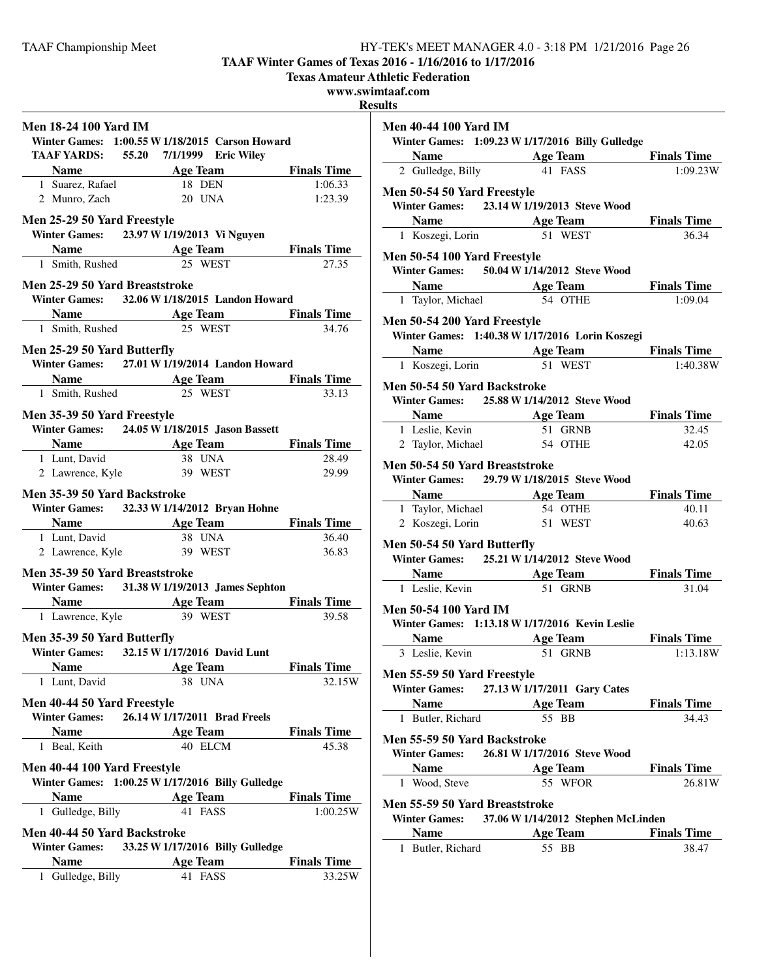**TAAF Winter Games of Texas 2016 - 1/16/2016 to 1/17/2016**

**Texas Amateur Athletic Federation**

**www.swimtaaf.com**

**Results**

|                                                  |                                                                               | Ŀ                  |
|--------------------------------------------------|-------------------------------------------------------------------------------|--------------------|
| <b>Men 18-24 100 Yard IM</b>                     |                                                                               |                    |
|                                                  | Winter Games: 1:00.55 W 1/18/2015 Carson Howard                               |                    |
|                                                  | TAAF YARDS: 55.20 7/1/1999 Eric Wiley                                         |                    |
|                                                  | <b>Example 2018 Age Team</b>                                                  | <b>Finals Time</b> |
| 1 Suarez, Rafael                                 | 18 DEN                                                                        | 1:06.33            |
| 2 Munro, Zach                                    | 20 UNA                                                                        | 1:23.39            |
| Men 25-29 50 Yard Freestyle                      |                                                                               |                    |
|                                                  | Winter Games: 23.97 W 1/19/2013 Vi Nguyen                                     |                    |
|                                                  | <b>Solution School Age Team</b> Finals Time                                   |                    |
| 1 Smith, Rushed                                  | 25 WEST                                                                       | 27.35              |
|                                                  |                                                                               |                    |
| Men 25-29 50 Yard Breaststroke                   |                                                                               |                    |
|                                                  | Winter Games: 32.06 W 1/18/2015 Landon Howard                                 |                    |
|                                                  | <b>Solution Share School Age Team Finals Time</b>                             |                    |
| 1 Smith, Rushed                                  | 25 WEST                                                                       | 34.76              |
| Men 25-29 50 Yard Butterfly                      |                                                                               |                    |
|                                                  | Winter Games: 27.01 W 1/19/2014 Landon Howard                                 |                    |
| <b>Example 2.1 Solution Age Team Einals Time</b> |                                                                               |                    |
| 1 Smith, Rushed 25 WEST                          |                                                                               | 33.13              |
|                                                  |                                                                               |                    |
| Men 35-39 50 Yard Freestyle                      | Winter Games: 24.05 W 1/18/2015 Jason Bassett                                 |                    |
|                                                  |                                                                               |                    |
|                                                  | <b>Name</b> Age Team Finals Time                                              |                    |
| 1 Lunt, David 38 UNA<br>2 Lawrence, Kyle 39 WEST |                                                                               | 28.49<br>29.99     |
|                                                  |                                                                               |                    |
| Men 35-39 50 Yard Backstroke                     |                                                                               |                    |
|                                                  | Winter Games: 32.33 W 1/14/2012 Bryan Hohne                                   |                    |
|                                                  | <b>Name Age Team Finals Time</b><br>1 Lunt, David <b>38</b> UNA <b>136.40</b> |                    |
|                                                  |                                                                               |                    |
| 2 Lawrence, Kyle 39 WEST                         |                                                                               | 36.83              |
| Men 35-39 50 Yard Breaststroke                   |                                                                               |                    |
|                                                  | Winter Games: 31.38 W 1/19/2013 James Sephton                                 |                    |
|                                                  | <b>Name</b> Age Team Finals Time                                              |                    |
| 1 Lawrence, Kyle 39 WEST                         |                                                                               | 39.58              |
|                                                  |                                                                               |                    |
| Men 35-39 50 Yard Butterfly                      |                                                                               |                    |
|                                                  | Winter Games: 32.15 W 1/17/2016 David Lunt                                    |                    |
| <b>Name</b>                                      | <b>Age Team</b>                                                               | <b>Finals Time</b> |
| 1 Lunt, David                                    | 38 UNA                                                                        | 32.15W             |
| Men 40-44 50 Yard Freestyle                      |                                                                               |                    |
| <b>Winter Games:</b>                             | 26.14 W 1/17/2011 Brad Freels                                                 |                    |
| <b>Name</b>                                      | <b>Age Team</b>                                                               | <b>Finals Time</b> |
| 1 Beal, Keith                                    | 40 ELCM                                                                       | 45.38              |
|                                                  |                                                                               |                    |
| Men 40-44 100 Yard Freestyle                     |                                                                               |                    |
|                                                  | Winter Games: 1:00.25 W 1/17/2016 Billy Gulledge                              |                    |
| <b>Name</b>                                      | <b>Example 2</b> Age Team                                                     | <b>Finals Time</b> |
| 1 Gulledge, Billy                                | 41 FASS                                                                       | 1:00.25W           |
| Men 40-44 50 Yard Backstroke                     |                                                                               |                    |
|                                                  | Winter Games: 33.25 W 1/17/2016 Billy Gulledge                                |                    |
| <b>Name</b>                                      | <b>Age Team</b>                                                               | <b>Finals Time</b> |
| 1 Gulledge, Billy                                | 41 FASS                                                                       | 33.25W             |
|                                                  |                                                                               |                    |
|                                                  |                                                                               |                    |

| <b>Men 40-44 100 Yard IM</b>                          |                                                                                      |                             |  |  |  |
|-------------------------------------------------------|--------------------------------------------------------------------------------------|-----------------------------|--|--|--|
|                                                       | Winter Games: 1:09.23 W 1/17/2016 Billy Gulledge                                     |                             |  |  |  |
|                                                       | <b>Name Age Team Finals Time</b><br>2 Gulledge, Billy <b>41 FASS Finals 1:09.23W</b> |                             |  |  |  |
|                                                       |                                                                                      |                             |  |  |  |
| Men 50-54 50 Yard Freestyle                           |                                                                                      |                             |  |  |  |
|                                                       | Winter Games: 23.14 W 1/19/2013 Steve Wood                                           |                             |  |  |  |
|                                                       | <b>Solution School Age Team</b> Finals Time                                          |                             |  |  |  |
| 1 Koszegi, Lorin                                      | 51 WEST                                                                              | 36.34                       |  |  |  |
|                                                       |                                                                                      |                             |  |  |  |
| Men 50-54 100 Yard Freestyle                          |                                                                                      |                             |  |  |  |
|                                                       | Winter Games: 50.04 W 1/14/2012 Steve Wood                                           |                             |  |  |  |
|                                                       | <b>Name Age Team Finals Time</b><br>1 Taylor, Michael <b>54 OTHE</b> 1:09.04         |                             |  |  |  |
|                                                       |                                                                                      |                             |  |  |  |
| <b>Men 50-54 200 Yard Freestyle</b>                   |                                                                                      |                             |  |  |  |
|                                                       | Winter Games: 1:40.38 W 1/17/2016 Lorin Koszegi                                      |                             |  |  |  |
|                                                       |                                                                                      |                             |  |  |  |
| 1 Koszegi, Lorin                                      | <b>Solution School Age Team</b> Finals Time<br>51 WEST                               | 1:40.38W                    |  |  |  |
|                                                       |                                                                                      |                             |  |  |  |
| Men 50-54 50 Yard Backstroke                          |                                                                                      |                             |  |  |  |
|                                                       | Winter Games: 25.88 W 1/14/2012 Steve Wood                                           |                             |  |  |  |
|                                                       | <b>Solution School Age Team</b> Finals Time                                          |                             |  |  |  |
| 1 Leslie, Kevin                                       | 51 GRNB                                                                              | 32.45                       |  |  |  |
|                                                       | 2 Taylor, Michael 54 OTHE                                                            | 42.05                       |  |  |  |
| Men 50-54 50 Yard Breaststroke                        |                                                                                      |                             |  |  |  |
|                                                       | Winter Games: 29.79 W 1/18/2015 Steve Wood                                           |                             |  |  |  |
|                                                       |                                                                                      |                             |  |  |  |
|                                                       | <b>Name</b> Age Team Finals Time                                                     |                             |  |  |  |
| 1 Taylor, Michael 54 OTHE<br>2 Koszegi, Lorin 51 WEST |                                                                                      | 40.11<br>40.63              |  |  |  |
|                                                       |                                                                                      |                             |  |  |  |
| Men 50-54 50 Yard Butterfly                           |                                                                                      |                             |  |  |  |
|                                                       | Winter Games: 25.21 W 1/14/2012 Steve Wood                                           |                             |  |  |  |
|                                                       | <b>Solution School Age Team</b> Finals Time                                          |                             |  |  |  |
|                                                       | 1 Leslie, Kevin 51 GRNB                                                              | 31.04                       |  |  |  |
|                                                       |                                                                                      |                             |  |  |  |
| <b>Men 50-54 100 Yard IM</b>                          | Winter Games: 1:13.18 W 1/17/2016 Kevin Leslie                                       |                             |  |  |  |
|                                                       |                                                                                      |                             |  |  |  |
|                                                       | <b>Example 2.1 Solution Age Team Einals Time</b>                                     |                             |  |  |  |
| 3 Leslie, Kevin                                       | 51 GRNB                                                                              | 1:13.18W                    |  |  |  |
| Men 55-59 50 Yard Freestyle                           |                                                                                      |                             |  |  |  |
| <b>Winter Games:</b>                                  | 27.13 W 1/17/2011 Gary Cates                                                         |                             |  |  |  |
| <b>Name</b>                                           | <b>Age Team</b>                                                                      | <b>Finals Time</b>          |  |  |  |
| 1 Butler, Richard                                     | 55 BB                                                                                | 34.43                       |  |  |  |
|                                                       |                                                                                      |                             |  |  |  |
| Men 55-59 50 Yard Backstroke                          |                                                                                      |                             |  |  |  |
| <b>Winter Games:</b>                                  | 26.81 W 1/17/2016 Steve Wood                                                         |                             |  |  |  |
| Name $\qquad \qquad$                                  | <b>Age Team</b>                                                                      | <b>Finals Time</b>          |  |  |  |
| 1 Wood, Steve                                         | 55 WFOR                                                                              | 26.81W                      |  |  |  |
| Men 55-59 50 Yard Breaststroke                        |                                                                                      |                             |  |  |  |
| Winter Games: 37.06 W 1/14/2012 Stephen McLinden      |                                                                                      |                             |  |  |  |
| <b>Name</b>                                           |                                                                                      |                             |  |  |  |
|                                                       |                                                                                      |                             |  |  |  |
| 1 Butler, Richard                                     | <b>Age Team</b><br>55 BB                                                             | <b>Finals Time</b><br>38.47 |  |  |  |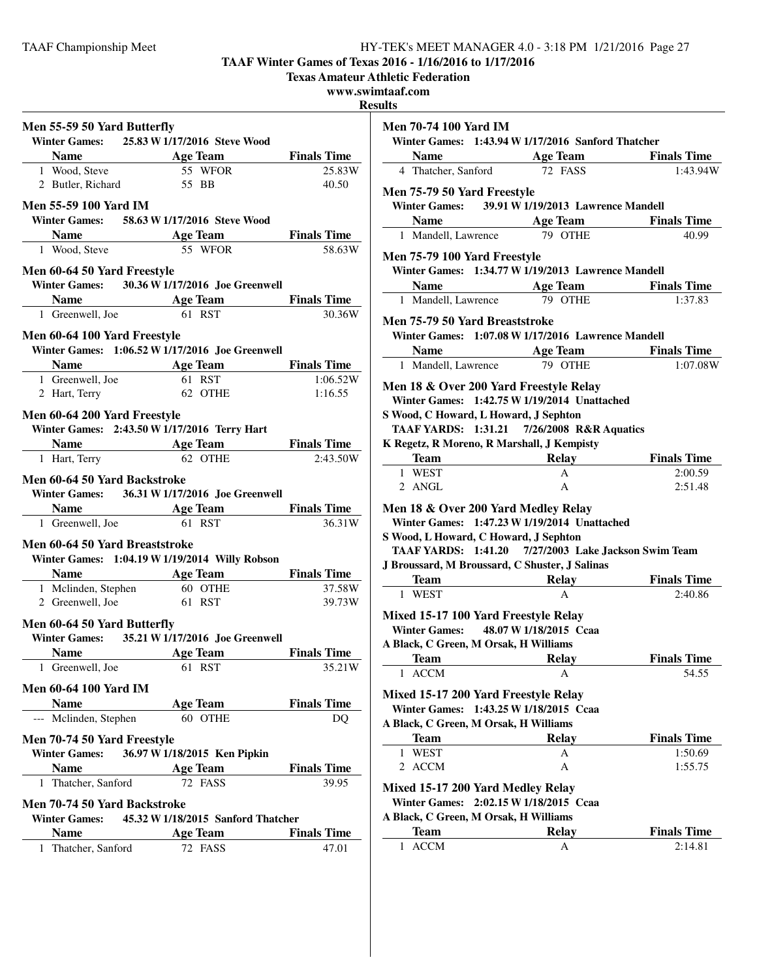**TAAF Winter Games of Texas 2016 - 1/16/2016 to 1/17/2016**

**Texas Amateur Athletic Federation**

**www.swimtaaf.com**

**Results**

| Men 55-59 50 Yard Butterfly                                                                                                  |                              |                                                                 |                     |
|------------------------------------------------------------------------------------------------------------------------------|------------------------------|-----------------------------------------------------------------|---------------------|
| Winter Games: 25.83 W 1/17/2016 Steve Wood                                                                                   |                              |                                                                 |                     |
|                                                                                                                              |                              |                                                                 |                     |
| <b>Name</b><br>1 Wood, Steve<br><b>1 Wood, Steve</b><br><b>55 WFOR</b><br><b>1 Wood, Steve</b><br><b>55 WFOR</b><br><b>1</b> |                              |                                                                 | 25.83W              |
|                                                                                                                              | 2 Butler, Richard 55 BB      |                                                                 | 40.50               |
| <b>Men 55-59 100 Yard IM</b>                                                                                                 |                              |                                                                 |                     |
| Winter Games: 58.63 W 1/17/2016 Steve Wood                                                                                   |                              |                                                                 |                     |
|                                                                                                                              |                              |                                                                 |                     |
| <b>Name Age Team Finals Time</b><br>1 Wood Stave <b>65 WEOR Finals Time</b>                                                  | 1 Wood, Steve 55 WFOR        |                                                                 | 58.63W              |
|                                                                                                                              |                              |                                                                 |                     |
| Men 60-64 50 Yard Freestyle<br>Winter Games: 30.36 W 1/17/2016 Joe Greenwell                                                 |                              |                                                                 |                     |
|                                                                                                                              |                              | <b>Name Age Team</b> Finals Time                                |                     |
|                                                                                                                              | 1 Greenwell, Joe 61 RST      |                                                                 | 30.36W              |
|                                                                                                                              |                              |                                                                 |                     |
| Men 60-64 100 Yard Freestyle                                                                                                 |                              |                                                                 |                     |
| Winter Games: 1:06.52 W 1/17/2016 Joe Greenwell                                                                              |                              |                                                                 |                     |
| <b>Name Age Team Finals Time</b>                                                                                             |                              |                                                                 |                     |
| 1 Greenwell, Joe<br>2 Hart, Terry                                                                                            | 61 RST<br>62 OTHE            | 61 RST                                                          | 1:06.52W<br>1:16.55 |
|                                                                                                                              |                              |                                                                 |                     |
| Men 60-64 200 Yard Freestyle                                                                                                 |                              |                                                                 |                     |
| Winter Games: 2:43.50 W 1/17/2016 Terry Hart                                                                                 |                              |                                                                 |                     |
| <b>Name</b> Age Team Finals Time                                                                                             |                              |                                                                 |                     |
| 1 Hart, Terry                                                                                                                | 62 OTHE                      |                                                                 | 2:43.50W            |
| Men 60-64 50 Yard Backstroke                                                                                                 |                              |                                                                 |                     |
| Winter Games: 36.31 W 1/17/2016 Joe Greenwell                                                                                |                              |                                                                 |                     |
| <b>Solution Age Team</b> Finals Time                                                                                         |                              |                                                                 |                     |
| 1 Greenwell, Joe                                                                                                             |                              | 61 RST                                                          | 36.31W              |
| Men 60-64 50 Yard Breaststroke                                                                                               |                              |                                                                 |                     |
| Winter Games: 1:04.19 W 1/19/2014 Willy Robson                                                                               |                              |                                                                 |                     |
|                                                                                                                              |                              |                                                                 |                     |
|                                                                                                                              |                              | Name Age Team Finals Time<br>1 Mclinden, Stephen 60 OTHE 37.58W | 37.58W              |
|                                                                                                                              | 2 Greenwell, Joe 61 RST      |                                                                 | 39.73W              |
| Men 60-64 50 Yard Butterfly                                                                                                  |                              |                                                                 |                     |
| Winter Games: 35.21 W 1/17/2016 Joe Greenwell                                                                                |                              |                                                                 |                     |
| <b>Name</b>                                                                                                                  |                              | Age Team Finals Time                                            |                     |
| 1 Greenwell, Joe                                                                                                             |                              | 61 RST                                                          | 35.21W              |
|                                                                                                                              |                              |                                                                 |                     |
| Men 60-64 100 Yard IM                                                                                                        |                              |                                                                 |                     |
| <b>Name</b>                                                                                                                  | <b>Age Team</b>              | 60 OTHE                                                         | <b>Finals Time</b>  |
| --- Mclinden, Stephen                                                                                                        |                              |                                                                 | DQ                  |
| Men 70-74 50 Yard Freestyle                                                                                                  |                              |                                                                 |                     |
| <b>Winter Games:</b>                                                                                                         | 36.97 W 1/18/2015 Ken Pipkin |                                                                 |                     |
| <b>Name</b>                                                                                                                  | <b>Age Team</b>              |                                                                 | <b>Finals Time</b>  |
| Thatcher, Sanford<br>1                                                                                                       |                              | 72 FASS                                                         | 39.95               |
| Men 70-74 50 Yard Backstroke                                                                                                 |                              |                                                                 |                     |
| <b>Winter Games:</b>                                                                                                         |                              | 45.32 W 1/18/2015 Sanford Thatcher                              |                     |
| <b>Name</b>                                                                                                                  | <b>Age Team</b>              |                                                                 | <b>Finals Time</b>  |
| 1 Thatcher, Sanford                                                                                                          |                              | 72 FASS                                                         | 47.01               |
|                                                                                                                              |                              |                                                                 |                     |

| <b>Men 70-74 100 Yard IM</b>                                                                                           |                                                                                 |                               |
|------------------------------------------------------------------------------------------------------------------------|---------------------------------------------------------------------------------|-------------------------------|
|                                                                                                                        | Winter Games: 1:43.94 W 1/17/2016 Sanford Thatcher                              |                               |
|                                                                                                                        | <b>Name Age Team Finals Time</b><br>4 Thatcher, Sanford <b>72 FASS 1:43.94V</b> |                               |
|                                                                                                                        |                                                                                 | 1:43.94W                      |
| Men 75-79 50 Yard Freestyle                                                                                            |                                                                                 |                               |
|                                                                                                                        | Winter Games: 39.91 W 1/19/2013 Lawrence Mandell                                |                               |
|                                                                                                                        | <b>Name Age Team Finals Time</b>                                                |                               |
| 1 Mandell, Lawrence                                                                                                    | 79 OTHE                                                                         | 40.99                         |
|                                                                                                                        |                                                                                 |                               |
| Men 75-79 100 Yard Freestyle                                                                                           | Winter Games: 1:34.77 W 1/19/2013 Lawrence Mandell                              |                               |
|                                                                                                                        |                                                                                 |                               |
| 1 Mandell, Lawrence 79 OTHE                                                                                            | <b>Name Age Team Finals Time</b>                                                | 1:37.83                       |
|                                                                                                                        |                                                                                 |                               |
| Men 75-79 50 Yard Breaststroke                                                                                         |                                                                                 |                               |
|                                                                                                                        | Winter Games: 1:07.08 W 1/17/2016 Lawrence Mandell                              |                               |
|                                                                                                                        | <b>Name</b> Age Team Finals Time                                                |                               |
| 1 Mandell, Lawrence 79 OTHE                                                                                            |                                                                                 | 1:07.08W                      |
| Men 18 & Over 200 Yard Freestyle Relay                                                                                 |                                                                                 |                               |
|                                                                                                                        | Winter Games: 1:42.75 W 1/19/2014 Unattached                                    |                               |
| S Wood, C Howard, L Howard, J Sephton                                                                                  |                                                                                 |                               |
|                                                                                                                        | TAAF YARDS: 1:31.21 7/26/2008 R&R Aquatics                                      |                               |
| K Regetz, R Moreno, R Marshall, J Kempisty                                                                             |                                                                                 |                               |
| Team                                                                                                                   | <b>Example 2 Second Relay Finals Time</b>                                       |                               |
|                                                                                                                        |                                                                                 |                               |
| 1 WEST                                                                                                                 | A                                                                               | 2:00.59                       |
| 2 ANGL                                                                                                                 | A                                                                               | 2:51.48                       |
|                                                                                                                        |                                                                                 |                               |
|                                                                                                                        | Winter Games: 1:47.23 W 1/19/2014 Unattached                                    |                               |
| S Wood, L Howard, C Howard, J Sephton                                                                                  |                                                                                 |                               |
|                                                                                                                        | TAAF YARDS: 1:41.20 7/27/2003 Lake Jackson Swim Team                            |                               |
| J Broussard, M Broussard, C Shuster, J Salinas                                                                         |                                                                                 |                               |
|                                                                                                                        |                                                                                 | Relay Finals Time             |
| 1 WEST                                                                                                                 | А                                                                               | 2:40.86                       |
|                                                                                                                        |                                                                                 |                               |
|                                                                                                                        |                                                                                 |                               |
| Mixed 15-17 100 Yard Freestyle Relay<br>Winter Games: 48.07 W 1/18/2015 Ccaa                                           |                                                                                 |                               |
|                                                                                                                        |                                                                                 |                               |
| <b>Team</b>                                                                                                            | <b>Relay</b><br>$\mathbf{A}$                                                    | <b>Finals Time</b>            |
| 1 ACCM                                                                                                                 |                                                                                 | 54.55                         |
|                                                                                                                        |                                                                                 |                               |
| <b>Winter Games:</b>                                                                                                   | 1:43.25 W 1/18/2015 Ccaa                                                        |                               |
| Mixed 15-17 200 Yard Freestyle Relay<br>A Black, C Green, M Orsak, H Williams                                          |                                                                                 |                               |
| <b>Team</b>                                                                                                            | <b>Relay</b>                                                                    | <b>Finals Time</b>            |
| 1 WEST                                                                                                                 | A                                                                               | 1:50.69                       |
| <b>ACCM</b><br>$\mathbf{2}$                                                                                            | А                                                                               | 1:55.75                       |
| Mixed 15-17 200 Yard Medley Relay                                                                                      |                                                                                 |                               |
| Men 18 & Over 200 Yard Medley Relay<br>A Black, C Green, M Orsak, H Williams<br>Winter Games: 2:02.15 W 1/18/2015 Ccaa |                                                                                 |                               |
| A Black, C Green, M Orsak, H Williams                                                                                  |                                                                                 |                               |
| <b>Team</b><br><b>ACCM</b><br>1                                                                                        | Relay<br>А                                                                      | <b>Finals Time</b><br>2:14.81 |